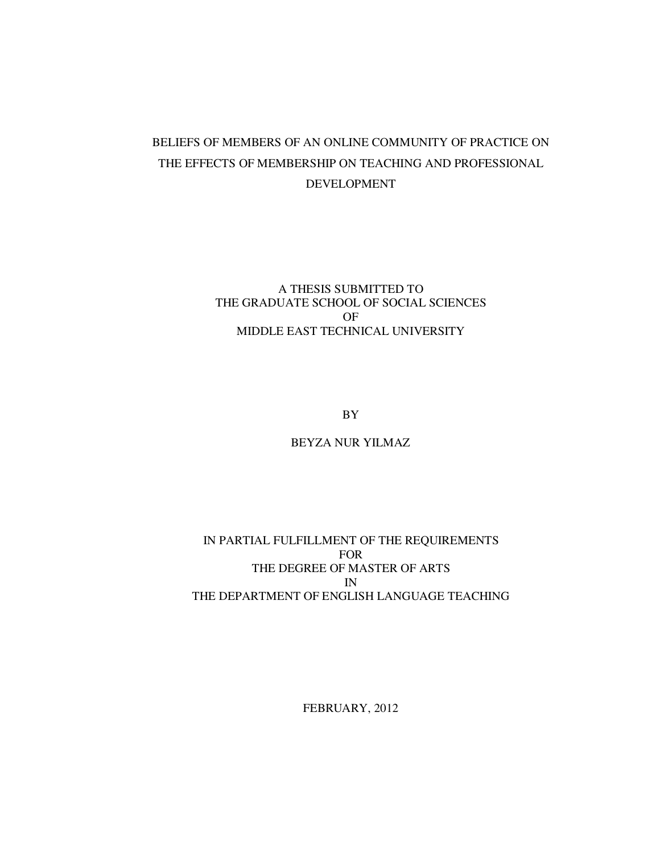# BELIEFS OF MEMBERS OF AN ONLINE COMMUNITY OF PRACTICE ON THE EFFECTS OF MEMBERSHIP ON TEACHING AND PROFESSIONAL DEVELOPMENT

# A THESIS SUBMITTED TO THE GRADUATE SCHOOL OF SOCIAL SCIENCES OF MIDDLE EAST TECHNICAL UNIVERSITY

BY

# BEYZA NUR YILMAZ

## IN PARTIAL FULFILLMENT OF THE REQUIREMENTS FOR THE DEGREE OF MASTER OF ARTS IN THE DEPARTMENT OF ENGLISH LANGUAGE TEACHING

FEBRUARY, 2012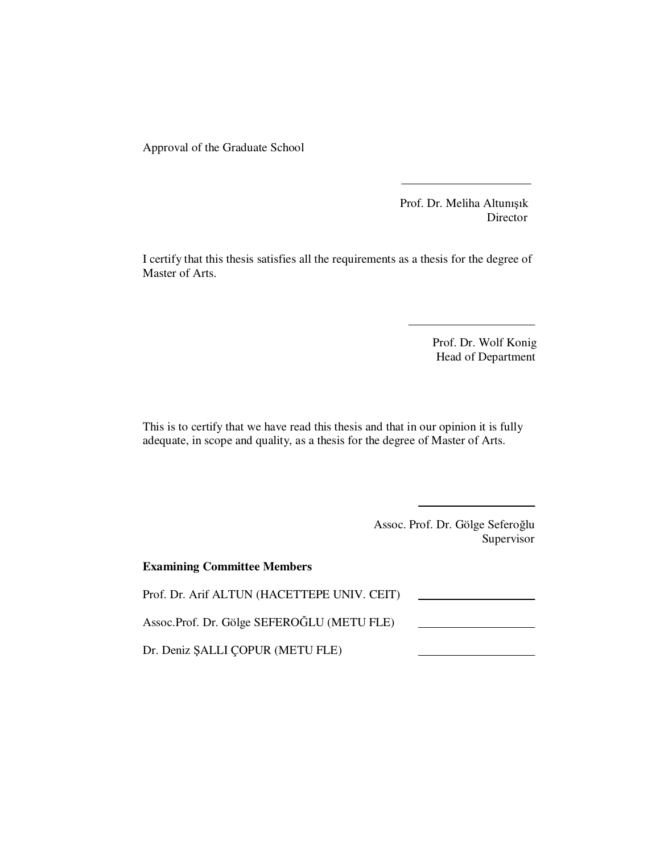Approval of the Graduate School

 Prof. Dr. Meliha Altunışık Director

I certify that this thesis satisfies all the requirements as a thesis for the degree of Master of Arts.

> Prof. Dr. Wolf Konig Head of Department

This is to certify that we have read this thesis and that in our opinion it is fully adequate, in scope and quality, as a thesis for the degree of Master of Arts.

> Assoc. Prof. Dr. Gölge Seferoğlu Supervisor

| <b>Examining Committee Members</b>          |  |
|---------------------------------------------|--|
| Prof. Dr. Arif ALTUN (HACETTEPE UNIV. CEIT) |  |
| Assoc.Prof. Dr. Gölge SEFEROĞLU (METU FLE)  |  |
| Dr. Deniz SALLI COPUR (METU FLE)            |  |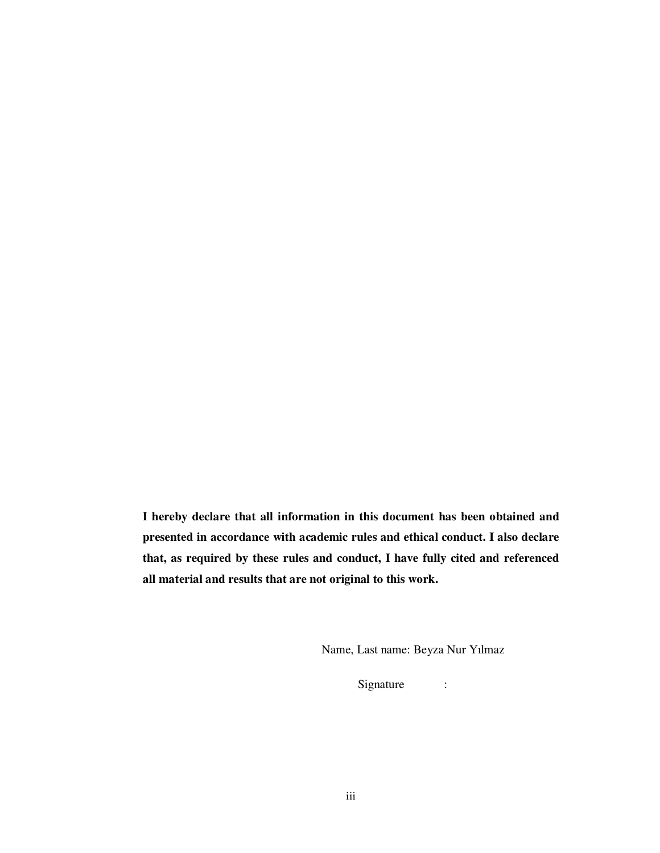**I hereby declare that all information in this document has been obtained and presented in accordance with academic rules and ethical conduct. I also declare that, as required by these rules and conduct, I have fully cited and referenced all material and results that are not original to this work.** 

Name, Last name: Beyza Nur Yılmaz

Signature :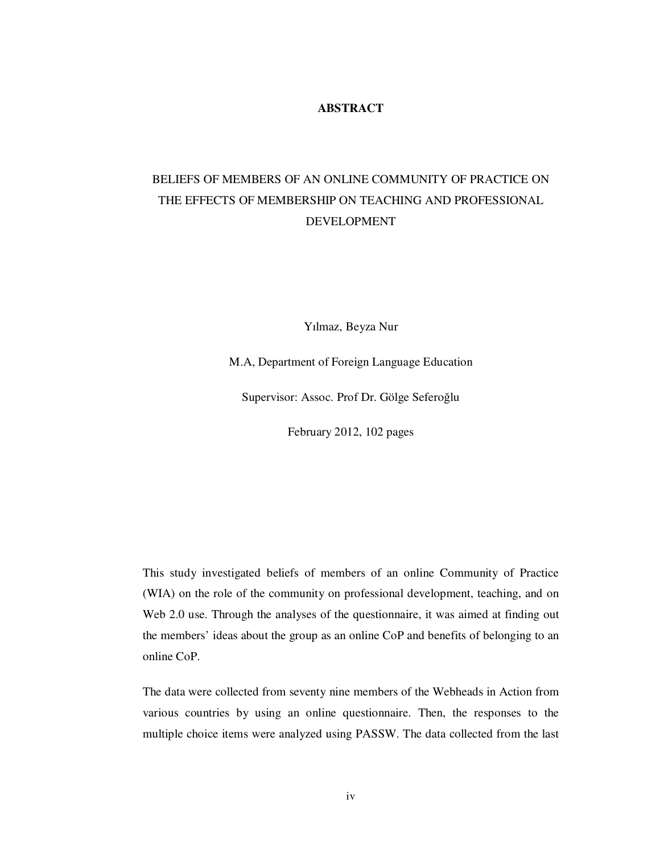## **ABSTRACT**

# BELIEFS OF MEMBERS OF AN ONLINE COMMUNITY OF PRACTICE ON THE EFFECTS OF MEMBERSHIP ON TEACHING AND PROFESSIONAL DEVELOPMENT

Yılmaz, Beyza Nur

M.A, Department of Foreign Language Education

Supervisor: Assoc. Prof Dr. Gölge Seferoğlu

February 2012, 102 pages

This study investigated beliefs of members of an online Community of Practice (WIA) on the role of the community on professional development, teaching, and on Web 2.0 use. Through the analyses of the questionnaire, it was aimed at finding out the members' ideas about the group as an online CoP and benefits of belonging to an online CoP.

The data were collected from seventy nine members of the Webheads in Action from various countries by using an online questionnaire. Then, the responses to the multiple choice items were analyzed using PASSW. The data collected from the last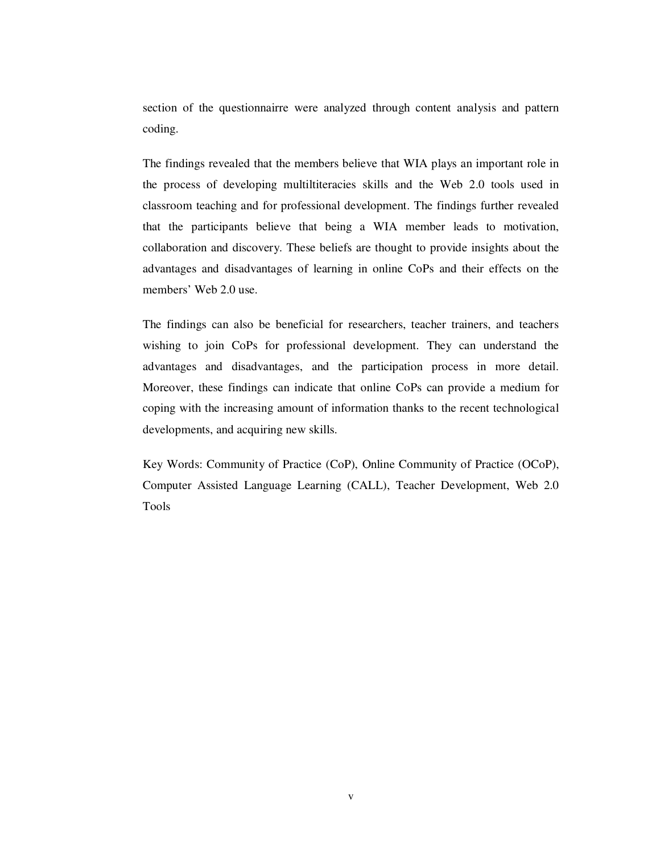section of the questionnairre were analyzed through content analysis and pattern coding.

The findings revealed that the members believe that WIA plays an important role in the process of developing multiltiteracies skills and the Web 2.0 tools used in classroom teaching and for professional development. The findings further revealed that the participants believe that being a WIA member leads to motivation, collaboration and discovery. These beliefs are thought to provide insights about the advantages and disadvantages of learning in online CoPs and their effects on the members' Web 2.0 use.

The findings can also be beneficial for researchers, teacher trainers, and teachers wishing to join CoPs for professional development. They can understand the advantages and disadvantages, and the participation process in more detail. Moreover, these findings can indicate that online CoPs can provide a medium for coping with the increasing amount of information thanks to the recent technological developments, and acquiring new skills.

Key Words: Community of Practice (CoP), Online Community of Practice (OCoP), Computer Assisted Language Learning (CALL), Teacher Development, Web 2.0 Tools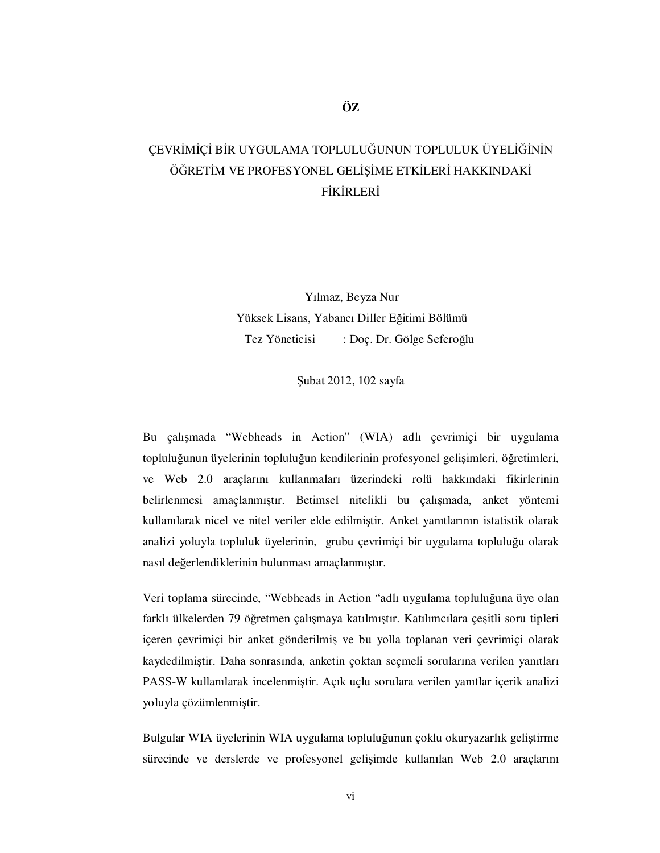# CEVRİMİCİ BİR UYGULAMA TOPLULUĞUNUN TOPLULUK ÜYELİĞİNİN ÖĞRETİM VE PROFESYONEL GELİSİME ETKİLERİ HAKKINDAKİ FİKİRLERİ

Yılmaz, Beyza Nur Yüksek Lisans, Yabancı Diller Eğitimi Bölümü Tez Yöneticisi : Doç. Dr. Gölge Seferoğlu

Şubat 2012, 102 sayfa

Bu çalışmada "Webheads in Action" (WIA) adlı çevrimiçi bir uygulama topluluğunun üyelerinin topluluğun kendilerinin profesyonel gelişimleri, öğretimleri, ve Web 2.0 araçlarını kullanmaları üzerindeki rolü hakkındaki fikirlerinin belirlenmesi amaçlanmıştır. Betimsel nitelikli bu çalışmada, anket yöntemi kullanılarak nicel ve nitel veriler elde edilmiştir. Anket yanıtlarının istatistik olarak analizi yoluyla topluluk üyelerinin, grubu çevrimiçi bir uygulama topluluğu olarak nasıl değerlendiklerinin bulunması amaçlanmıştır.

Veri toplama sürecinde, "Webheads in Action "adlı uygulama topluluğuna üye olan farklı ülkelerden 79 öğretmen çalışmaya katılmıştır. Katılımcılara çeşitli soru tipleri içeren çevrimiçi bir anket gönderilmiş ve bu yolla toplanan veri çevrimiçi olarak kaydedilmiştir. Daha sonrasında, anketin çoktan seçmeli sorularına verilen yanıtları PASS-W kullanılarak incelenmiştir. Açık uçlu sorulara verilen yanıtlar içerik analizi yoluyla çözümlenmiştir.

Bulgular WIA üyelerinin WIA uygulama topluluğunun çoklu okuryazarlık geliştirme sürecinde ve derslerde ve profesyonel gelişimde kullanılan Web 2.0 araçlarını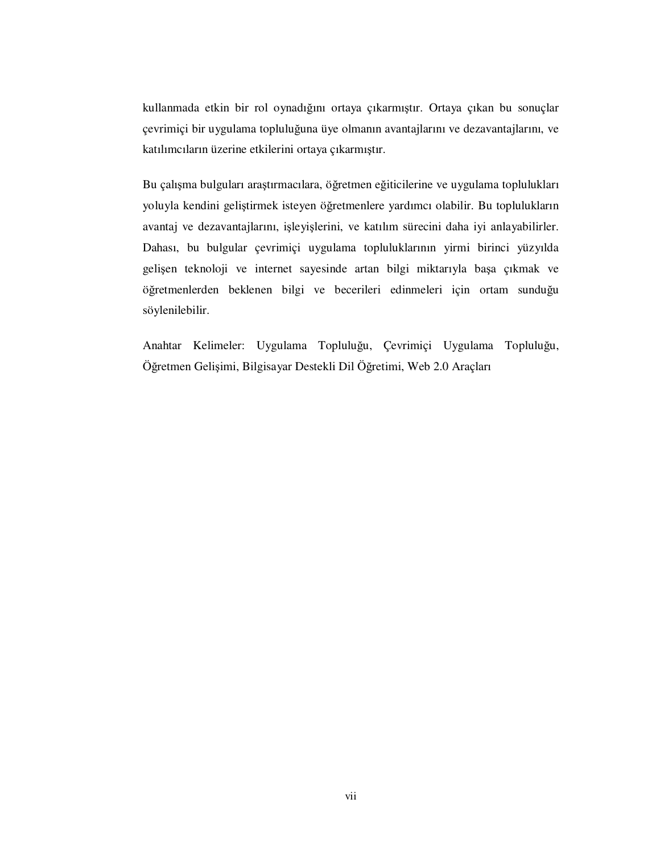kullanmada etkin bir rol oynadığını ortaya çıkarmıştır. Ortaya çıkan bu sonuçlar çevrimiçi bir uygulama topluluğuna üye olmanın avantajlarını ve dezavantajlarını, ve katılımcıların üzerine etkilerini ortaya çıkarmıştır.

Bu çalışma bulguları araştırmacılara, öğretmen eğiticilerine ve uygulama toplulukları yoluyla kendini geliştirmek isteyen öğretmenlere yardımcı olabilir. Bu toplulukların avantaj ve dezavantajlarını, işleyişlerini, ve katılım sürecini daha iyi anlayabilirler. Dahası, bu bulgular çevrimiçi uygulama topluluklarının yirmi birinci yüzyılda gelişen teknoloji ve internet sayesinde artan bilgi miktarıyla başa çıkmak ve öğretmenlerden beklenen bilgi ve becerileri edinmeleri için ortam sunduğu söylenilebilir.

Anahtar Kelimeler: Uygulama Topluluğu, Çevrimiçi Uygulama Topluluğu, Öğretmen Gelişimi, Bilgisayar Destekli Dil Öğretimi, Web 2.0 Araçları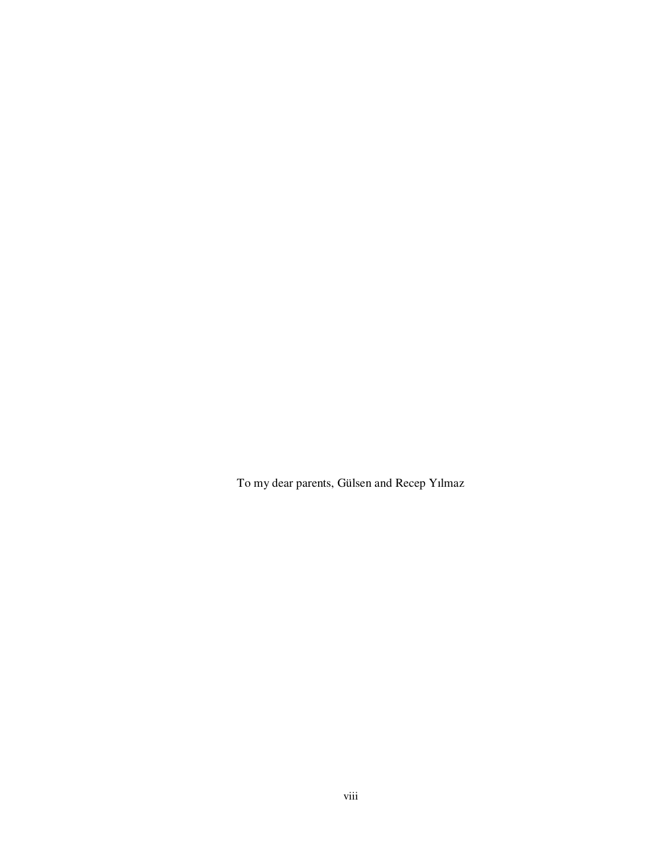To my dear parents, Gülsen and Recep Yılmaz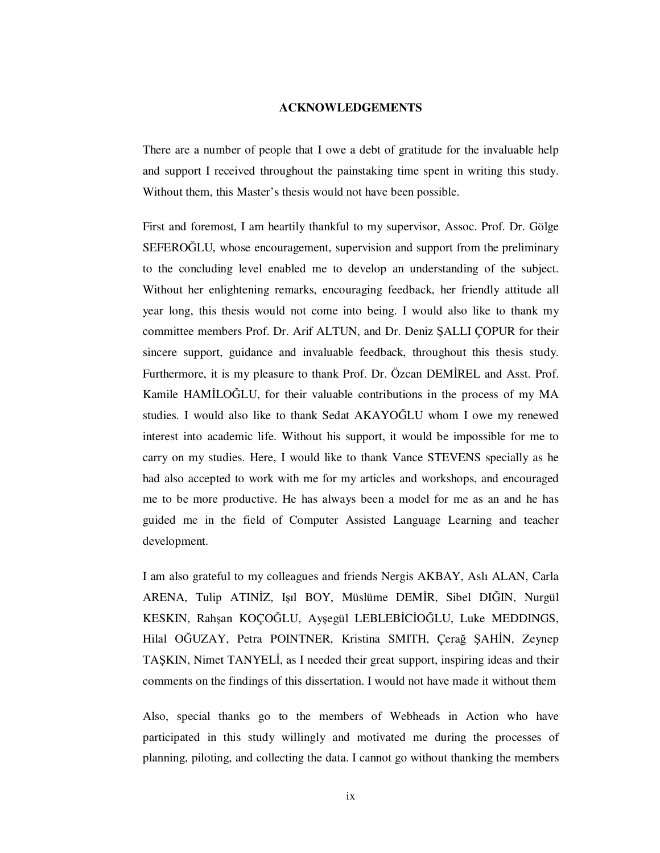#### **ACKNOWLEDGEMENTS**

There are a number of people that I owe a debt of gratitude for the invaluable help and support I received throughout the painstaking time spent in writing this study. Without them, this Master's thesis would not have been possible.

First and foremost, I am heartily thankful to my supervisor, Assoc. Prof. Dr. Gölge SEFEROĞLU, whose encouragement, supervision and support from the preliminary to the concluding level enabled me to develop an understanding of the subject. Without her enlightening remarks, encouraging feedback, her friendly attitude all year long, this thesis would not come into being. I would also like to thank my committee members Prof. Dr. Arif ALTUN, and Dr. Deniz ŞALLI ÇOPUR for their sincere support, guidance and invaluable feedback, throughout this thesis study. Furthermore, it is my pleasure to thank Prof. Dr. Özcan DEMİREL and Asst. Prof. Kamile HAMILOĞLU, for their valuable contributions in the process of my MA studies. I would also like to thank Sedat AKAYOĞLU whom I owe my renewed interest into academic life. Without his support, it would be impossible for me to carry on my studies. Here, I would like to thank Vance STEVENS specially as he had also accepted to work with me for my articles and workshops, and encouraged me to be more productive. He has always been a model for me as an and he has guided me in the field of Computer Assisted Language Learning and teacher development.

I am also grateful to my colleagues and friends Nergis AKBAY, Aslı ALAN, Carla ARENA, Tulip ATINİZ, Işıl BOY, Müslüme DEMİR, Sibel DIĞIN, Nurgül KESKIN, Rahşan KOÇOĞLU, Ayşegül LEBLEBİCİOĞLU, Luke MEDDINGS, Hilal OĞUZAY, Petra POINTNER, Kristina SMITH, Çerağ ŞAHİN, Zeynep TASKIN, Nimet TANYELI, as I needed their great support, inspiring ideas and their comments on the findings of this dissertation. I would not have made it without them

Also, special thanks go to the members of Webheads in Action who have participated in this study willingly and motivated me during the processes of planning, piloting, and collecting the data. I cannot go without thanking the members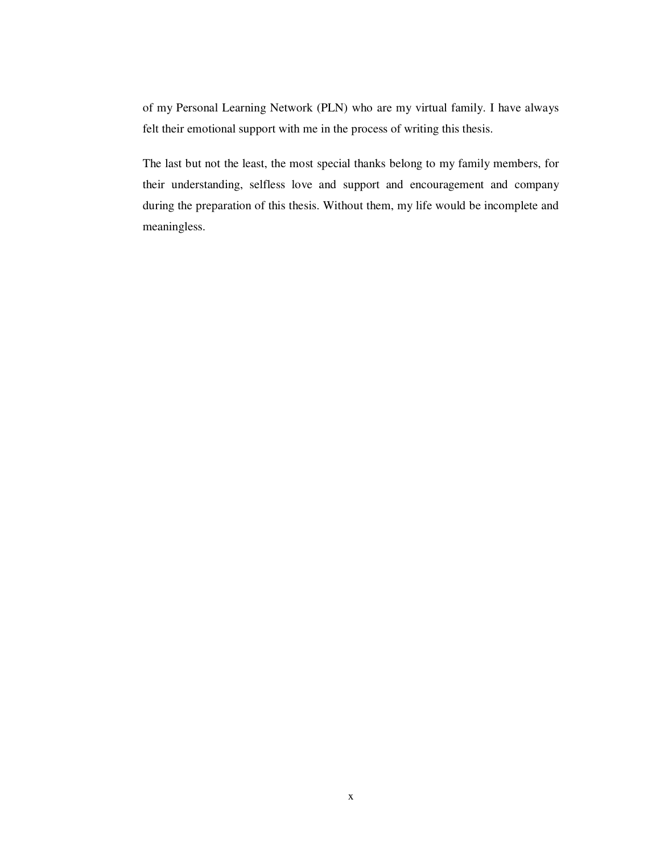of my Personal Learning Network (PLN) who are my virtual family. I have always felt their emotional support with me in the process of writing this thesis.

The last but not the least, the most special thanks belong to my family members, for their understanding, selfless love and support and encouragement and company during the preparation of this thesis. Without them, my life would be incomplete and meaningless.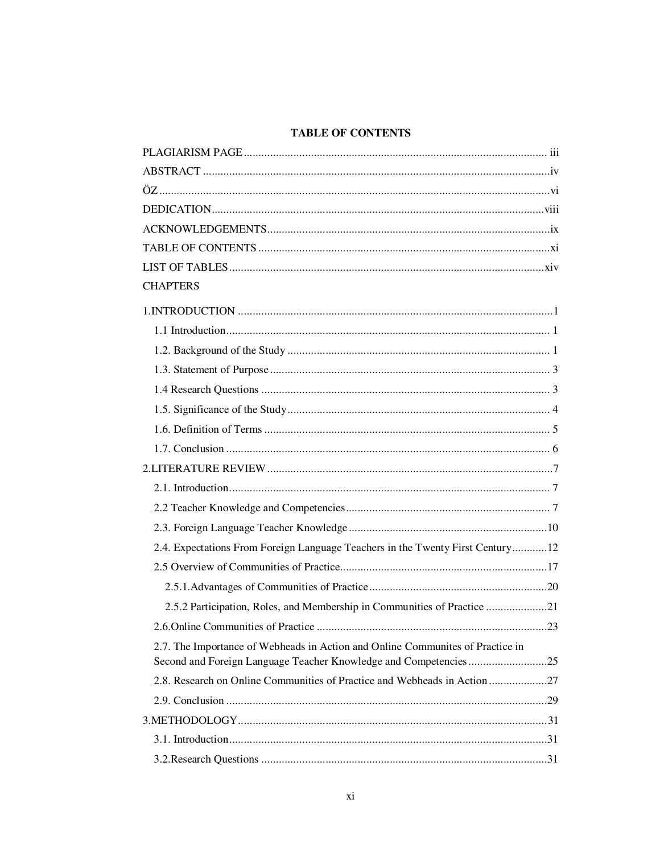# **TABLE OF CONTENTS**

| <b>CHAPTERS</b>                                                                |
|--------------------------------------------------------------------------------|
|                                                                                |
|                                                                                |
|                                                                                |
|                                                                                |
|                                                                                |
|                                                                                |
|                                                                                |
|                                                                                |
|                                                                                |
|                                                                                |
|                                                                                |
|                                                                                |
| 2.4. Expectations From Foreign Language Teachers in the Twenty First Century12 |
|                                                                                |
|                                                                                |
| 2.5.2 Participation, Roles, and Membership in Communities of Practice 21       |
|                                                                                |
| 2.7. The Importance of Webheads in Action and Online Communites of Practice in |
| 2.8. Research on Online Communities of Practice and Webheads in Action         |
|                                                                                |
|                                                                                |
|                                                                                |
|                                                                                |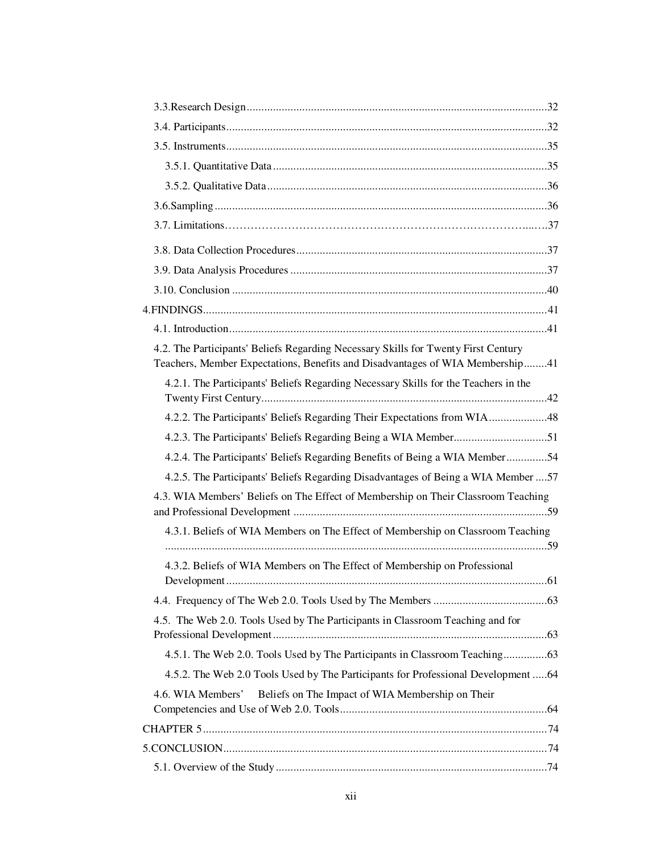| 4.2. The Participants' Beliefs Regarding Necessary Skills for Twenty First Century<br>Teachers, Member Expectations, Benefits and Disadvantages of WIA Membership41 |
|---------------------------------------------------------------------------------------------------------------------------------------------------------------------|
| 4.2.1. The Participants' Beliefs Regarding Necessary Skills for the Teachers in the                                                                                 |
| 4.2.2. The Participants' Beliefs Regarding Their Expectations from WIA48                                                                                            |
| 4.2.3. The Participants' Beliefs Regarding Being a WIA Member51                                                                                                     |
| 4.2.4. The Participants' Beliefs Regarding Benefits of Being a WIA Member54                                                                                         |
| 4.2.5. The Participants' Beliefs Regarding Disadvantages of Being a WIA Member  57                                                                                  |
| 4.3. WIA Members' Beliefs on The Effect of Membership on Their Classroom Teaching                                                                                   |
| 4.3.1. Beliefs of WIA Members on The Effect of Membership on Classroom Teaching                                                                                     |
| 4.3.2. Beliefs of WIA Members on The Effect of Membership on Professional                                                                                           |
|                                                                                                                                                                     |
| 4.5. The Web 2.0. Tools Used by The Participants in Classroom Teaching and for                                                                                      |
| 4.5.1. The Web 2.0. Tools Used by The Participants in Classroom Teaching63                                                                                          |
| 4.5.2. The Web 2.0 Tools Used by The Participants for Professional Development 64                                                                                   |
| Beliefs on The Impact of WIA Membership on Their<br>4.6. WIA Members'                                                                                               |
|                                                                                                                                                                     |
|                                                                                                                                                                     |
|                                                                                                                                                                     |
|                                                                                                                                                                     |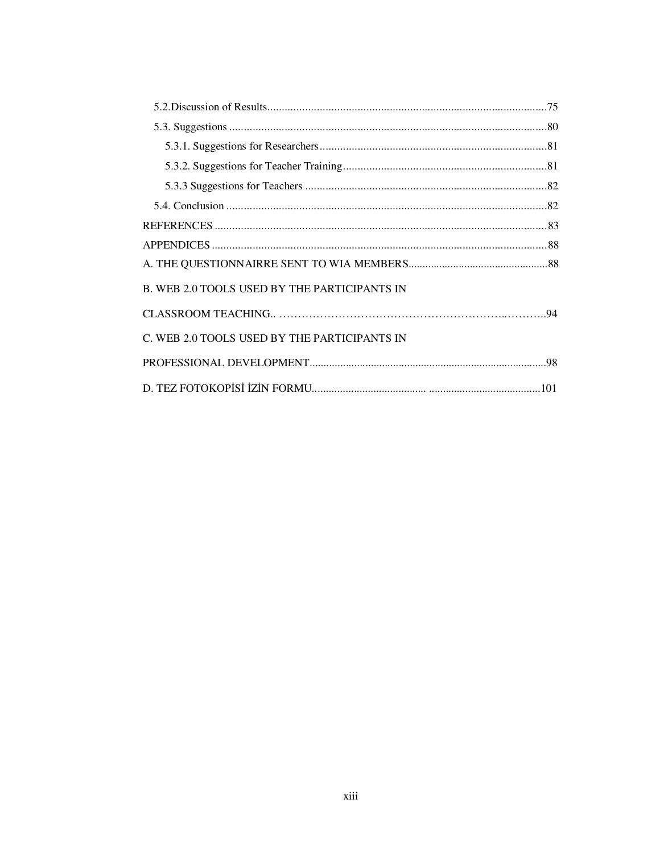| B. WEB 2.0 TOOLS USED BY THE PARTICIPANTS IN |  |
|----------------------------------------------|--|
|                                              |  |
| C. WEB 2.0 TOOLS USED BY THE PARTICIPANTS IN |  |
|                                              |  |
|                                              |  |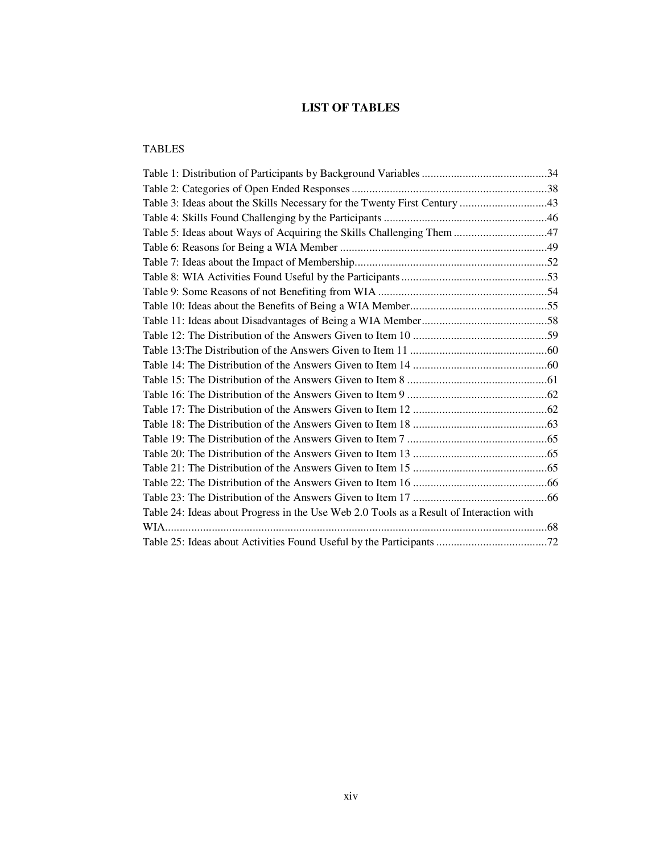# **LIST OF TABLES**

## TABLES

| Table 3: Ideas about the Skills Necessary for the Twenty First Century 43               |  |
|-----------------------------------------------------------------------------------------|--|
|                                                                                         |  |
| Table 5: Ideas about Ways of Acquiring the Skills Challenging Them 47                   |  |
|                                                                                         |  |
|                                                                                         |  |
|                                                                                         |  |
|                                                                                         |  |
|                                                                                         |  |
|                                                                                         |  |
|                                                                                         |  |
|                                                                                         |  |
|                                                                                         |  |
|                                                                                         |  |
|                                                                                         |  |
|                                                                                         |  |
|                                                                                         |  |
|                                                                                         |  |
|                                                                                         |  |
|                                                                                         |  |
|                                                                                         |  |
|                                                                                         |  |
| Table 24: Ideas about Progress in the Use Web 2.0 Tools as a Result of Interaction with |  |
| $WIA$                                                                                   |  |
|                                                                                         |  |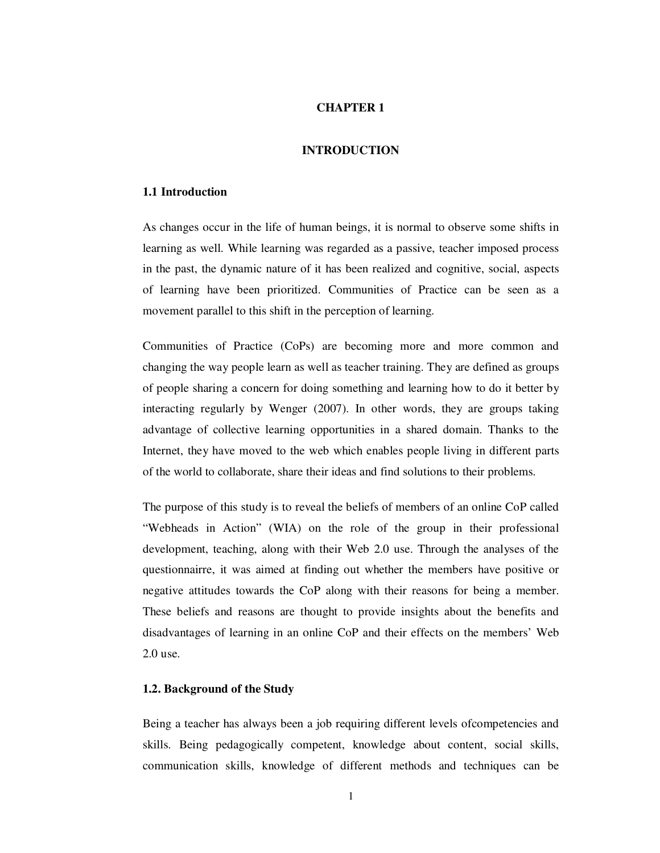#### **CHAPTER 1**

#### **INTRODUCTION**

## **1.1 Introduction**

As changes occur in the life of human beings, it is normal to observe some shifts in learning as well. While learning was regarded as a passive, teacher imposed process in the past, the dynamic nature of it has been realized and cognitive, social, aspects of learning have been prioritized. Communities of Practice can be seen as a movement parallel to this shift in the perception of learning.

Communities of Practice (CoPs) are becoming more and more common and changing the way people learn as well as teacher training. They are defined as groups of people sharing a concern for doing something and learning how to do it better by interacting regularly by Wenger (2007). In other words, they are groups taking advantage of collective learning opportunities in a shared domain. Thanks to the Internet, they have moved to the web which enables people living in different parts of the world to collaborate, share their ideas and find solutions to their problems.

The purpose of this study is to reveal the beliefs of members of an online CoP called "Webheads in Action" (WIA) on the role of the group in their professional development, teaching, along with their Web 2.0 use. Through the analyses of the questionnairre, it was aimed at finding out whether the members have positive or negative attitudes towards the CoP along with their reasons for being a member. These beliefs and reasons are thought to provide insights about the benefits and disadvantages of learning in an online CoP and their effects on the members' Web 2.0 use.

#### **1.2. Background of the Study**

Being a teacher has always been a job requiring different levels ofcompetencies and skills. Being pedagogically competent, knowledge about content, social skills, communication skills, knowledge of different methods and techniques can be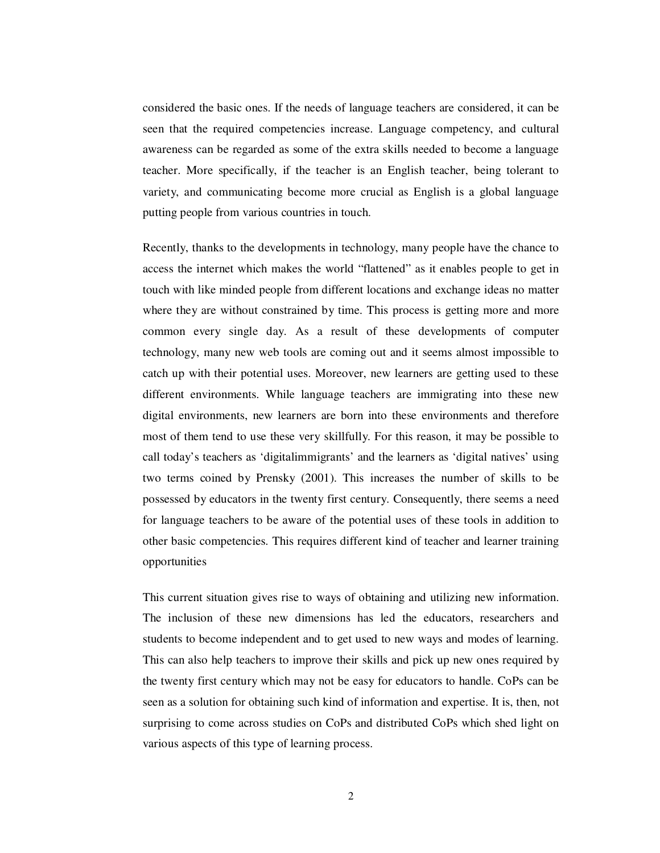considered the basic ones. If the needs of language teachers are considered, it can be seen that the required competencies increase. Language competency, and cultural awareness can be regarded as some of the extra skills needed to become a language teacher. More specifically, if the teacher is an English teacher, being tolerant to variety, and communicating become more crucial as English is a global language putting people from various countries in touch.

Recently, thanks to the developments in technology, many people have the chance to access the internet which makes the world "flattened" as it enables people to get in touch with like minded people from different locations and exchange ideas no matter where they are without constrained by time. This process is getting more and more common every single day. As a result of these developments of computer technology, many new web tools are coming out and it seems almost impossible to catch up with their potential uses. Moreover, new learners are getting used to these different environments. While language teachers are immigrating into these new digital environments, new learners are born into these environments and therefore most of them tend to use these very skillfully. For this reason, it may be possible to call today's teachers as 'digitalimmigrants' and the learners as 'digital natives' using two terms coined by Prensky (2001). This increases the number of skills to be possessed by educators in the twenty first century. Consequently, there seems a need for language teachers to be aware of the potential uses of these tools in addition to other basic competencies. This requires different kind of teacher and learner training opportunities

This current situation gives rise to ways of obtaining and utilizing new information. The inclusion of these new dimensions has led the educators, researchers and students to become independent and to get used to new ways and modes of learning. This can also help teachers to improve their skills and pick up new ones required by the twenty first century which may not be easy for educators to handle. CoPs can be seen as a solution for obtaining such kind of information and expertise. It is, then, not surprising to come across studies on CoPs and distributed CoPs which shed light on various aspects of this type of learning process.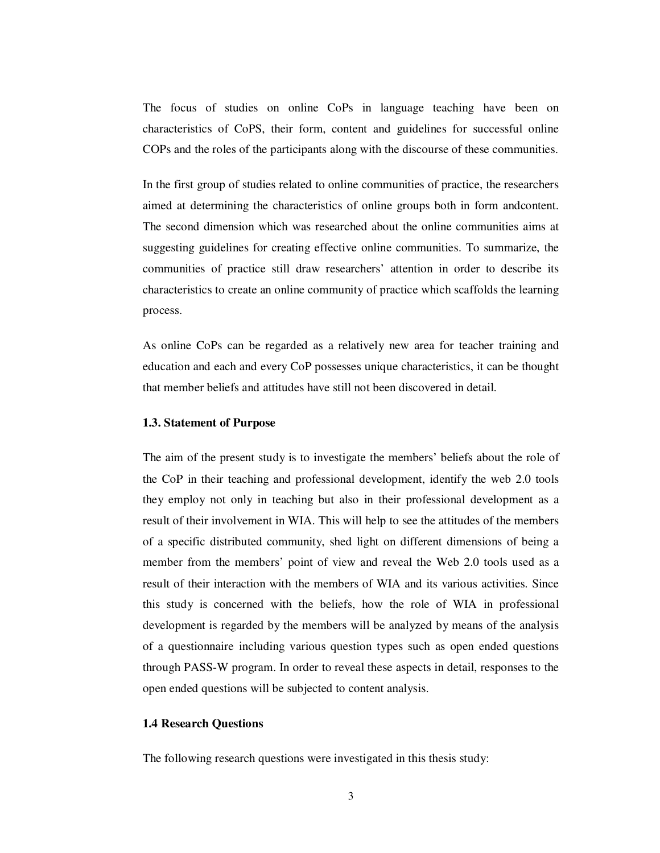The focus of studies on online CoPs in language teaching have been on characteristics of CoPS, their form, content and guidelines for successful online COPs and the roles of the participants along with the discourse of these communities.

In the first group of studies related to online communities of practice, the researchers aimed at determining the characteristics of online groups both in form andcontent. The second dimension which was researched about the online communities aims at suggesting guidelines for creating effective online communities. To summarize, the communities of practice still draw researchers' attention in order to describe its characteristics to create an online community of practice which scaffolds the learning process.

As online CoPs can be regarded as a relatively new area for teacher training and education and each and every CoP possesses unique characteristics, it can be thought that member beliefs and attitudes have still not been discovered in detail.

#### **1.3. Statement of Purpose**

The aim of the present study is to investigate the members' beliefs about the role of the CoP in their teaching and professional development, identify the web 2.0 tools they employ not only in teaching but also in their professional development as a result of their involvement in WIA. This will help to see the attitudes of the members of a specific distributed community, shed light on different dimensions of being a member from the members' point of view and reveal the Web 2.0 tools used as a result of their interaction with the members of WIA and its various activities. Since this study is concerned with the beliefs, how the role of WIA in professional development is regarded by the members will be analyzed by means of the analysis of a questionnaire including various question types such as open ended questions through PASS-W program. In order to reveal these aspects in detail, responses to the open ended questions will be subjected to content analysis.

### **1.4 Research Questions**

The following research questions were investigated in this thesis study: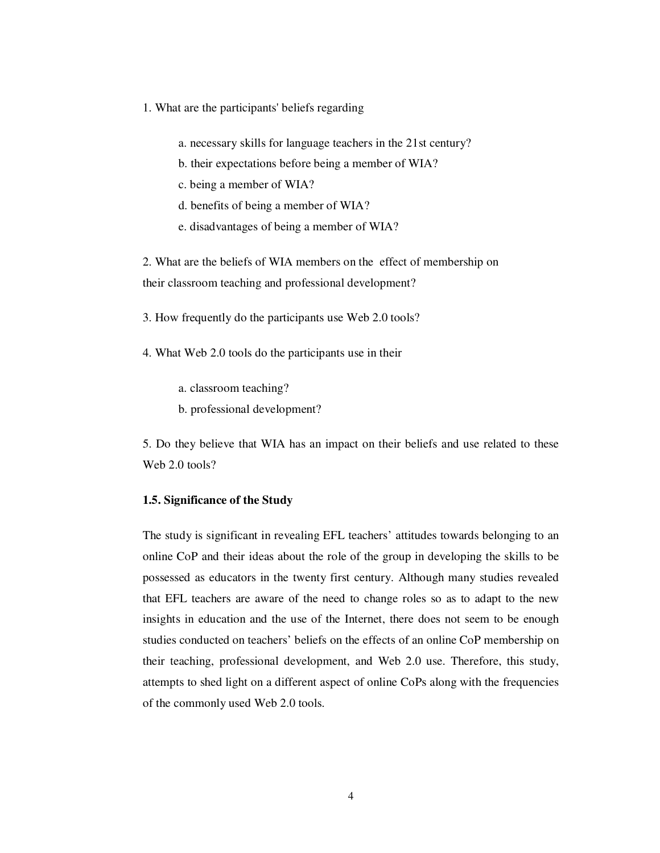- 1. What are the participants' beliefs regarding
	- a. necessary skills for language teachers in the 21st century?
	- b. their expectations before being a member of WIA?
	- c. being a member of WIA?
	- d. benefits of being a member of WIA?
	- e. disadvantages of being a member of WIA?

2. What are the beliefs of WIA members on the effect of membership on their classroom teaching and professional development?

3. How frequently do the participants use Web 2.0 tools?

- 4. What Web 2.0 tools do the participants use in their
	- a. classroom teaching?
	- b. professional development?

5. Do they believe that WIA has an impact on their beliefs and use related to these Web 2.0 tools?

#### **1.5. Significance of the Study**

The study is significant in revealing EFL teachers' attitudes towards belonging to an online CoP and their ideas about the role of the group in developing the skills to be possessed as educators in the twenty first century. Although many studies revealed that EFL teachers are aware of the need to change roles so as to adapt to the new insights in education and the use of the Internet, there does not seem to be enough studies conducted on teachers' beliefs on the effects of an online CoP membership on their teaching, professional development, and Web 2.0 use. Therefore, this study, attempts to shed light on a different aspect of online CoPs along with the frequencies of the commonly used Web 2.0 tools.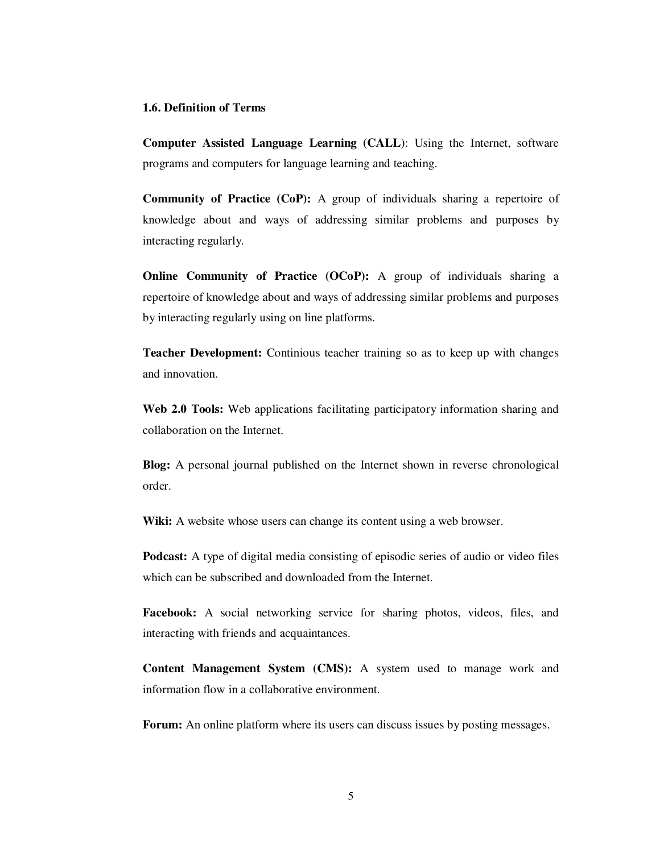#### **1.6. Definition of Terms**

**Computer Assisted Language Learning (CALL**): Using the Internet, software programs and computers for language learning and teaching.

**Community of Practice (CoP):** A group of individuals sharing a repertoire of knowledge about and ways of addressing similar problems and purposes by interacting regularly.

**Online Community of Practice (OCoP):** A group of individuals sharing a repertoire of knowledge about and ways of addressing similar problems and purposes by interacting regularly using on line platforms.

**Teacher Development:** Continious teacher training so as to keep up with changes and innovation.

**Web 2.0 Tools:** Web applications facilitating participatory information sharing and collaboration on the Internet.

**Blog:** A personal journal published on the Internet shown in reverse chronological order.

Wiki: A website whose users can change its content using a web browser.

**Podcast:** A type of digital media consisting of episodic series of audio or video files which can be subscribed and downloaded from the Internet.

**Facebook:** A social networking service for sharing photos, videos, files, and interacting with friends and acquaintances.

**Content Management System (CMS):** A system used to manage work and information flow in a collaborative environment.

**Forum:** An online platform where its users can discuss issues by posting messages.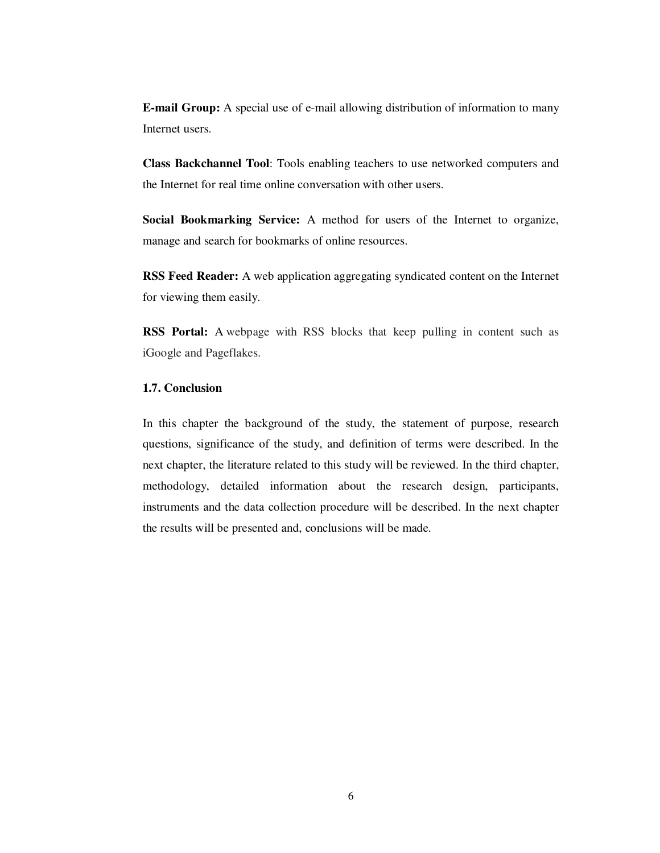**E-mail Group:** A special use of e-mail allowing distribution of information to many Internet users.

**Class Backchannel Tool**: Tools enabling teachers to use networked computers and the Internet for real time online conversation with other users.

**Social Bookmarking Service:** A method for users of the Internet to organize, manage and search for bookmarks of online resources.

**RSS Feed Reader:** A web application aggregating syndicated content on the Internet for viewing them easily.

**RSS Portal:** A webpage with RSS blocks that keep pulling in content such as iGoogle and Pageflakes.

## **1.7. Conclusion**

In this chapter the background of the study, the statement of purpose, research questions, significance of the study, and definition of terms were described. In the next chapter, the literature related to this study will be reviewed. In the third chapter, methodology, detailed information about the research design, participants, instruments and the data collection procedure will be described. In the next chapter the results will be presented and, conclusions will be made.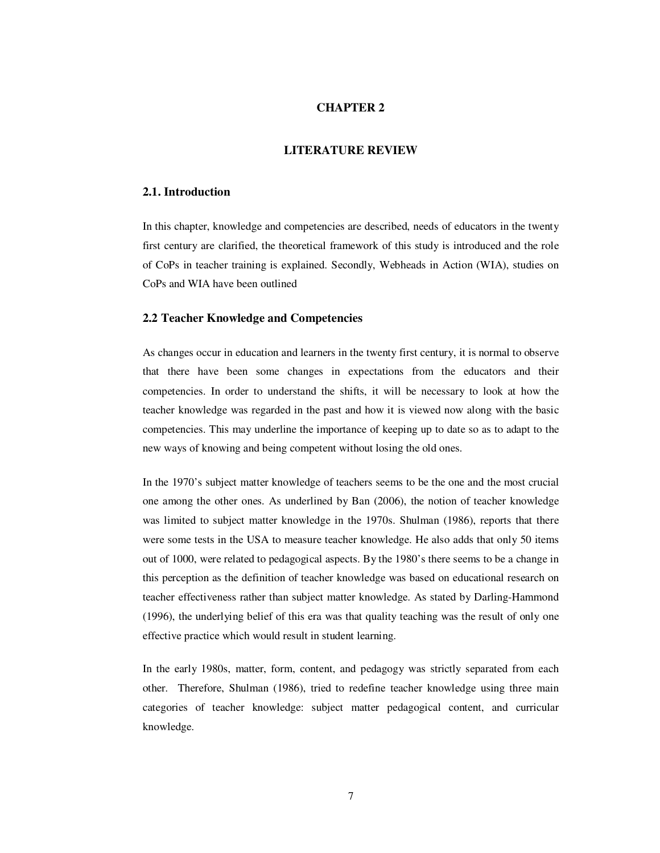#### **CHAPTER 2**

## **LITERATURE REVIEW**

## **2.1. Introduction**

In this chapter, knowledge and competencies are described, needs of educators in the twenty first century are clarified, the theoretical framework of this study is introduced and the role of CoPs in teacher training is explained. Secondly, Webheads in Action (WIA), studies on CoPs and WIA have been outlined

#### **2.2 Teacher Knowledge and Competencies**

As changes occur in education and learners in the twenty first century, it is normal to observe that there have been some changes in expectations from the educators and their competencies. In order to understand the shifts, it will be necessary to look at how the teacher knowledge was regarded in the past and how it is viewed now along with the basic competencies. This may underline the importance of keeping up to date so as to adapt to the new ways of knowing and being competent without losing the old ones.

In the 1970's subject matter knowledge of teachers seems to be the one and the most crucial one among the other ones. As underlined by Ban (2006), the notion of teacher knowledge was limited to subject matter knowledge in the 1970s. Shulman (1986), reports that there were some tests in the USA to measure teacher knowledge. He also adds that only 50 items out of 1000, were related to pedagogical aspects. By the 1980's there seems to be a change in this perception as the definition of teacher knowledge was based on educational research on teacher effectiveness rather than subject matter knowledge. As stated by Darling-Hammond (1996), the underlying belief of this era was that quality teaching was the result of only one effective practice which would result in student learning.

In the early 1980s, matter, form, content, and pedagogy was strictly separated from each other. Therefore, Shulman (1986), tried to redefine teacher knowledge using three main categories of teacher knowledge: subject matter pedagogical content, and curricular knowledge.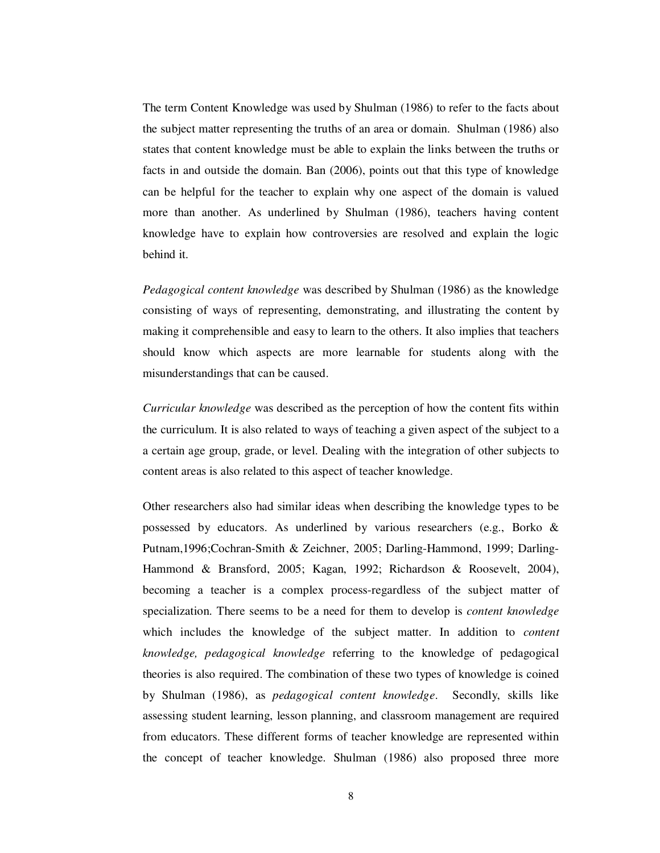The term Content Knowledge was used by Shulman (1986) to refer to the facts about the subject matter representing the truths of an area or domain. Shulman (1986) also states that content knowledge must be able to explain the links between the truths or facts in and outside the domain. Ban (2006), points out that this type of knowledge can be helpful for the teacher to explain why one aspect of the domain is valued more than another. As underlined by Shulman (1986), teachers having content knowledge have to explain how controversies are resolved and explain the logic behind it.

*Pedagogical content knowledge* was described by Shulman (1986) as the knowledge consisting of ways of representing, demonstrating, and illustrating the content by making it comprehensible and easy to learn to the others. It also implies that teachers should know which aspects are more learnable for students along with the misunderstandings that can be caused.

*Curricular knowledge* was described as the perception of how the content fits within the curriculum. It is also related to ways of teaching a given aspect of the subject to a a certain age group, grade, or level. Dealing with the integration of other subjects to content areas is also related to this aspect of teacher knowledge.

Other researchers also had similar ideas when describing the knowledge types to be possessed by educators. As underlined by various researchers (e.g., Borko & Putnam,1996;Cochran-Smith & Zeichner, 2005; Darling-Hammond, 1999; Darling-Hammond & Bransford, 2005; Kagan, 1992; Richardson & Roosevelt, 2004), becoming a teacher is a complex process-regardless of the subject matter of specialization. There seems to be a need for them to develop is *content knowledge*  which includes the knowledge of the subject matter. In addition to *content knowledge, pedagogical knowledge* referring to the knowledge of pedagogical theories is also required. The combination of these two types of knowledge is coined by Shulman (1986), as *pedagogical content knowledge*. Secondly, skills like assessing student learning, lesson planning, and classroom management are required from educators. These different forms of teacher knowledge are represented within the concept of teacher knowledge. Shulman (1986) also proposed three more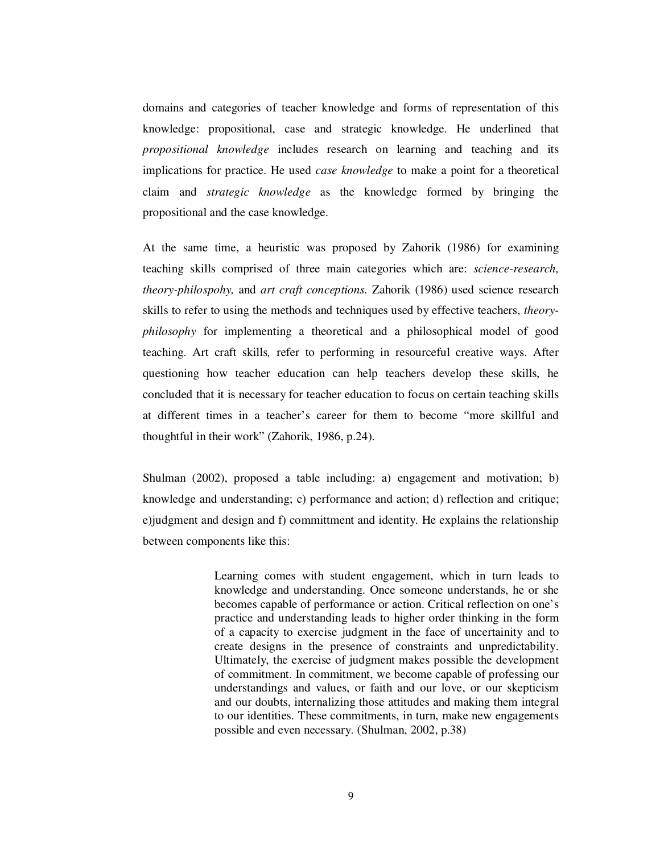domains and categories of teacher knowledge and forms of representation of this knowledge: propositional, case and strategic knowledge. He underlined that *propositional knowledge* includes research on learning and teaching and its implications for practice. He used *case knowledge* to make a point for a theoretical claim and *strategic knowledge* as the knowledge formed by bringing the propositional and the case knowledge.

At the same time, a heuristic was proposed by Zahorik (1986) for examining teaching skills comprised of three main categories which are: *science-research, theory-philospohy,* and *art craft conceptions.* Zahorik (1986) used science research skills to refer to using the methods and techniques used by effective teachers, *theoryphilosophy* for implementing a theoretical and a philosophical model of good teaching. Art craft skills*,* refer to performing in resourceful creative ways. After questioning how teacher education can help teachers develop these skills, he concluded that it is necessary for teacher education to focus on certain teaching skills at different times in a teacher's career for them to become "more skillful and thoughtful in their work" (Zahorik, 1986, p.24).

Shulman (2002), proposed a table including: a) engagement and motivation; b) knowledge and understanding; c) performance and action; d) reflection and critique; e)judgment and design and f) committment and identity. He explains the relationship between components like this:

> Learning comes with student engagement, which in turn leads to knowledge and understanding. Once someone understands, he or she becomes capable of performance or action. Critical reflection on one's practice and understanding leads to higher order thinking in the form of a capacity to exercise judgment in the face of uncertainity and to create designs in the presence of constraints and unpredictability. Ultimately, the exercise of judgment makes possible the development of commitment. In commitment, we become capable of professing our understandings and values, or faith and our love, or our skepticism and our doubts, internalizing those attitudes and making them integral to our identities. These commitments, in turn, make new engagements possible and even necessary. (Shulman, 2002, p.38)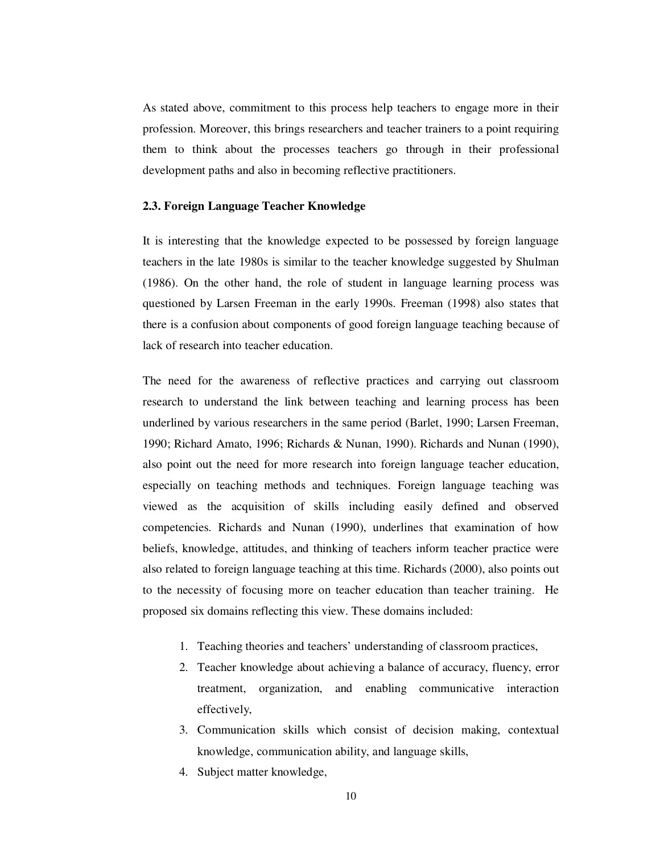As stated above, commitment to this process help teachers to engage more in their profession. Moreover, this brings researchers and teacher trainers to a point requiring them to think about the processes teachers go through in their professional development paths and also in becoming reflective practitioners.

#### **2.3. Foreign Language Teacher Knowledge**

It is interesting that the knowledge expected to be possessed by foreign language teachers in the late 1980s is similar to the teacher knowledge suggested by Shulman (1986). On the other hand, the role of student in language learning process was questioned by Larsen Freeman in the early 1990s. Freeman (1998) also states that there is a confusion about components of good foreign language teaching because of lack of research into teacher education.

The need for the awareness of reflective practices and carrying out classroom research to understand the link between teaching and learning process has been underlined by various researchers in the same period (Barlet, 1990; Larsen Freeman, 1990; Richard Amato, 1996; Richards & Nunan, 1990). Richards and Nunan (1990), also point out the need for more research into foreign language teacher education, especially on teaching methods and techniques. Foreign language teaching was viewed as the acquisition of skills including easily defined and observed competencies. Richards and Nunan (1990), underlines that examination of how beliefs, knowledge, attitudes, and thinking of teachers inform teacher practice were also related to foreign language teaching at this time. Richards (2000), also points out to the necessity of focusing more on teacher education than teacher training. He proposed six domains reflecting this view. These domains included:

- 1. Teaching theories and teachers' understanding of classroom practices,
- 2. Teacher knowledge about achieving a balance of accuracy, fluency, error treatment, organization, and enabling communicative interaction effectively,
- 3. Communication skills which consist of decision making, contextual knowledge, communication ability, and language skills,
- 4. Subject matter knowledge,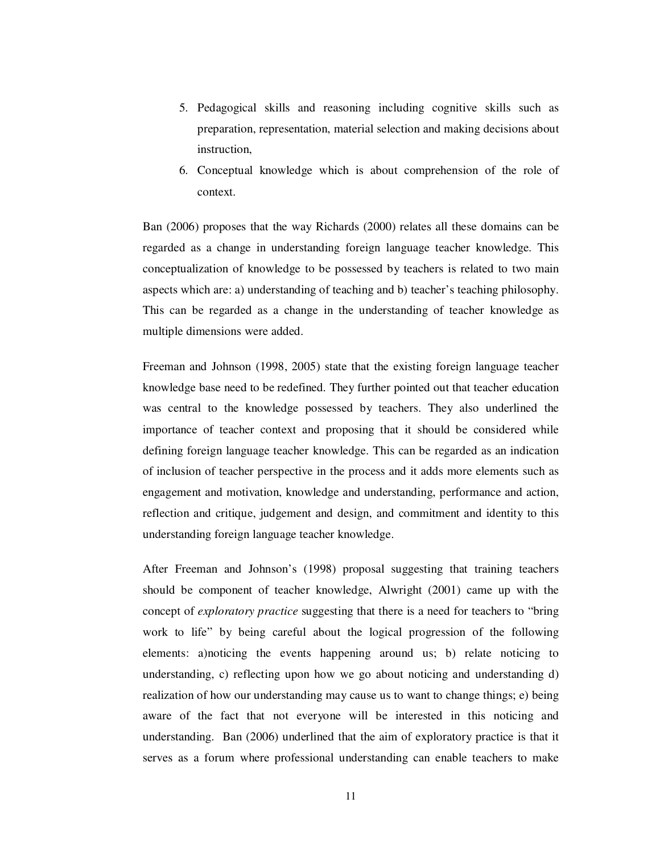- 5. Pedagogical skills and reasoning including cognitive skills such as preparation, representation, material selection and making decisions about instruction,
- 6. Conceptual knowledge which is about comprehension of the role of context.

Ban (2006) proposes that the way Richards (2000) relates all these domains can be regarded as a change in understanding foreign language teacher knowledge. This conceptualization of knowledge to be possessed by teachers is related to two main aspects which are: a) understanding of teaching and b) teacher's teaching philosophy. This can be regarded as a change in the understanding of teacher knowledge as multiple dimensions were added.

Freeman and Johnson (1998, 2005) state that the existing foreign language teacher knowledge base need to be redefined. They further pointed out that teacher education was central to the knowledge possessed by teachers. They also underlined the importance of teacher context and proposing that it should be considered while defining foreign language teacher knowledge. This can be regarded as an indication of inclusion of teacher perspective in the process and it adds more elements such as engagement and motivation, knowledge and understanding, performance and action, reflection and critique, judgement and design, and commitment and identity to this understanding foreign language teacher knowledge.

After Freeman and Johnson's (1998) proposal suggesting that training teachers should be component of teacher knowledge, Alwright (2001) came up with the concept of *exploratory practice* suggesting that there is a need for teachers to "bring work to life" by being careful about the logical progression of the following elements: a)noticing the events happening around us; b) relate noticing to understanding, c) reflecting upon how we go about noticing and understanding d) realization of how our understanding may cause us to want to change things; e) being aware of the fact that not everyone will be interested in this noticing and understanding. Ban (2006) underlined that the aim of exploratory practice is that it serves as a forum where professional understanding can enable teachers to make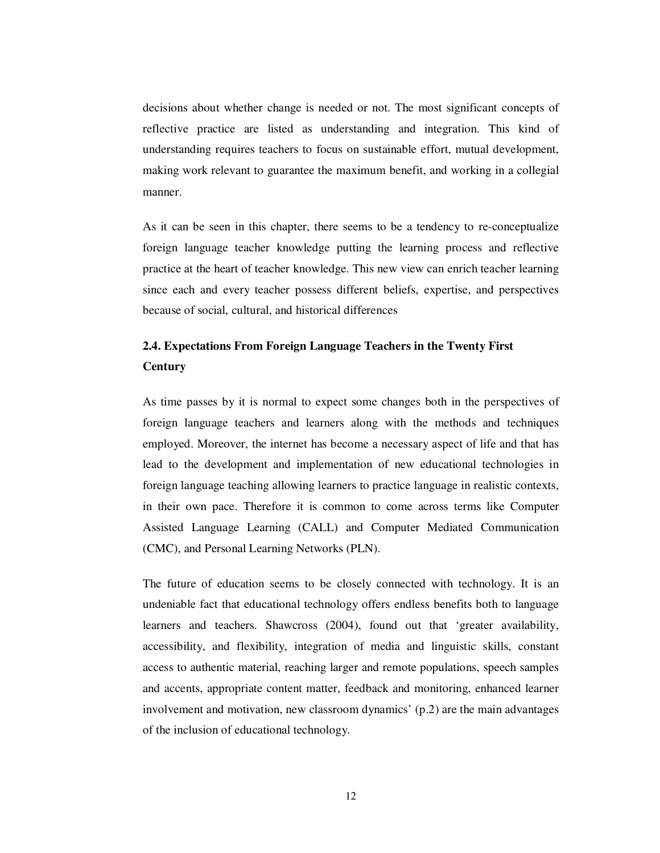decisions about whether change is needed or not. The most significant concepts of reflective practice are listed as understanding and integration. This kind of understanding requires teachers to focus on sustainable effort, mutual development, making work relevant to guarantee the maximum benefit, and working in a collegial manner.

As it can be seen in this chapter, there seems to be a tendency to re-conceptualize foreign language teacher knowledge putting the learning process and reflective practice at the heart of teacher knowledge. This new view can enrich teacher learning since each and every teacher possess different beliefs, expertise, and perspectives because of social, cultural, and historical differences

# **2.4. Expectations From Foreign Language Teachers in the Twenty First Century**

As time passes by it is normal to expect some changes both in the perspectives of foreign language teachers and learners along with the methods and techniques employed. Moreover, the internet has become a necessary aspect of life and that has lead to the development and implementation of new educational technologies in foreign language teaching allowing learners to practice language in realistic contexts, in their own pace. Therefore it is common to come across terms like Computer Assisted Language Learning (CALL) and Computer Mediated Communication (CMC), and Personal Learning Networks (PLN).

The future of education seems to be closely connected with technology. It is an undeniable fact that educational technology offers endless benefits both to language learners and teachers. Shawcross (2004), found out that 'greater availability, accessibility, and flexibility, integration of media and linguistic skills, constant access to authentic material, reaching larger and remote populations, speech samples and accents, appropriate content matter, feedback and monitoring, enhanced learner involvement and motivation, new classroom dynamics' (p.2) are the main advantages of the inclusion of educational technology.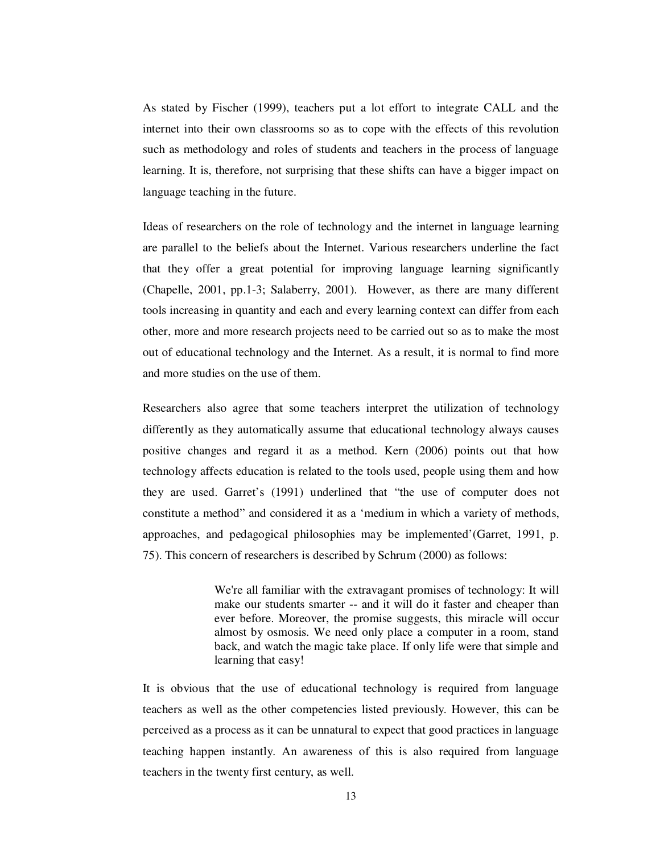As stated by Fischer (1999), teachers put a lot effort to integrate CALL and the internet into their own classrooms so as to cope with the effects of this revolution such as methodology and roles of students and teachers in the process of language learning. It is, therefore, not surprising that these shifts can have a bigger impact on language teaching in the future.

Ideas of researchers on the role of technology and the internet in language learning are parallel to the beliefs about the Internet. Various researchers underline the fact that they offer a great potential for improving language learning significantly (Chapelle, 2001, pp.1-3; Salaberry, 2001). However, as there are many different tools increasing in quantity and each and every learning context can differ from each other, more and more research projects need to be carried out so as to make the most out of educational technology and the Internet. As a result, it is normal to find more and more studies on the use of them.

Researchers also agree that some teachers interpret the utilization of technology differently as they automatically assume that educational technology always causes positive changes and regard it as a method. Kern (2006) points out that how technology affects education is related to the tools used, people using them and how they are used. Garret's (1991) underlined that "the use of computer does not constitute a method" and considered it as a 'medium in which a variety of methods, approaches, and pedagogical philosophies may be implemented'(Garret, 1991, p. 75). This concern of researchers is described by Schrum (2000) as follows:

> We're all familiar with the extravagant promises of technology: It will make our students smarter -- and it will do it faster and cheaper than ever before. Moreover, the promise suggests, this miracle will occur almost by osmosis. We need only place a computer in a room, stand back, and watch the magic take place. If only life were that simple and learning that easy!

It is obvious that the use of educational technology is required from language teachers as well as the other competencies listed previously. However, this can be perceived as a process as it can be unnatural to expect that good practices in language teaching happen instantly. An awareness of this is also required from language teachers in the twenty first century, as well.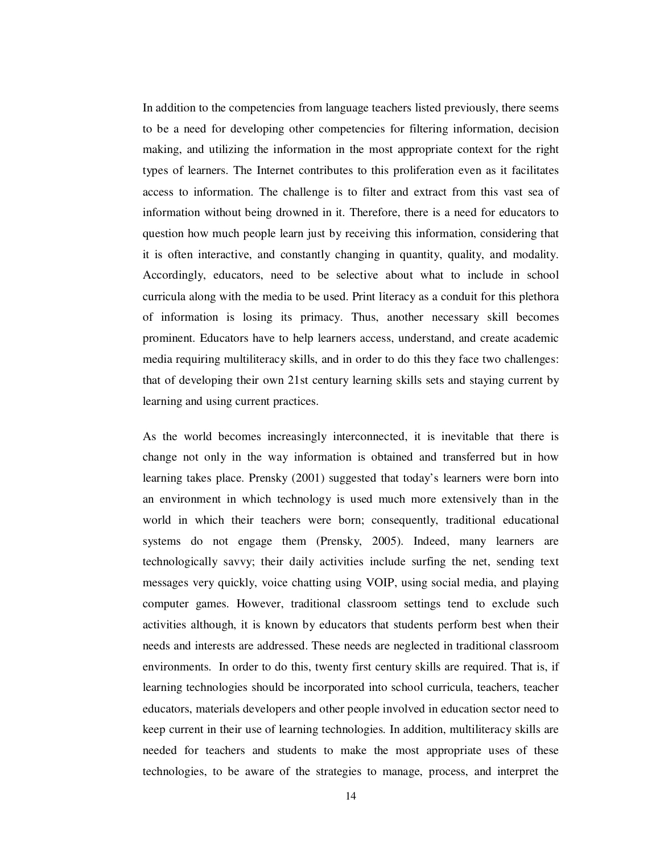In addition to the competencies from language teachers listed previously, there seems to be a need for developing other competencies for filtering information, decision making, and utilizing the information in the most appropriate context for the right types of learners. The Internet contributes to this proliferation even as it facilitates access to information. The challenge is to filter and extract from this vast sea of information without being drowned in it. Therefore, there is a need for educators to question how much people learn just by receiving this information, considering that it is often interactive, and constantly changing in quantity, quality, and modality. Accordingly, educators, need to be selective about what to include in school curricula along with the media to be used. Print literacy as a conduit for this plethora of information is losing its primacy. Thus, another necessary skill becomes prominent. Educators have to help learners access, understand, and create academic media requiring multiliteracy skills, and in order to do this they face two challenges: that of developing their own 21st century learning skills sets and staying current by learning and using current practices.

As the world becomes increasingly interconnected, it is inevitable that there is change not only in the way information is obtained and transferred but in how learning takes place. Prensky (2001) suggested that today's learners were born into an environment in which technology is used much more extensively than in the world in which their teachers were born; consequently, traditional educational systems do not engage them (Prensky, 2005). Indeed, many learners are technologically savvy; their daily activities include surfing the net, sending text messages very quickly, voice chatting using VOIP, using social media, and playing computer games. However, traditional classroom settings tend to exclude such activities although, it is known by educators that students perform best when their needs and interests are addressed. These needs are neglected in traditional classroom environments. In order to do this, twenty first century skills are required. That is, if learning technologies should be incorporated into school curricula, teachers, teacher educators, materials developers and other people involved in education sector need to keep current in their use of learning technologies. In addition, multiliteracy skills are needed for teachers and students to make the most appropriate uses of these technologies, to be aware of the strategies to manage, process, and interpret the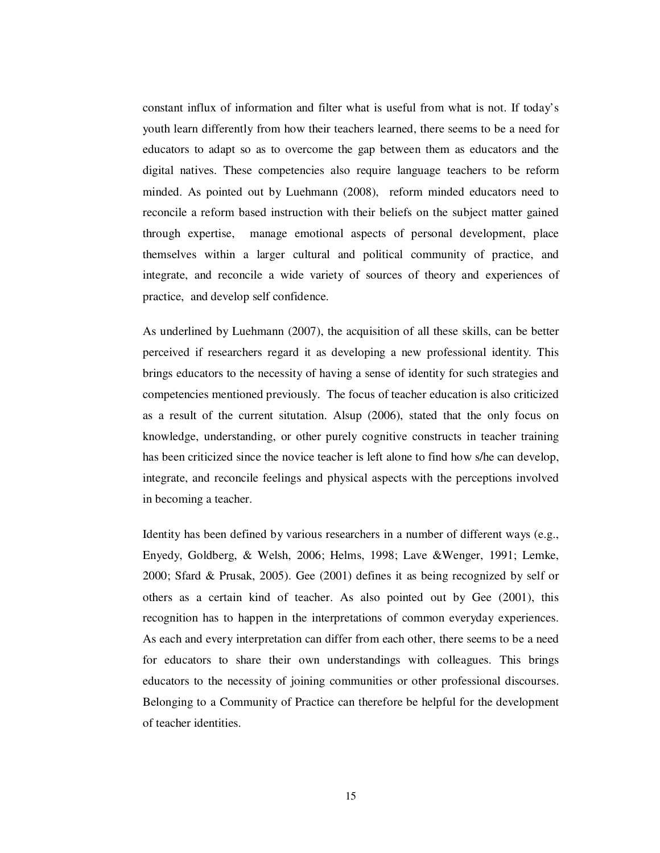constant influx of information and filter what is useful from what is not. If today's youth learn differently from how their teachers learned, there seems to be a need for educators to adapt so as to overcome the gap between them as educators and the digital natives. These competencies also require language teachers to be reform minded. As pointed out by Luehmann (2008), reform minded educators need to reconcile a reform based instruction with their beliefs on the subject matter gained through expertise, manage emotional aspects of personal development, place themselves within a larger cultural and political community of practice, and integrate, and reconcile a wide variety of sources of theory and experiences of practice, and develop self confidence.

As underlined by Luehmann (2007), the acquisition of all these skills, can be better perceived if researchers regard it as developing a new professional identity. This brings educators to the necessity of having a sense of identity for such strategies and competencies mentioned previously. The focus of teacher education is also criticized as a result of the current situtation. Alsup (2006), stated that the only focus on knowledge, understanding, or other purely cognitive constructs in teacher training has been criticized since the novice teacher is left alone to find how s/he can develop, integrate, and reconcile feelings and physical aspects with the perceptions involved in becoming a teacher.

Identity has been defined by various researchers in a number of different ways (e.g., Enyedy, Goldberg, & Welsh, 2006; Helms, 1998; Lave &Wenger, 1991; Lemke, 2000; Sfard & Prusak, 2005). Gee (2001) defines it as being recognized by self or others as a certain kind of teacher. As also pointed out by Gee (2001), this recognition has to happen in the interpretations of common everyday experiences. As each and every interpretation can differ from each other, there seems to be a need for educators to share their own understandings with colleagues. This brings educators to the necessity of joining communities or other professional discourses. Belonging to a Community of Practice can therefore be helpful for the development of teacher identities.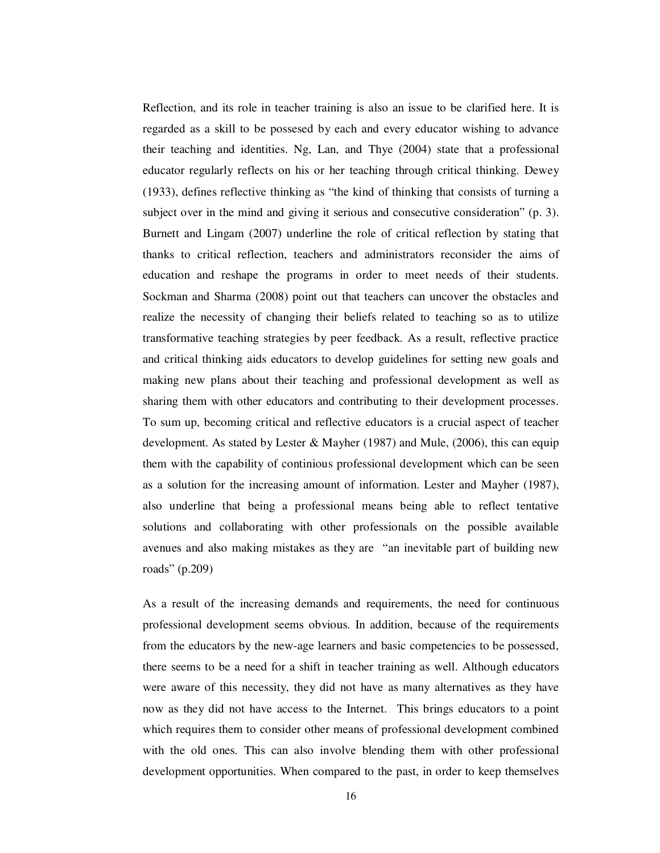Reflection, and its role in teacher training is also an issue to be clarified here. It is regarded as a skill to be possesed by each and every educator wishing to advance their teaching and identities. Ng, Lan, and Thye (2004) state that a professional educator regularly reflects on his or her teaching through critical thinking. Dewey (1933), defines reflective thinking as "the kind of thinking that consists of turning a subject over in the mind and giving it serious and consecutive consideration" (p. 3). Burnett and Lingam (2007) underline the role of critical reflection by stating that thanks to critical reflection, teachers and administrators reconsider the aims of education and reshape the programs in order to meet needs of their students. Sockman and Sharma (2008) point out that teachers can uncover the obstacles and realize the necessity of changing their beliefs related to teaching so as to utilize transformative teaching strategies by peer feedback. As a result, reflective practice and critical thinking aids educators to develop guidelines for setting new goals and making new plans about their teaching and professional development as well as sharing them with other educators and contributing to their development processes. To sum up, becoming critical and reflective educators is a crucial aspect of teacher development. As stated by Lester & Mayher (1987) and Mule, (2006), this can equip them with the capability of continious professional development which can be seen as a solution for the increasing amount of information. Lester and Mayher (1987), also underline that being a professional means being able to reflect tentative solutions and collaborating with other professionals on the possible available avenues and also making mistakes as they are "an inevitable part of building new roads" (p.209)

As a result of the increasing demands and requirements, the need for continuous professional development seems obvious. In addition, because of the requirements from the educators by the new-age learners and basic competencies to be possessed, there seems to be a need for a shift in teacher training as well. Although educators were aware of this necessity, they did not have as many alternatives as they have now as they did not have access to the Internet. This brings educators to a point which requires them to consider other means of professional development combined with the old ones. This can also involve blending them with other professional development opportunities. When compared to the past, in order to keep themselves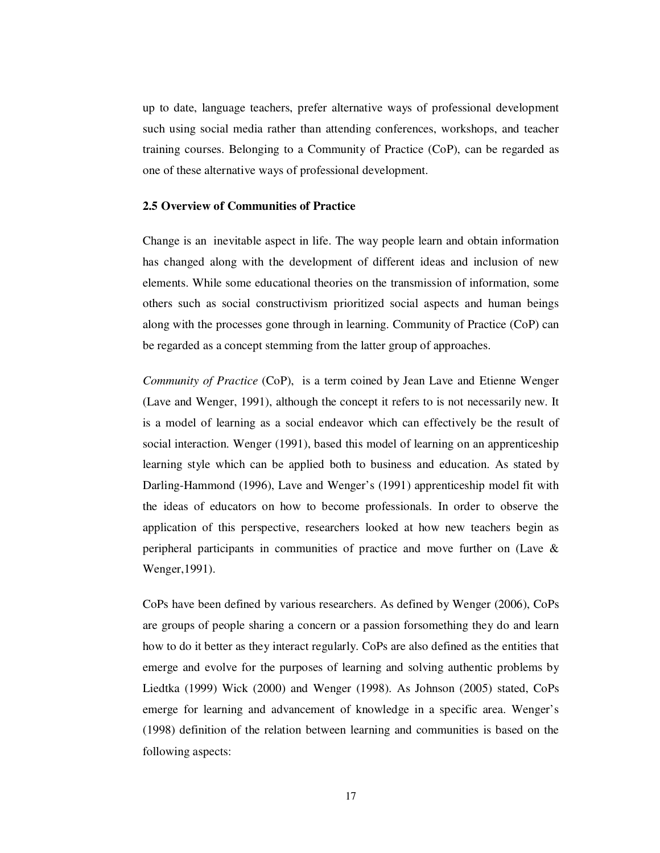up to date, language teachers, prefer alternative ways of professional development such using social media rather than attending conferences, workshops, and teacher training courses. Belonging to a Community of Practice (CoP), can be regarded as one of these alternative ways of professional development.

#### **2.5 Overview of Communities of Practice**

Change is an inevitable aspect in life. The way people learn and obtain information has changed along with the development of different ideas and inclusion of new elements. While some educational theories on the transmission of information, some others such as social constructivism prioritized social aspects and human beings along with the processes gone through in learning. Community of Practice (CoP) can be regarded as a concept stemming from the latter group of approaches.

*Community of Practice* (CoP), is a term coined by Jean Lave and Etienne Wenger (Lave and Wenger, 1991), although the concept it refers to is not necessarily new. It is a model of learning as a social endeavor which can effectively be the result of social interaction. Wenger (1991), based this model of learning on an apprenticeship learning style which can be applied both to business and education. As stated by Darling-Hammond (1996), Lave and Wenger's (1991) apprenticeship model fit with the ideas of educators on how to become professionals. In order to observe the application of this perspective, researchers looked at how new teachers begin as peripheral participants in communities of practice and move further on (Lave & Wenger,1991).

CoPs have been defined by various researchers. As defined by Wenger (2006), CoPs are groups of people sharing a concern or a passion forsomething they do and learn how to do it better as they interact regularly. CoPs are also defined as the entities that emerge and evolve for the purposes of learning and solving authentic problems by Liedtka (1999) Wick (2000) and Wenger (1998). As Johnson (2005) stated, CoPs emerge for learning and advancement of knowledge in a specific area. Wenger's (1998) definition of the relation between learning and communities is based on the following aspects: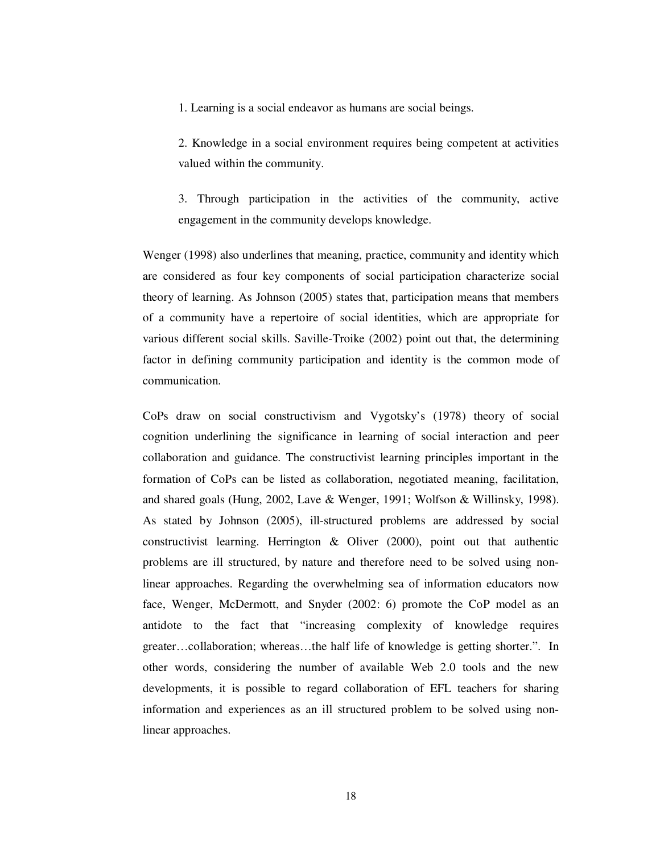1. Learning is a social endeavor as humans are social beings.

2. Knowledge in a social environment requires being competent at activities valued within the community.

3. Through participation in the activities of the community, active engagement in the community develops knowledge.

Wenger (1998) also underlines that meaning, practice, community and identity which are considered as four key components of social participation characterize social theory of learning. As Johnson (2005) states that, participation means that members of a community have a repertoire of social identities, which are appropriate for various different social skills. Saville-Troike (2002) point out that, the determining factor in defining community participation and identity is the common mode of communication.

CoPs draw on social constructivism and Vygotsky's (1978) theory of social cognition underlining the significance in learning of social interaction and peer collaboration and guidance. The constructivist learning principles important in the formation of CoPs can be listed as collaboration, negotiated meaning, facilitation, and shared goals (Hung, 2002, Lave & Wenger, 1991; Wolfson & Willinsky, 1998). As stated by Johnson (2005), ill-structured problems are addressed by social constructivist learning. Herrington & Oliver (2000), point out that authentic problems are ill structured, by nature and therefore need to be solved using nonlinear approaches. Regarding the overwhelming sea of information educators now face, Wenger, McDermott, and Snyder (2002: 6) promote the CoP model as an antidote to the fact that "increasing complexity of knowledge requires greater…collaboration; whereas…the half life of knowledge is getting shorter.". In other words, considering the number of available Web 2.0 tools and the new developments, it is possible to regard collaboration of EFL teachers for sharing information and experiences as an ill structured problem to be solved using nonlinear approaches.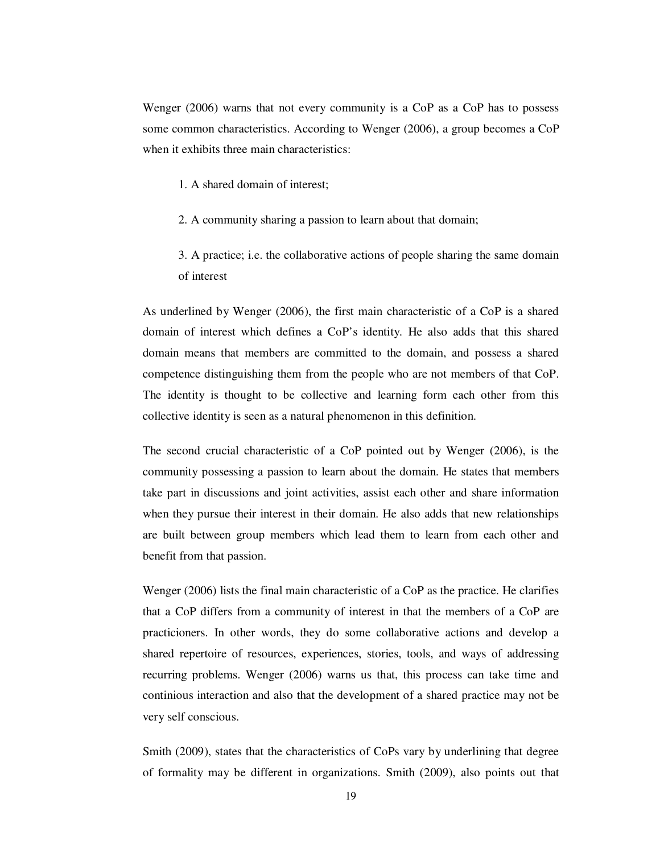Wenger (2006) warns that not every community is a CoP as a CoP has to possess some common characteristics. According to Wenger (2006), a group becomes a CoP when it exhibits three main characteristics:

- 1. A shared domain of interest;
- 2. A community sharing a passion to learn about that domain;
- 3. A practice; i.e. the collaborative actions of people sharing the same domain of interest

As underlined by Wenger (2006), the first main characteristic of a CoP is a shared domain of interest which defines a CoP's identity. He also adds that this shared domain means that members are committed to the domain, and possess a shared competence distinguishing them from the people who are not members of that CoP. The identity is thought to be collective and learning form each other from this collective identity is seen as a natural phenomenon in this definition.

The second crucial characteristic of a CoP pointed out by Wenger (2006), is the community possessing a passion to learn about the domain. He states that members take part in discussions and joint activities, assist each other and share information when they pursue their interest in their domain. He also adds that new relationships are built between group members which lead them to learn from each other and benefit from that passion.

Wenger (2006) lists the final main characteristic of a CoP as the practice. He clarifies that a CoP differs from a community of interest in that the members of a CoP are practicioners. In other words, they do some collaborative actions and develop a shared repertoire of resources, experiences, stories, tools, and ways of addressing recurring problems. Wenger (2006) warns us that, this process can take time and continious interaction and also that the development of a shared practice may not be very self conscious.

Smith (2009), states that the characteristics of CoPs vary by underlining that degree of formality may be different in organizations. Smith (2009), also points out that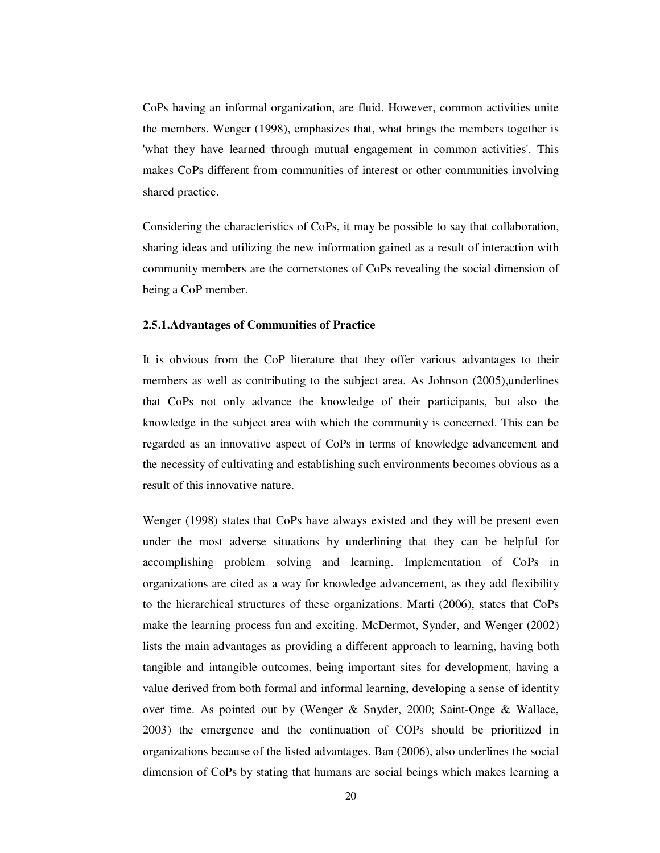CoPs having an informal organization, are fluid. However, common activities unite the members. Wenger (1998), emphasizes that, what brings the members together is 'what they have learned through mutual engagement in common activities'. This makes CoPs different from communities of interest or other communities involving shared practice.

Considering the characteristics of CoPs, it may be possible to say that collaboration, sharing ideas and utilizing the new information gained as a result of interaction with community members are the cornerstones of CoPs revealing the social dimension of being a CoP member.

#### **2.5.1.Advantages of Communities of Practice**

It is obvious from the CoP literature that they offer various advantages to their members as well as contributing to the subject area. As Johnson (2005),underlines that CoPs not only advance the knowledge of their participants, but also the knowledge in the subject area with which the community is concerned. This can be regarded as an innovative aspect of CoPs in terms of knowledge advancement and the necessity of cultivating and establishing such environments becomes obvious as a result of this innovative nature.

Wenger (1998) states that CoPs have always existed and they will be present even under the most adverse situations by underlining that they can be helpful for accomplishing problem solving and learning. Implementation of CoPs in organizations are cited as a way for knowledge advancement, as they add flexibility to the hierarchical structures of these organizations. Marti (2006), states that CoPs make the learning process fun and exciting. McDermot, Synder, and Wenger (2002) lists the main advantages as providing a different approach to learning, having both tangible and intangible outcomes, being important sites for development, having a value derived from both formal and informal learning, developing a sense of identity over time. As pointed out by **(**Wenger & Snyder, 2000; Saint-Onge & Wallace, 2003) the emergence and the continuation of COPs should be prioritized in organizations because of the listed advantages. Ban (2006), also underlines the social dimension of CoPs by stating that humans are social beings which makes learning a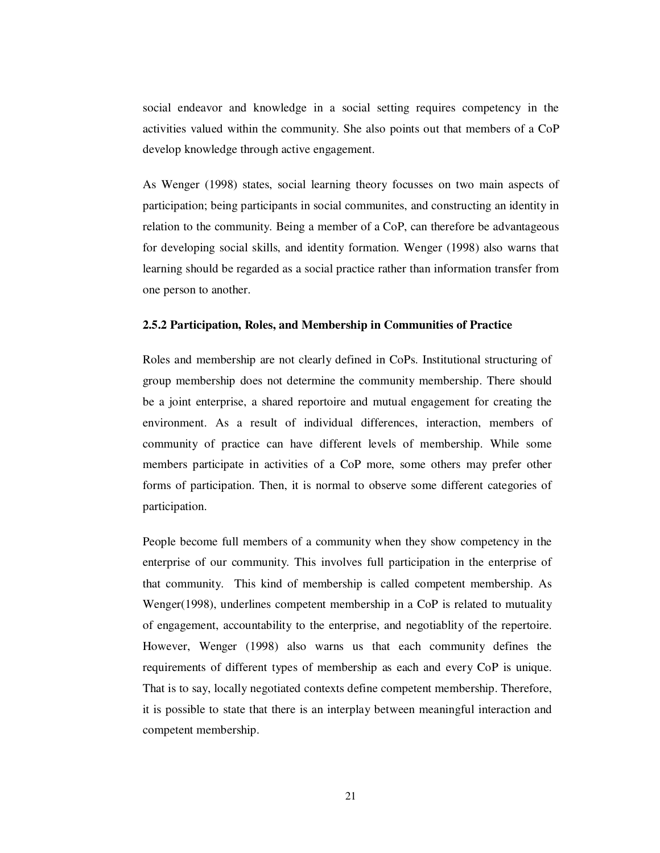social endeavor and knowledge in a social setting requires competency in the activities valued within the community. She also points out that members of a CoP develop knowledge through active engagement.

As Wenger (1998) states, social learning theory focusses on two main aspects of participation; being participants in social communites, and constructing an identity in relation to the community. Being a member of a CoP, can therefore be advantageous for developing social skills, and identity formation. Wenger (1998) also warns that learning should be regarded as a social practice rather than information transfer from one person to another.

#### **2.5.2 Participation, Roles, and Membership in Communities of Practice**

Roles and membership are not clearly defined in CoPs. Institutional structuring of group membership does not determine the community membership. There should be a joint enterprise, a shared reportoire and mutual engagement for creating the environment. As a result of individual differences, interaction, members of community of practice can have different levels of membership. While some members participate in activities of a CoP more, some others may prefer other forms of participation. Then, it is normal to observe some different categories of participation.

People become full members of a community when they show competency in the enterprise of our community. This involves full participation in the enterprise of that community. This kind of membership is called competent membership. As Wenger(1998), underlines competent membership in a CoP is related to mutuality of engagement, accountability to the enterprise, and negotiablity of the repertoire. However, Wenger (1998) also warns us that each community defines the requirements of different types of membership as each and every CoP is unique. That is to say, locally negotiated contexts define competent membership. Therefore, it is possible to state that there is an interplay between meaningful interaction and competent membership.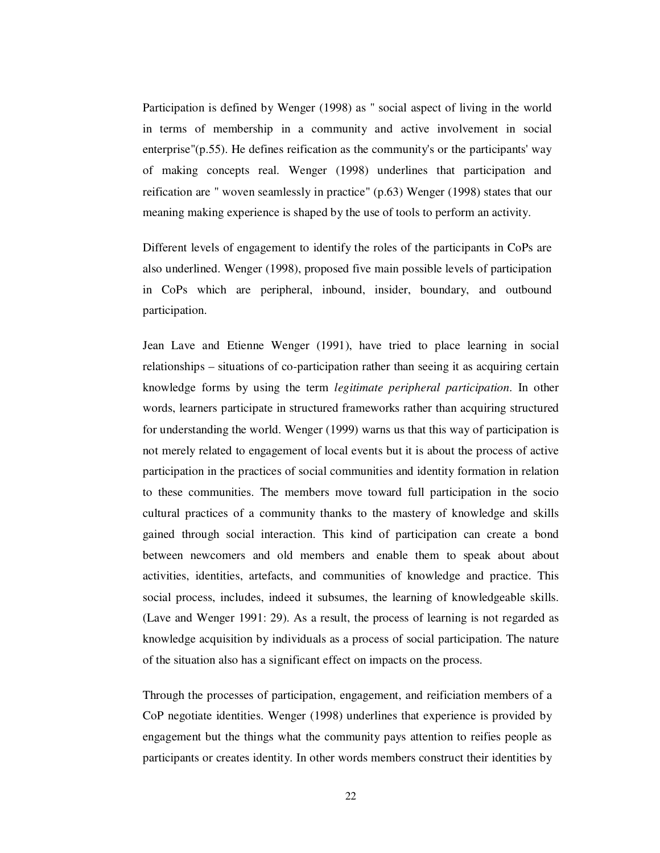Participation is defined by Wenger (1998) as " social aspect of living in the world in terms of membership in a community and active involvement in social enterprise"(p.55). He defines reification as the community's or the participants' way of making concepts real. Wenger (1998) underlines that participation and reification are " woven seamlessly in practice" (p.63) Wenger (1998) states that our meaning making experience is shaped by the use of tools to perform an activity.

Different levels of engagement to identify the roles of the participants in CoPs are also underlined. Wenger (1998), proposed five main possible levels of participation in CoPs which are peripheral, inbound, insider, boundary, and outbound participation.

Jean Lave and Etienne Wenger (1991), have tried to place learning in social relationships – situations of co-participation rather than seeing it as acquiring certain knowledge forms by using the term *legitimate peripheral participation*. In other words, learners participate in structured frameworks rather than acquiring structured for understanding the world. Wenger (1999) warns us that this way of participation is not merely related to engagement of local events but it is about the process of active participation in the practices of social communities and identity formation in relation to these communities. The members move toward full participation in the socio cultural practices of a community thanks to the mastery of knowledge and skills gained through social interaction. This kind of participation can create a bond between newcomers and old members and enable them to speak about about activities, identities, artefacts, and communities of knowledge and practice. This social process, includes, indeed it subsumes, the learning of knowledgeable skills. (Lave and Wenger 1991: 29). As a result, the process of learning is not regarded as knowledge acquisition by individuals as a process of social participation. The nature of the situation also has a significant effect on impacts on the process.

Through the processes of participation, engagement, and reificiation members of a CoP negotiate identities. Wenger (1998) underlines that experience is provided by engagement but the things what the community pays attention to reifies people as participants or creates identity. In other words members construct their identities by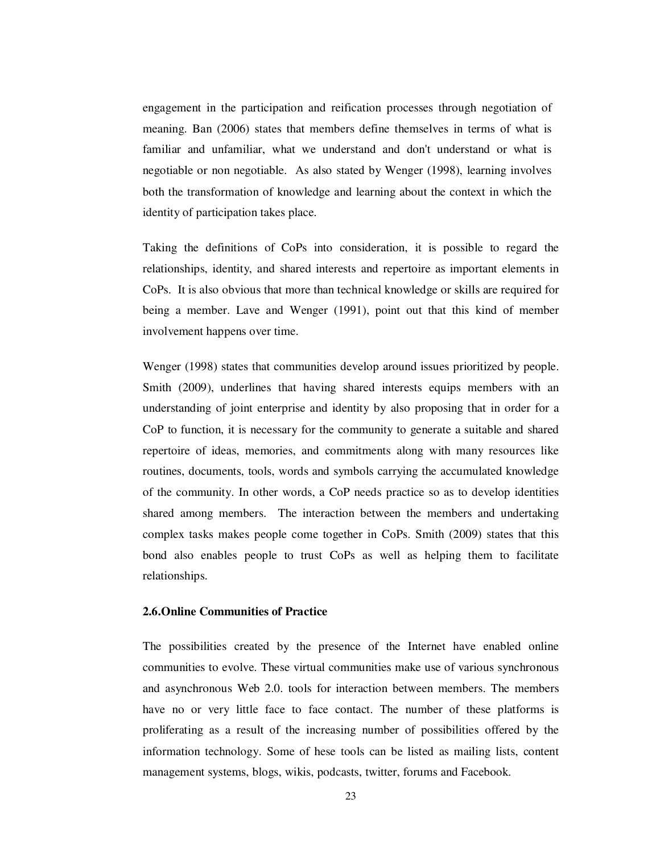engagement in the participation and reification processes through negotiation of meaning. Ban (2006) states that members define themselves in terms of what is familiar and unfamiliar, what we understand and don't understand or what is negotiable or non negotiable. As also stated by Wenger (1998), learning involves both the transformation of knowledge and learning about the context in which the identity of participation takes place.

Taking the definitions of CoPs into consideration, it is possible to regard the relationships, identity, and shared interests and repertoire as important elements in CoPs. It is also obvious that more than technical knowledge or skills are required for being a member. Lave and Wenger (1991), point out that this kind of member involvement happens over time.

Wenger (1998) states that communities develop around issues prioritized by people. Smith (2009), underlines that having shared interests equips members with an understanding of joint enterprise and identity by also proposing that in order for a CoP to function, it is necessary for the community to generate a suitable and shared repertoire of ideas, memories, and commitments along with many resources like routines, documents, tools, words and symbols carrying the accumulated knowledge of the community. In other words, a CoP needs practice so as to develop identities shared among members. The interaction between the members and undertaking complex tasks makes people come together in CoPs. Smith (2009) states that this bond also enables people to trust CoPs as well as helping them to facilitate relationships.

### **2.6.Online Communities of Practice**

The possibilities created by the presence of the Internet have enabled online communities to evolve. These virtual communities make use of various synchronous and asynchronous Web 2.0. tools for interaction between members. The members have no or very little face to face contact. The number of these platforms is proliferating as a result of the increasing number of possibilities offered by the information technology. Some of hese tools can be listed as mailing lists, content management systems, blogs, wikis, podcasts, twitter, forums and Facebook.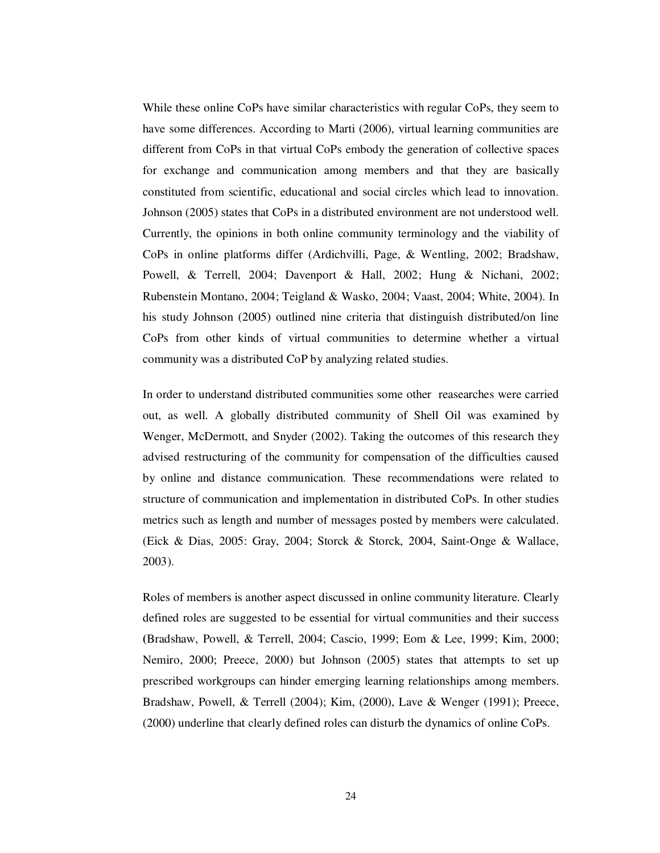While these online CoPs have similar characteristics with regular CoPs, they seem to have some differences. According to Marti (2006), virtual learning communities are different from CoPs in that virtual CoPs embody the generation of collective spaces for exchange and communication among members and that they are basically constituted from scientific, educational and social circles which lead to innovation. Johnson (2005) states that CoPs in a distributed environment are not understood well. Currently, the opinions in both online community terminology and the viability of CoPs in online platforms differ (Ardichvilli, Page, & Wentling, 2002; Bradshaw, Powell, & Terrell, 2004; Davenport & Hall, 2002; Hung & Nichani, 2002; Rubenstein Montano, 2004; Teigland & Wasko, 2004; Vaast, 2004; White, 2004). In his study Johnson (2005) outlined nine criteria that distinguish distributed/on line CoPs from other kinds of virtual communities to determine whether a virtual community was a distributed CoP by analyzing related studies.

In order to understand distributed communities some other reasearches were carried out, as well. A globally distributed community of Shell Oil was examined by Wenger, McDermott, and Snyder (2002). Taking the outcomes of this research they advised restructuring of the community for compensation of the difficulties caused by online and distance communication. These recommendations were related to structure of communication and implementation in distributed CoPs. In other studies metrics such as length and number of messages posted by members were calculated. (Eick & Dias, 2005: Gray, 2004; Storck & Storck, 2004, Saint-Onge & Wallace, 2003).

Roles of members is another aspect discussed in online community literature. Clearly defined roles are suggested to be essential for virtual communities and their success **(**Bradshaw, Powell, & Terrell, 2004; Cascio, 1999; Eom & Lee, 1999; Kim, 2000; Nemiro, 2000; Preece, 2000) but Johnson (2005) states that attempts to set up prescribed workgroups can hinder emerging learning relationships among members. Bradshaw, Powell, & Terrell (2004); Kim, (2000), Lave & Wenger (1991); Preece, (2000) underline that clearly defined roles can disturb the dynamics of online CoPs.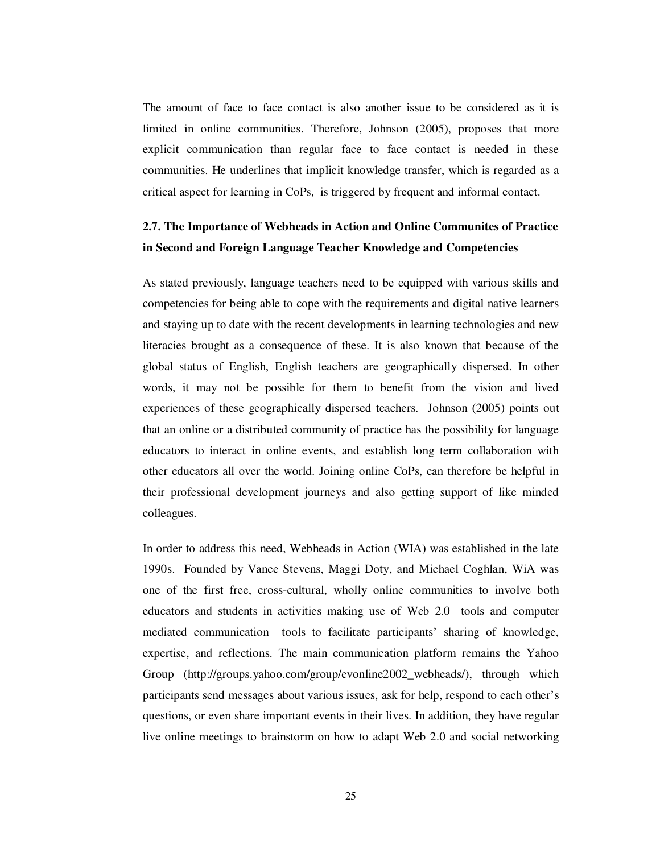The amount of face to face contact is also another issue to be considered as it is limited in online communities. Therefore, Johnson (2005), proposes that more explicit communication than regular face to face contact is needed in these communities. He underlines that implicit knowledge transfer, which is regarded as a critical aspect for learning in CoPs, is triggered by frequent and informal contact.

# **2.7. The Importance of Webheads in Action and Online Communites of Practice in Second and Foreign Language Teacher Knowledge and Competencies**

As stated previously, language teachers need to be equipped with various skills and competencies for being able to cope with the requirements and digital native learners and staying up to date with the recent developments in learning technologies and new literacies brought as a consequence of these. It is also known that because of the global status of English, English teachers are geographically dispersed. In other words, it may not be possible for them to benefit from the vision and lived experiences of these geographically dispersed teachers. Johnson (2005) points out that an online or a distributed community of practice has the possibility for language educators to interact in online events, and establish long term collaboration with other educators all over the world. Joining online CoPs, can therefore be helpful in their professional development journeys and also getting support of like minded colleagues.

In order to address this need, Webheads in Action (WIA) was established in the late 1990s. Founded by Vance Stevens, Maggi Doty, and Michael Coghlan, WiA was one of the first free, cross-cultural, wholly online communities to involve both educators and students in activities making use of Web 2.0 tools and computer mediated communication tools to facilitate participants' sharing of knowledge, expertise, and reflections. The main communication platform remains the Yahoo Group (http://groups.yahoo.com/group/evonline2002\_webheads/), through which participants send messages about various issues, ask for help, respond to each other's questions, or even share important events in their lives. In addition, they have regular live online meetings to brainstorm on how to adapt Web 2.0 and social networking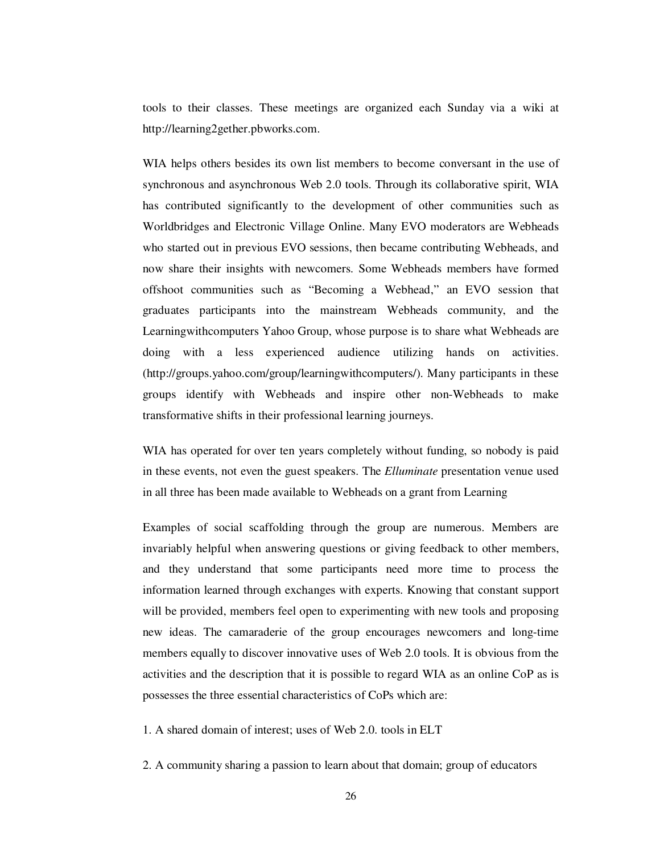tools to their classes. These meetings are organized each Sunday via a wiki at http://learning2gether.pbworks.com.

WIA helps others besides its own list members to become conversant in the use of synchronous and asynchronous Web 2.0 tools. Through its collaborative spirit, WIA has contributed significantly to the development of other communities such as Worldbridges and Electronic Village Online. Many EVO moderators are Webheads who started out in previous EVO sessions, then became contributing Webheads, and now share their insights with newcomers. Some Webheads members have formed offshoot communities such as "Becoming a Webhead," an EVO session that graduates participants into the mainstream Webheads community, and the Learningwithcomputers Yahoo Group, whose purpose is to share what Webheads are doing with a less experienced audience utilizing hands on activities. (http://groups.yahoo.com/group/learningwithcomputers/). Many participants in these groups identify with Webheads and inspire other non-Webheads to make transformative shifts in their professional learning journeys.

WIA has operated for over ten years completely without funding, so nobody is paid in these events, not even the guest speakers. The *Elluminate* presentation venue used in all three has been made available to Webheads on a grant from Learning

Examples of social scaffolding through the group are numerous. Members are invariably helpful when answering questions or giving feedback to other members, and they understand that some participants need more time to process the information learned through exchanges with experts. Knowing that constant support will be provided, members feel open to experimenting with new tools and proposing new ideas. The camaraderie of the group encourages newcomers and long-time members equally to discover innovative uses of Web 2.0 tools. It is obvious from the activities and the description that it is possible to regard WIA as an online CoP as is possesses the three essential characteristics of CoPs which are:

1. A shared domain of interest; uses of Web 2.0. tools in ELT

2. A community sharing a passion to learn about that domain; group of educators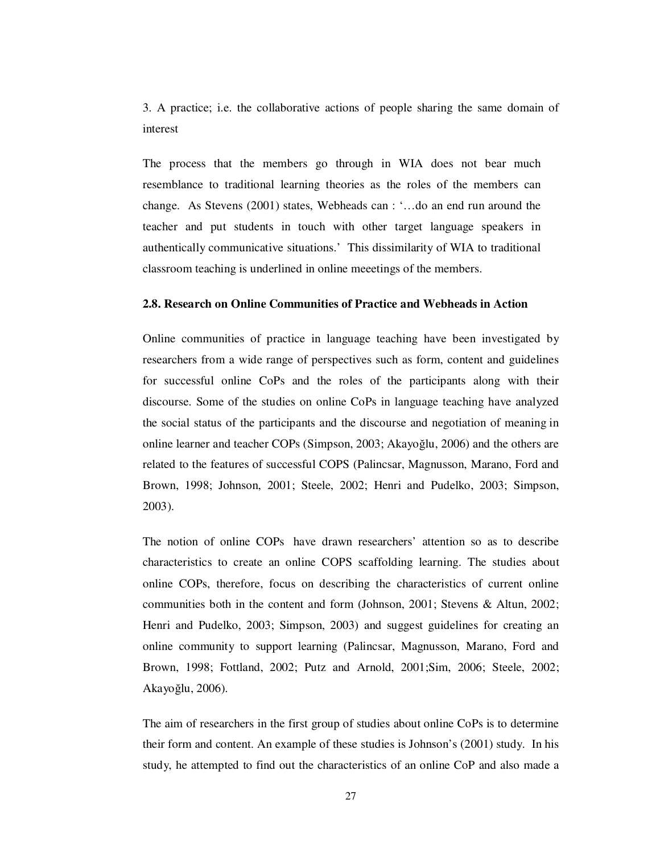3. A practice; i.e. the collaborative actions of people sharing the same domain of interest

The process that the members go through in WIA does not bear much resemblance to traditional learning theories as the roles of the members can change. As Stevens (2001) states, Webheads can : '…do an end run around the teacher and put students in touch with other target language speakers in authentically communicative situations.' This dissimilarity of WIA to traditional classroom teaching is underlined in online meeetings of the members.

## **2.8. Research on Online Communities of Practice and Webheads in Action**

Online communities of practice in language teaching have been investigated by researchers from a wide range of perspectives such as form, content and guidelines for successful online CoPs and the roles of the participants along with their discourse. Some of the studies on online CoPs in language teaching have analyzed the social status of the participants and the discourse and negotiation of meaning in online learner and teacher COPs (Simpson, 2003; Akayoğlu, 2006) and the others are related to the features of successful COPS (Palincsar, Magnusson, Marano, Ford and Brown, 1998; Johnson, 2001; Steele, 2002; Henri and Pudelko, 2003; Simpson, 2003).

The notion of online COPs have drawn researchers' attention so as to describe characteristics to create an online COPS scaffolding learning. The studies about online COPs, therefore, focus on describing the characteristics of current online communities both in the content and form (Johnson, 2001; Stevens & Altun, 2002; Henri and Pudelko, 2003; Simpson, 2003) and suggest guidelines for creating an online community to support learning (Palincsar, Magnusson, Marano, Ford and Brown, 1998; Fottland, 2002; Putz and Arnold, 2001;Sim, 2006; Steele, 2002; Akayoğlu, 2006).

The aim of researchers in the first group of studies about online CoPs is to determine their form and content. An example of these studies is Johnson's (2001) study. In his study, he attempted to find out the characteristics of an online CoP and also made a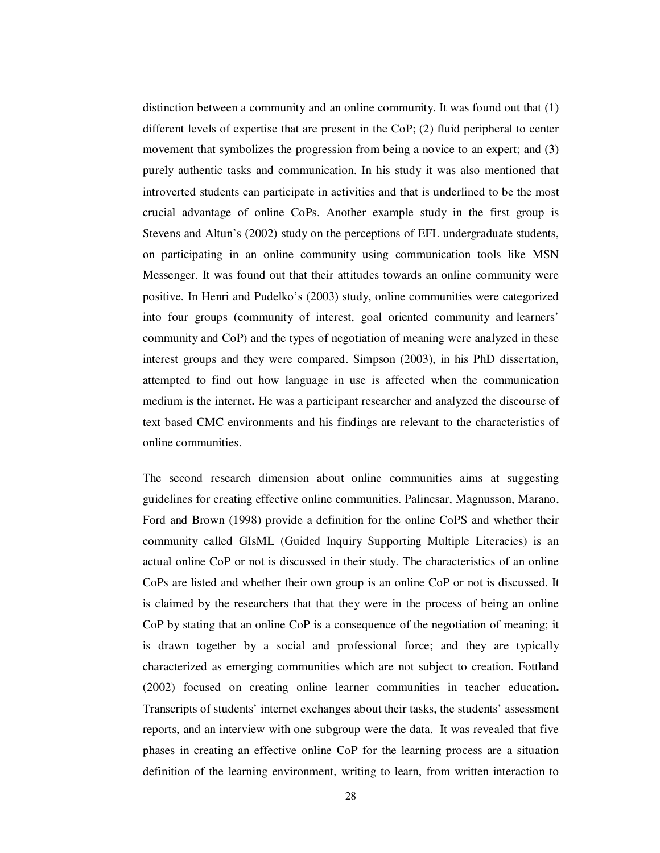distinction between a community and an online community. It was found out that (1) different levels of expertise that are present in the CoP; (2) fluid peripheral to center movement that symbolizes the progression from being a novice to an expert; and (3) purely authentic tasks and communication. In his study it was also mentioned that introverted students can participate in activities and that is underlined to be the most crucial advantage of online CoPs. Another example study in the first group is Stevens and Altun's (2002) study on the perceptions of EFL undergraduate students, on participating in an online community using communication tools like MSN Messenger. It was found out that their attitudes towards an online community were positive. In Henri and Pudelko's (2003) study, online communities were categorized into four groups (community of interest, goal oriented community and learners' community and CoP) and the types of negotiation of meaning were analyzed in these interest groups and they were compared. Simpson (2003), in his PhD dissertation, attempted to find out how language in use is affected when the communication medium is the internet**.** He was a participant researcher and analyzed the discourse of text based CMC environments and his findings are relevant to the characteristics of online communities.

The second research dimension about online communities aims at suggesting guidelines for creating effective online communities. Palincsar, Magnusson, Marano, Ford and Brown (1998) provide a definition for the online CoPS and whether their community called GIsML (Guided Inquiry Supporting Multiple Literacies) is an actual online CoP or not is discussed in their study. The characteristics of an online CoPs are listed and whether their own group is an online CoP or not is discussed. It is claimed by the researchers that that they were in the process of being an online CoP by stating that an online CoP is a consequence of the negotiation of meaning; it is drawn together by a social and professional force; and they are typically characterized as emerging communities which are not subject to creation. Fottland (2002) focused on creating online learner communities in teacher education**.**  Transcripts of students' internet exchanges about their tasks, the students' assessment reports, and an interview with one subgroup were the data. It was revealed that five phases in creating an effective online CoP for the learning process are a situation definition of the learning environment, writing to learn, from written interaction to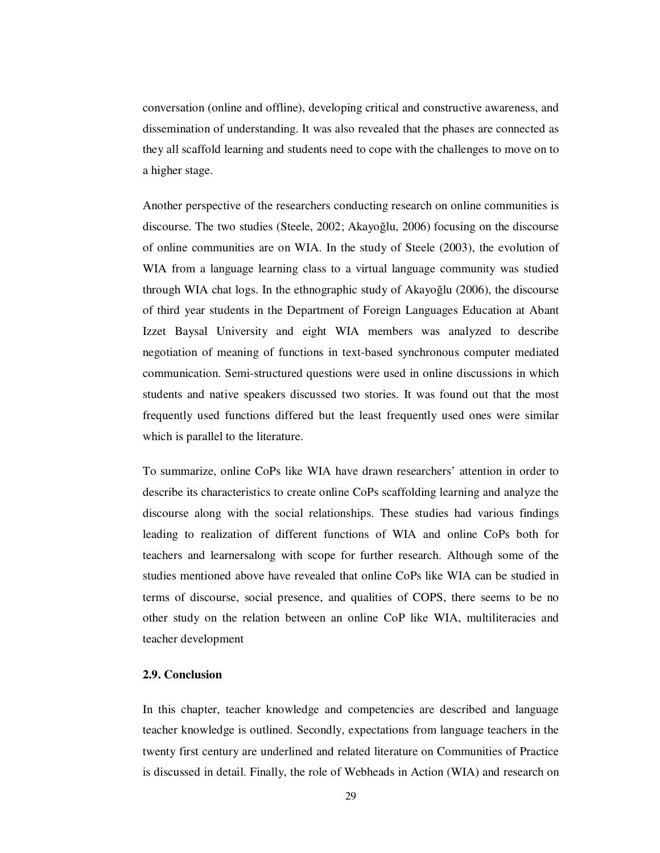conversation (online and offline), developing critical and constructive awareness, and dissemination of understanding. It was also revealed that the phases are connected as they all scaffold learning and students need to cope with the challenges to move on to a higher stage.

Another perspective of the researchers conducting research on online communities is discourse. The two studies (Steele, 2002; Akayoğlu, 2006) focusing on the discourse of online communities are on WIA. In the study of Steele (2003), the evolution of WIA from a language learning class to a virtual language community was studied through WIA chat logs. In the ethnographic study of Akayoğlu (2006), the discourse of third year students in the Department of Foreign Languages Education at Abant Izzet Baysal University and eight WIA members was analyzed to describe negotiation of meaning of functions in text-based synchronous computer mediated communication. Semi-structured questions were used in online discussions in which students and native speakers discussed two stories. It was found out that the most frequently used functions differed but the least frequently used ones were similar which is parallel to the literature.

To summarize, online CoPs like WIA have drawn researchers' attention in order to describe its characteristics to create online CoPs scaffolding learning and analyze the discourse along with the social relationships. These studies had various findings leading to realization of different functions of WIA and online CoPs both for teachers and learnersalong with scope for further research. Although some of the studies mentioned above have revealed that online CoPs like WIA can be studied in terms of discourse, social presence, and qualities of COPS, there seems to be no other study on the relation between an online CoP like WIA, multiliteracies and teacher development

## **2.9. Conclusion**

In this chapter, teacher knowledge and competencies are described and language teacher knowledge is outlined. Secondly, expectations from language teachers in the twenty first century are underlined and related literature on Communities of Practice is discussed in detail. Finally, the role of Webheads in Action (WIA) and research on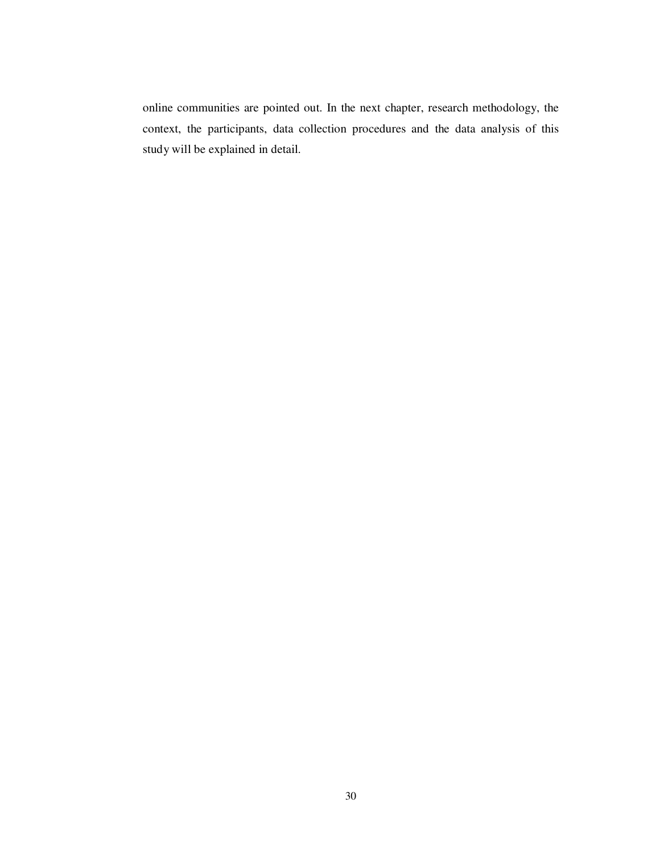online communities are pointed out. In the next chapter, research methodology, the context, the participants, data collection procedures and the data analysis of this study will be explained in detail.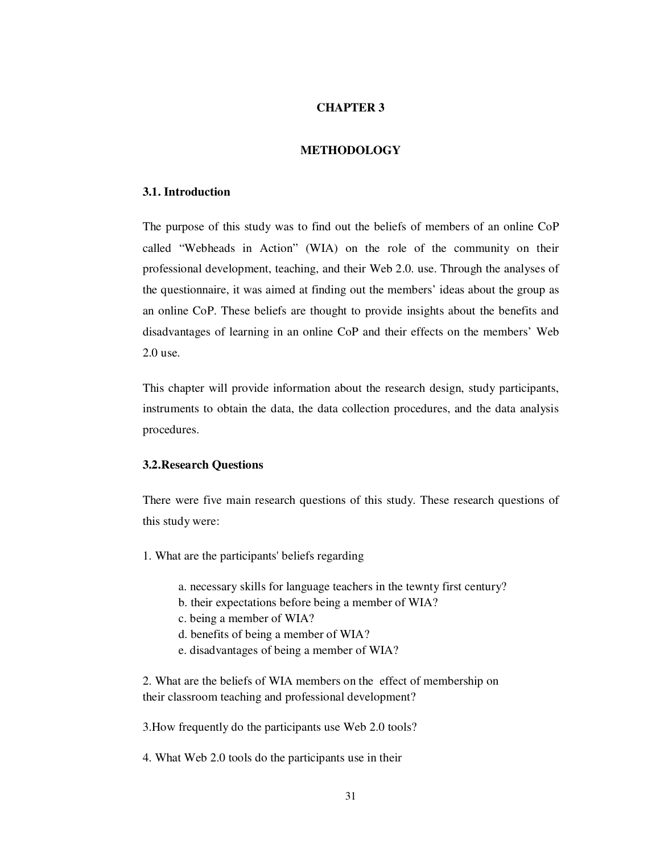## **CHAPTER 3**

## **METHODOLOGY**

## **3.1. Introduction**

The purpose of this study was to find out the beliefs of members of an online CoP called "Webheads in Action" (WIA) on the role of the community on their professional development, teaching, and their Web 2.0. use. Through the analyses of the questionnaire, it was aimed at finding out the members' ideas about the group as an online CoP. These beliefs are thought to provide insights about the benefits and disadvantages of learning in an online CoP and their effects on the members' Web 2.0 use.

This chapter will provide information about the research design, study participants, instruments to obtain the data, the data collection procedures, and the data analysis procedures.

#### **3.2.Research Questions**

There were five main research questions of this study. These research questions of this study were:

- 1. What are the participants' beliefs regarding
	- a. necessary skills for language teachers in the tewnty first century?
	- b. their expectations before being a member of WIA?
	- c. being a member of WIA?
	- d. benefits of being a member of WIA?
	- e. disadvantages of being a member of WIA?

2. What are the beliefs of WIA members on the effect of membership on their classroom teaching and professional development?

3.How frequently do the participants use Web 2.0 tools?

4. What Web 2.0 tools do the participants use in their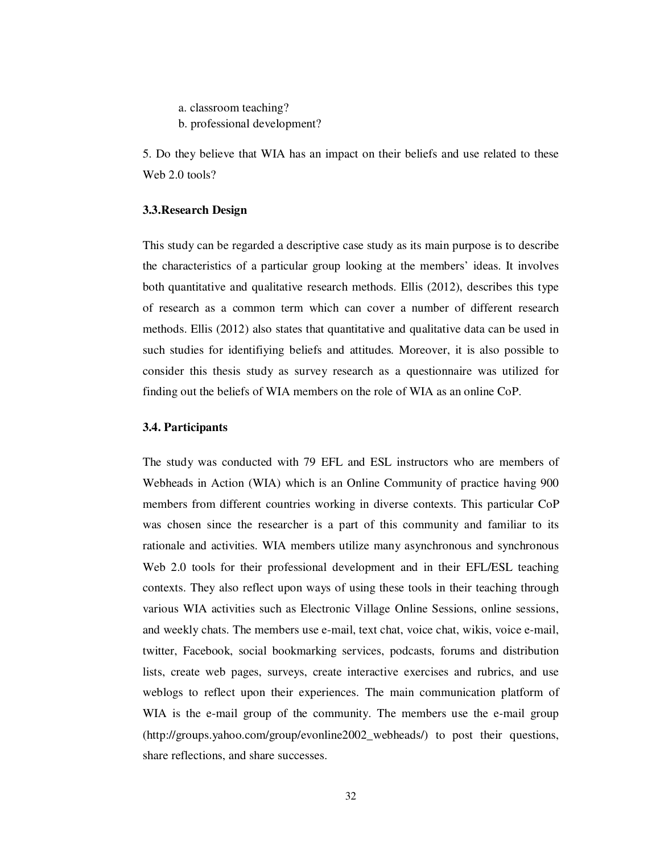a. classroom teaching?

b. professional development?

5. Do they believe that WIA has an impact on their beliefs and use related to these Web 2.0 tools?

#### **3.3.Research Design**

This study can be regarded a descriptive case study as its main purpose is to describe the characteristics of a particular group looking at the members' ideas. It involves both quantitative and qualitative research methods. Ellis (2012), describes this type of research as a common term which can cover a number of different research methods. Ellis (2012) also states that quantitative and qualitative data can be used in such studies for identifiying beliefs and attitudes. Moreover, it is also possible to consider this thesis study as survey research as a questionnaire was utilized for finding out the beliefs of WIA members on the role of WIA as an online CoP.

#### **3.4. Participants**

The study was conducted with 79 EFL and ESL instructors who are members of Webheads in Action (WIA) which is an Online Community of practice having 900 members from different countries working in diverse contexts. This particular CoP was chosen since the researcher is a part of this community and familiar to its rationale and activities. WIA members utilize many asynchronous and synchronous Web 2.0 tools for their professional development and in their EFL/ESL teaching contexts. They also reflect upon ways of using these tools in their teaching through various WIA activities such as Electronic Village Online Sessions, online sessions, and weekly chats. The members use e-mail, text chat, voice chat, wikis, voice e-mail, twitter, Facebook, social bookmarking services, podcasts, forums and distribution lists, create web pages, surveys, create interactive exercises and rubrics, and use weblogs to reflect upon their experiences. The main communication platform of WIA is the e-mail group of the community. The members use the e-mail group (http://groups.yahoo.com/group/evonline2002\_webheads/) to post their questions, share reflections, and share successes.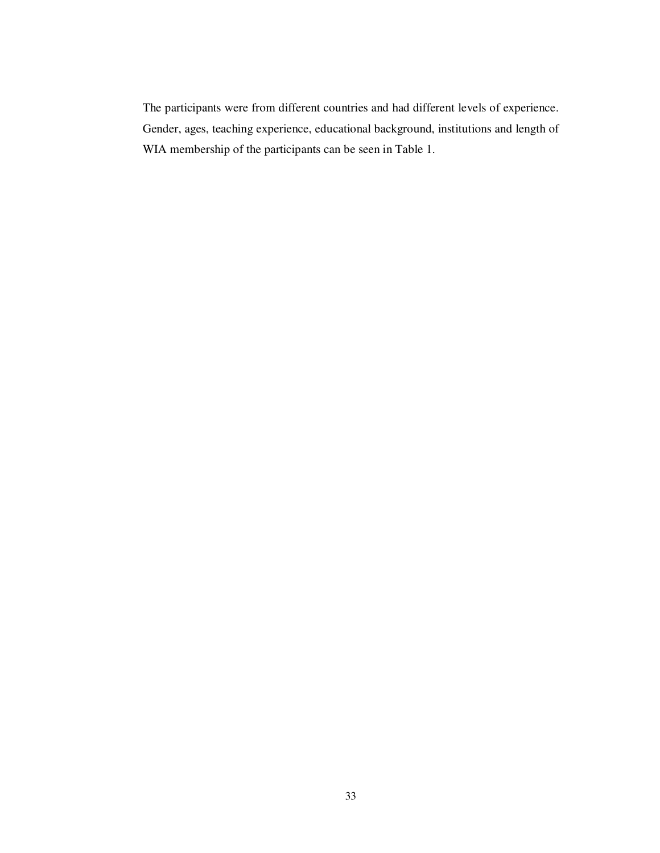The participants were from different countries and had different levels of experience. Gender, ages, teaching experience, educational background, institutions and length of WIA membership of the participants can be seen in Table 1.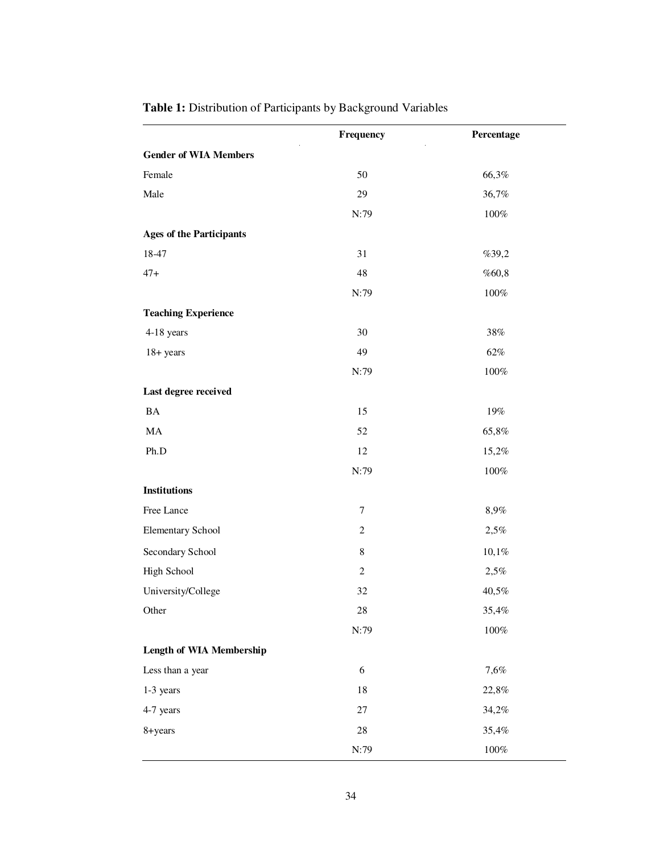| <b>Table 1:</b> Distribution of Participants by Background Variables |  |
|----------------------------------------------------------------------|--|
|----------------------------------------------------------------------|--|

|                                 | Frequency      | Percentage |
|---------------------------------|----------------|------------|
| <b>Gender of WIA Members</b>    |                |            |
| Female                          | 50             | 66,3%      |
| Male                            | 29             | 36,7%      |
|                                 | N:79           | $100\%$    |
| <b>Ages of the Participants</b> |                |            |
| 18-47                           | 31             | %39,2      |
| $47+$                           | 48             | %60,8      |
|                                 | N:79           | $100\%$    |
| <b>Teaching Experience</b>      |                |            |
| 4-18 years                      | 30             | $38\%$     |
| $18 + years$                    | 49             | $62\%$     |
|                                 | N:79           | $100\%$    |
| Last degree received            |                |            |
| BA                              | 15             | $19\%$     |
| $\rm MA$                        | 52             | 65,8%      |
| Ph.D                            | 12             | 15,2%      |
|                                 | N:79           | $100\%$    |
| <b>Institutions</b>             |                |            |
| Free Lance                      | $\tau$         | 8,9%       |
| <b>Elementary School</b>        | $\overline{c}$ | 2,5%       |
| Secondary School                | $\,$ 8 $\,$    | 10,1%      |
| High School                     | $\overline{c}$ | 2,5%       |
| University/College              | 32             | 40,5%      |
| Other                           | $28\,$         | 35,4%      |
|                                 | N:79           | $100\%$    |
| <b>Length of WIA Membership</b> |                |            |
| Less than a year                | 6              | 7,6%       |
| 1-3 years                       | 18             | 22,8%      |
| 4-7 years                       | $27\,$         | 34,2%      |
| 8+years                         | $28\,$         | 35,4%      |
|                                 | N:79           | $100\%$    |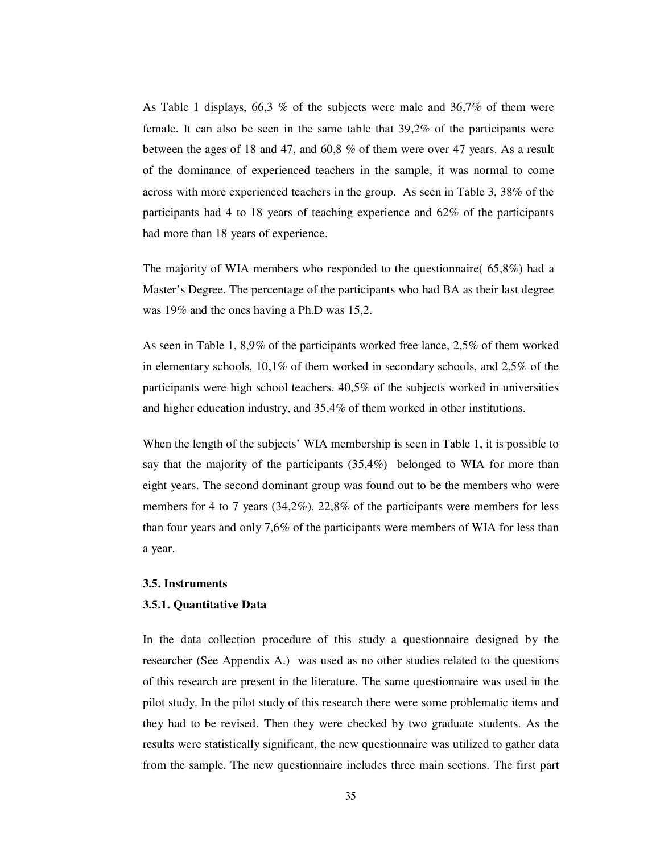As Table 1 displays, 66,3 % of the subjects were male and 36,7% of them were female. It can also be seen in the same table that 39,2% of the participants were between the ages of 18 and 47, and 60,8 % of them were over 47 years. As a result of the dominance of experienced teachers in the sample, it was normal to come across with more experienced teachers in the group. As seen in Table 3, 38% of the participants had 4 to 18 years of teaching experience and 62% of the participants had more than 18 years of experience.

The majority of WIA members who responded to the questionnaire(  $65,8\%$ ) had a Master's Degree. The percentage of the participants who had BA as their last degree was 19% and the ones having a Ph.D was 15,2.

As seen in Table 1, 8,9% of the participants worked free lance, 2,5% of them worked in elementary schools, 10,1% of them worked in secondary schools, and 2,5% of the participants were high school teachers. 40,5% of the subjects worked in universities and higher education industry, and 35,4% of them worked in other institutions.

When the length of the subjects' WIA membership is seen in Table 1, it is possible to say that the majority of the participants (35,4%) belonged to WIA for more than eight years. The second dominant group was found out to be the members who were members for 4 to 7 years (34,2%). 22,8% of the participants were members for less than four years and only 7,6% of the participants were members of WIA for less than a year.

### **3.5. Instruments**

#### **3.5.1. Quantitative Data**

In the data collection procedure of this study a questionnaire designed by the researcher (See Appendix A.) was used as no other studies related to the questions of this research are present in the literature. The same questionnaire was used in the pilot study. In the pilot study of this research there were some problematic items and they had to be revised. Then they were checked by two graduate students. As the results were statistically significant, the new questionnaire was utilized to gather data from the sample. The new questionnaire includes three main sections. The first part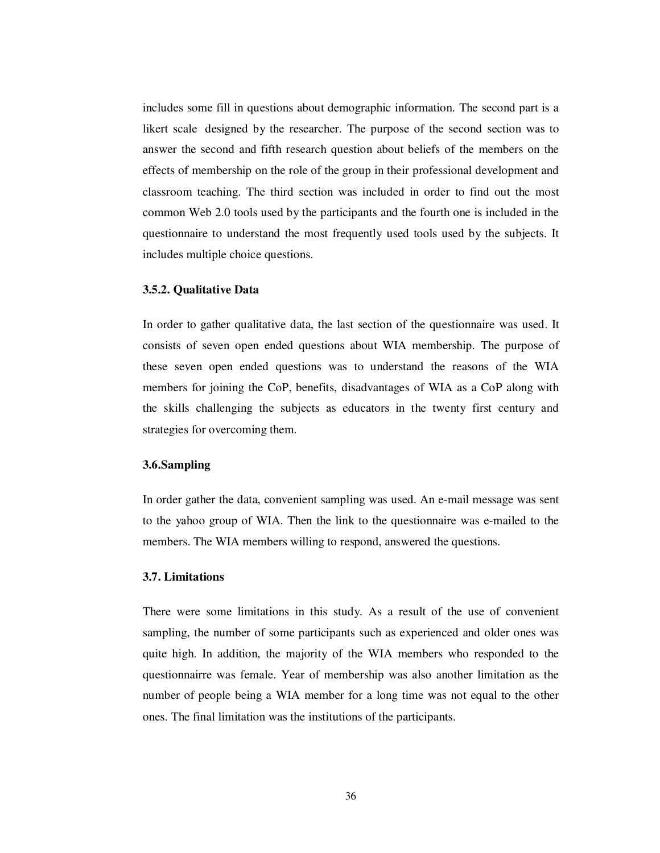includes some fill in questions about demographic information. The second part is a likert scale designed by the researcher. The purpose of the second section was to answer the second and fifth research question about beliefs of the members on the effects of membership on the role of the group in their professional development and classroom teaching. The third section was included in order to find out the most common Web 2.0 tools used by the participants and the fourth one is included in the questionnaire to understand the most frequently used tools used by the subjects. It includes multiple choice questions.

### **3.5.2. Qualitative Data**

In order to gather qualitative data, the last section of the questionnaire was used. It consists of seven open ended questions about WIA membership. The purpose of these seven open ended questions was to understand the reasons of the WIA members for joining the CoP, benefits, disadvantages of WIA as a CoP along with the skills challenging the subjects as educators in the twenty first century and strategies for overcoming them.

## **3.6.Sampling**

In order gather the data, convenient sampling was used. An e-mail message was sent to the yahoo group of WIA. Then the link to the questionnaire was e-mailed to the members. The WIA members willing to respond, answered the questions.

#### **3.7. Limitations**

There were some limitations in this study. As a result of the use of convenient sampling, the number of some participants such as experienced and older ones was quite high. In addition, the majority of the WIA members who responded to the questionnairre was female. Year of membership was also another limitation as the number of people being a WIA member for a long time was not equal to the other ones. The final limitation was the institutions of the participants.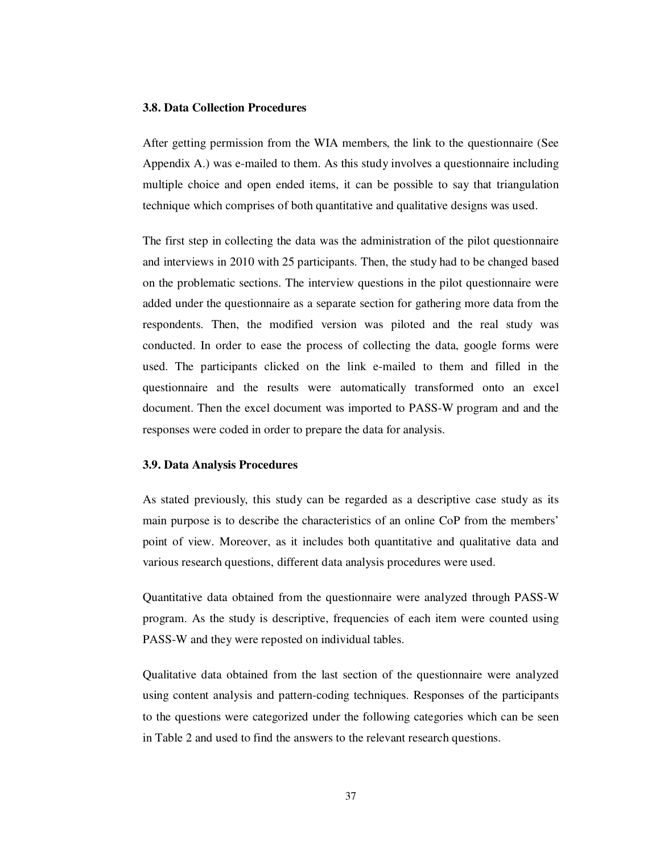#### **3.8. Data Collection Procedures**

After getting permission from the WIA members, the link to the questionnaire (See Appendix A.) was e-mailed to them. As this study involves a questionnaire including multiple choice and open ended items, it can be possible to say that triangulation technique which comprises of both quantitative and qualitative designs was used.

The first step in collecting the data was the administration of the pilot questionnaire and interviews in 2010 with 25 participants. Then, the study had to be changed based on the problematic sections. The interview questions in the pilot questionnaire were added under the questionnaire as a separate section for gathering more data from the respondents. Then, the modified version was piloted and the real study was conducted. In order to ease the process of collecting the data, google forms were used. The participants clicked on the link e-mailed to them and filled in the questionnaire and the results were automatically transformed onto an excel document. Then the excel document was imported to PASS-W program and and the responses were coded in order to prepare the data for analysis.

### **3.9. Data Analysis Procedures**

As stated previously, this study can be regarded as a descriptive case study as its main purpose is to describe the characteristics of an online CoP from the members' point of view. Moreover, as it includes both quantitative and qualitative data and various research questions, different data analysis procedures were used.

Quantitative data obtained from the questionnaire were analyzed through PASS-W program. As the study is descriptive, frequencies of each item were counted using PASS-W and they were reposted on individual tables.

Qualitative data obtained from the last section of the questionnaire were analyzed using content analysis and pattern-coding techniques. Responses of the participants to the questions were categorized under the following categories which can be seen in Table 2 and used to find the answers to the relevant research questions.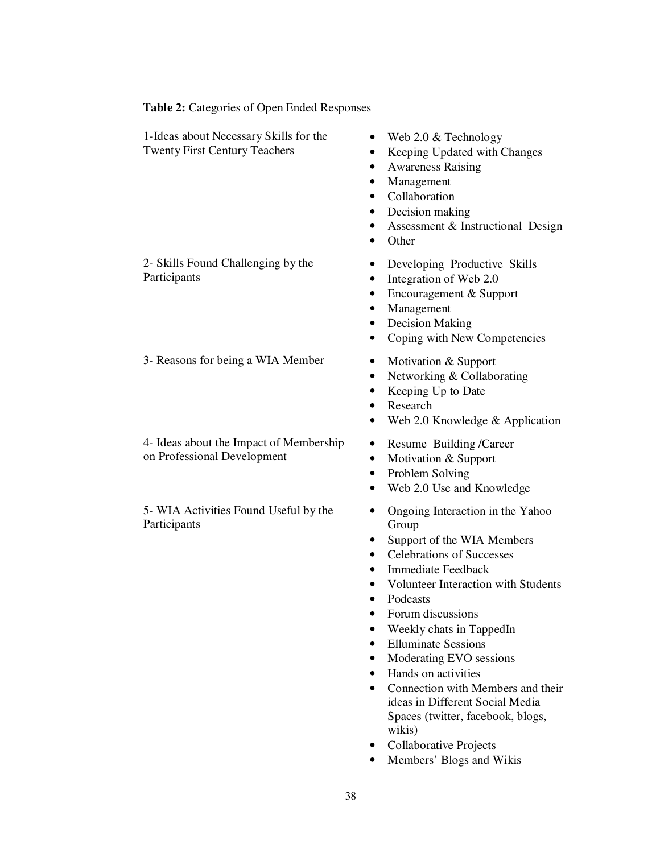| Table 2: Categories of Open Ended Responses                                    |                                                                                                                                                                                               |  |
|--------------------------------------------------------------------------------|-----------------------------------------------------------------------------------------------------------------------------------------------------------------------------------------------|--|
| 1-Ideas about Necessary Skills for the<br><b>Twenty First Century Teachers</b> | Web 2.0 & Technology<br>Keeping Updated with Changes<br><b>Awareness Raising</b><br>Management<br>Collaboration<br>$\bullet$<br>Decision making<br>Assessment & Instructional Design<br>Other |  |
| 2- Skills Found Challenging by the<br>Participants                             | Developing Productive Skills<br>Integration of Web 2.0<br>Encouragement & Support<br>٠<br>Management<br><b>Decision Making</b><br>Coping with New Competencies                                |  |
| 3- Reasons for being a WIA Member                                              | Motivation & Support<br>Networking & Collaborating<br>$\bullet$<br>Keeping Up to Date<br>Research<br>Web 2.0 Knowledge & Application                                                          |  |
| 4- Ideas about the Impact of Membership<br>on Professional Development         | Resume Building /Career<br>Motivation & Support<br>٠<br>Problem Solving<br>Web 2.0 Use and Knowledge                                                                                          |  |
| 5- WIA Activities Found Useful by the<br>Participants                          | Ongoing Interaction in the Yahoo<br>Group<br>Support of the WIA Members<br><b>Celebrations of Successes</b><br>٠                                                                              |  |

- Immediate Feedback
- Volunteer Interaction with Students
- Podcasts
- Forum discussions
- Weekly chats in TappedIn
- Elluminate Sessions
- Moderating EVO sessions
- Hands on activities
- Connection with Members and their ideas in Different Social Media Spaces (twitter, facebook, blogs, wikis)
- Collaborative Projects
- Members' Blogs and Wikis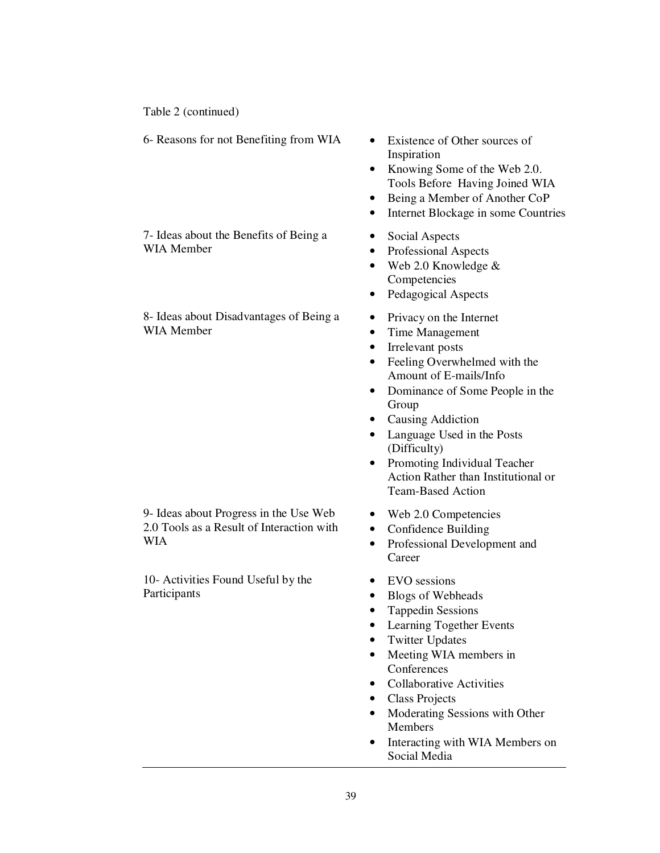Table 2 (continued)

6- Reasons for not Benefiting from WIA • Existence of Other sources of

7- Ideas about the Benefits of Being a WIA Member

8- Ideas about Disadvantages of Being a WIA Member

9- Ideas about Progress in the Use Web 2.0 Tools as a Result of Interaction with WIA

10- Activities Found Useful by the Participants

- Inspiration
- Knowing Some of the Web 2.0. Tools Before Having Joined WIA
- Being a Member of Another CoP
- Internet Blockage in some Countries
- Social Aspects
- Professional Aspects
- Web 2.0 Knowledge & Competencies
- Pedagogical Aspects
- Privacy on the Internet
- Time Management
- Irrelevant posts
- Feeling Overwhelmed with the Amount of E-mails/Info
- Dominance of Some People in the Group
- Causing Addiction
- Language Used in the Posts (Difficulty)
- Promoting Individual Teacher Action Rather than Institutional or Team-Based Action
- Web 2.0 Competencies
- Confidence Building
- Professional Development and **Career**
- EVO sessions
- Blogs of Webheads
- Tappedin Sessions
- Learning Together Events
- **Twitter Updates**
- Meeting WIA members in **Conferences**
- Collaborative Activities
- Class Projects
- Moderating Sessions with Other Members
- Interacting with WIA Members on Social Media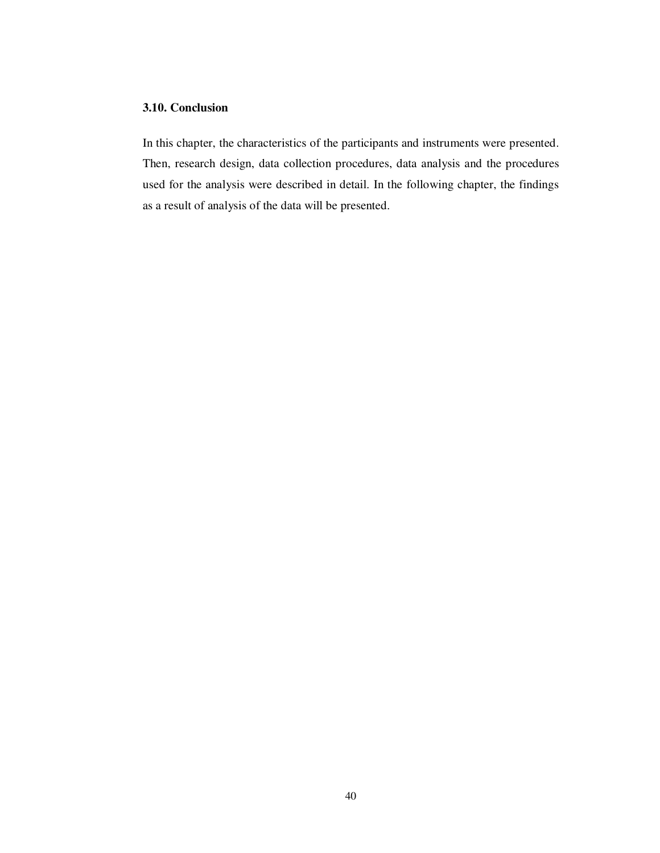## **3.10. Conclusion**

In this chapter, the characteristics of the participants and instruments were presented. Then, research design, data collection procedures, data analysis and the procedures used for the analysis were described in detail. In the following chapter, the findings as a result of analysis of the data will be presented.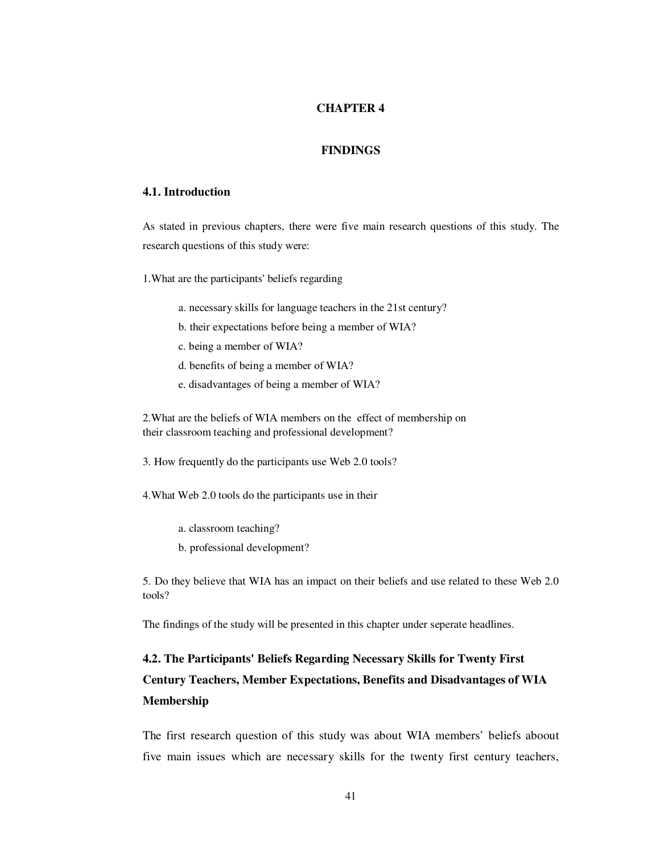## **CHAPTER 4**

#### **FINDINGS**

## **4.1. Introduction**

As stated in previous chapters, there were five main research questions of this study. The research questions of this study were:

1.What are the participants' beliefs regarding

- a. necessary skills for language teachers in the 21st century?
- b. their expectations before being a member of WIA?
- c. being a member of WIA?
- d. benefits of being a member of WIA?
- e. disadvantages of being a member of WIA?

2.What are the beliefs of WIA members on the effect of membership on their classroom teaching and professional development?

3. How frequently do the participants use Web 2.0 tools?

4.What Web 2.0 tools do the participants use in their

- a. classroom teaching?
- b. professional development?

5. Do they believe that WIA has an impact on their beliefs and use related to these Web 2.0 tools?

The findings of the study will be presented in this chapter under seperate headlines.

# **4.2. The Participants' Beliefs Regarding Necessary Skills for Twenty First Century Teachers, Member Expectations, Benefits and Disadvantages of WIA Membership**

The first research question of this study was about WIA members' beliefs aboout five main issues which are necessary skills for the twenty first century teachers,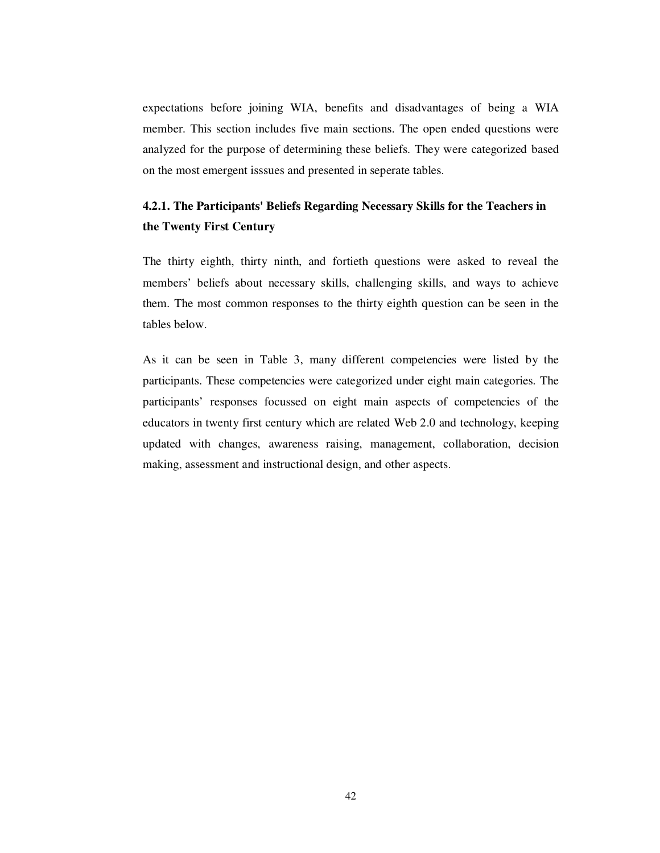expectations before joining WIA, benefits and disadvantages of being a WIA member. This section includes five main sections. The open ended questions were analyzed for the purpose of determining these beliefs. They were categorized based on the most emergent isssues and presented in seperate tables.

# **4.2.1. The Participants' Beliefs Regarding Necessary Skills for the Teachers in the Twenty First Century**

The thirty eighth, thirty ninth, and fortieth questions were asked to reveal the members' beliefs about necessary skills, challenging skills, and ways to achieve them. The most common responses to the thirty eighth question can be seen in the tables below.

As it can be seen in Table 3, many different competencies were listed by the participants. These competencies were categorized under eight main categories. The participants' responses focussed on eight main aspects of competencies of the educators in twenty first century which are related Web 2.0 and technology, keeping updated with changes, awareness raising, management, collaboration, decision making, assessment and instructional design, and other aspects.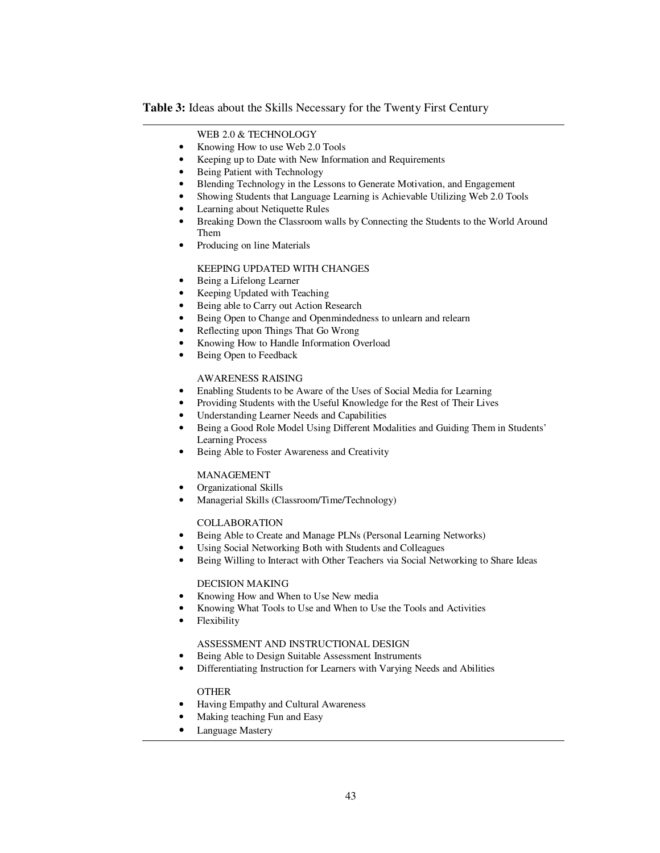### **Table 3:** Ideas about the Skills Necessary for the Twenty First Century

#### WEB 2.0 & TECHNOLOGY

- Knowing How to use Web 2.0 Tools
- Keeping up to Date with New Information and Requirements
- Being Patient with Technology
- Blending Technology in the Lessons to Generate Motivation, and Engagement
- Showing Students that Language Learning is Achievable Utilizing Web 2.0 Tools
- Learning about Netiquette Rules
- Breaking Down the Classroom walls by Connecting the Students to the World Around Them
- Producing on line Materials

#### KEEPING UPDATED WITH CHANGES

- Being a Lifelong Learner
- Keeping Updated with Teaching
- Being able to Carry out Action Research
- Being Open to Change and Openmindedness to unlearn and relearn
- Reflecting upon Things That Go Wrong
- Knowing How to Handle Information Overload
- Being Open to Feedback

### AWARENESS RAISING

- Enabling Students to be Aware of the Uses of Social Media for Learning
- Providing Students with the Useful Knowledge for the Rest of Their Lives
- Understanding Learner Needs and Capabilities
- Being a Good Role Model Using Different Modalities and Guiding Them in Students' Learning Process
- Being Able to Foster Awareness and Creativity

#### MANAGEMENT

- Organizational Skills
- Managerial Skills (Classroom/Time/Technology)

#### COLLABORATION

- Being Able to Create and Manage PLNs (Personal Learning Networks)
- Using Social Networking Both with Students and Colleagues
- Being Willing to Interact with Other Teachers via Social Networking to Share Ideas

#### DECISION MAKING

- Knowing How and When to Use New media
- Knowing What Tools to Use and When to Use the Tools and Activities
- Flexibility

## ASSESSMENT AND INSTRUCTIONAL DESIGN

- Being Able to Design Suitable Assessment Instruments
- Differentiating Instruction for Learners with Varying Needs and Abilities

#### **OTHER**

- Having Empathy and Cultural Awareness
- Making teaching Fun and Easy
- Language Mastery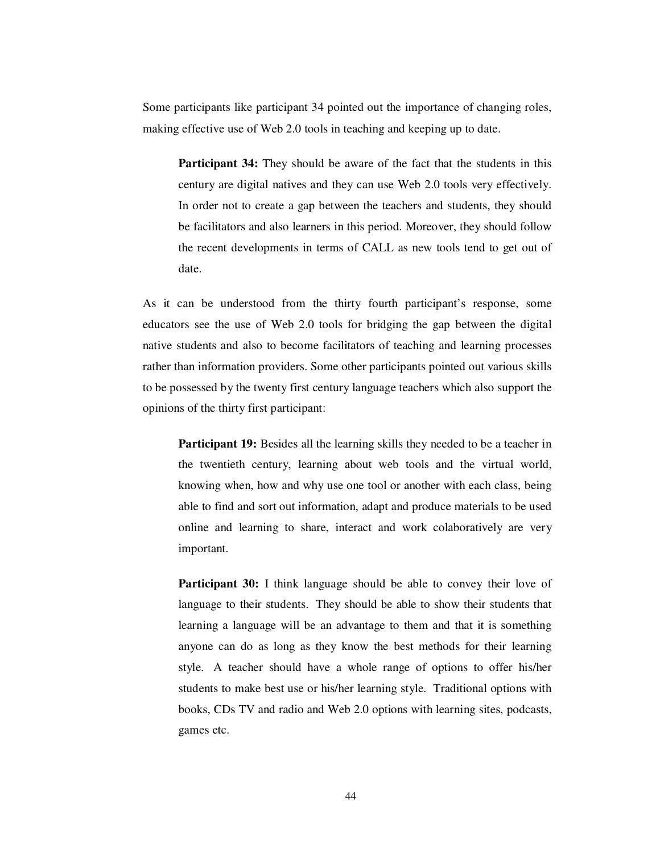Some participants like participant 34 pointed out the importance of changing roles, making effective use of Web 2.0 tools in teaching and keeping up to date.

**Participant 34:** They should be aware of the fact that the students in this century are digital natives and they can use Web 2.0 tools very effectively. In order not to create a gap between the teachers and students, they should be facilitators and also learners in this period. Moreover, they should follow the recent developments in terms of CALL as new tools tend to get out of date.

As it can be understood from the thirty fourth participant's response, some educators see the use of Web 2.0 tools for bridging the gap between the digital native students and also to become facilitators of teaching and learning processes rather than information providers. Some other participants pointed out various skills to be possessed by the twenty first century language teachers which also support the opinions of the thirty first participant:

**Participant 19:** Besides all the learning skills they needed to be a teacher in the twentieth century, learning about web tools and the virtual world, knowing when, how and why use one tool or another with each class, being able to find and sort out information, adapt and produce materials to be used online and learning to share, interact and work colaboratively are very important.

**Participant 30:** I think language should be able to convey their love of language to their students. They should be able to show their students that learning a language will be an advantage to them and that it is something anyone can do as long as they know the best methods for their learning style. A teacher should have a whole range of options to offer his/her students to make best use or his/her learning style. Traditional options with books, CDs TV and radio and Web 2.0 options with learning sites, podcasts, games etc.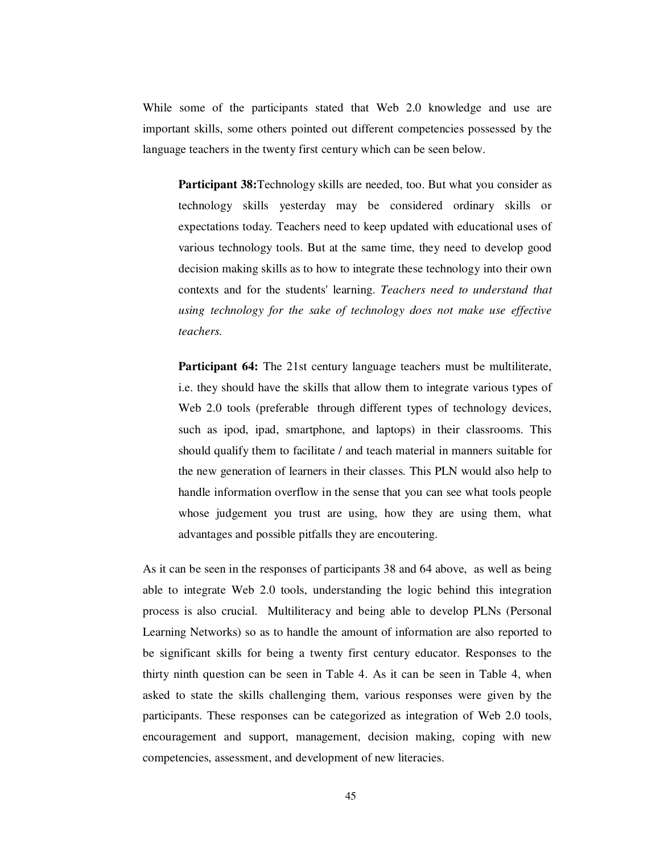While some of the participants stated that Web 2.0 knowledge and use are important skills, some others pointed out different competencies possessed by the language teachers in the twenty first century which can be seen below.

**Participant 38:**Technology skills are needed, too. But what you consider as technology skills yesterday may be considered ordinary skills or expectations today. Teachers need to keep updated with educational uses of various technology tools. But at the same time, they need to develop good decision making skills as to how to integrate these technology into their own contexts and for the students' learning. *Teachers need to understand that using technology for the sake of technology does not make use effective teachers.* 

**Participant 64:** The 21st century language teachers must be multiliterate, i.e. they should have the skills that allow them to integrate various types of Web 2.0 tools (preferable through different types of technology devices, such as ipod, ipad, smartphone, and laptops) in their classrooms. This should qualify them to facilitate / and teach material in manners suitable for the new generation of learners in their classes. This PLN would also help to handle information overflow in the sense that you can see what tools people whose judgement you trust are using, how they are using them, what advantages and possible pitfalls they are encoutering.

As it can be seen in the responses of participants 38 and 64 above, as well as being able to integrate Web 2.0 tools, understanding the logic behind this integration process is also crucial. Multiliteracy and being able to develop PLNs (Personal Learning Networks) so as to handle the amount of information are also reported to be significant skills for being a twenty first century educator. Responses to the thirty ninth question can be seen in Table 4. As it can be seen in Table 4, when asked to state the skills challenging them, various responses were given by the participants. These responses can be categorized as integration of Web 2.0 tools, encouragement and support, management, decision making, coping with new competencies, assessment, and development of new literacies.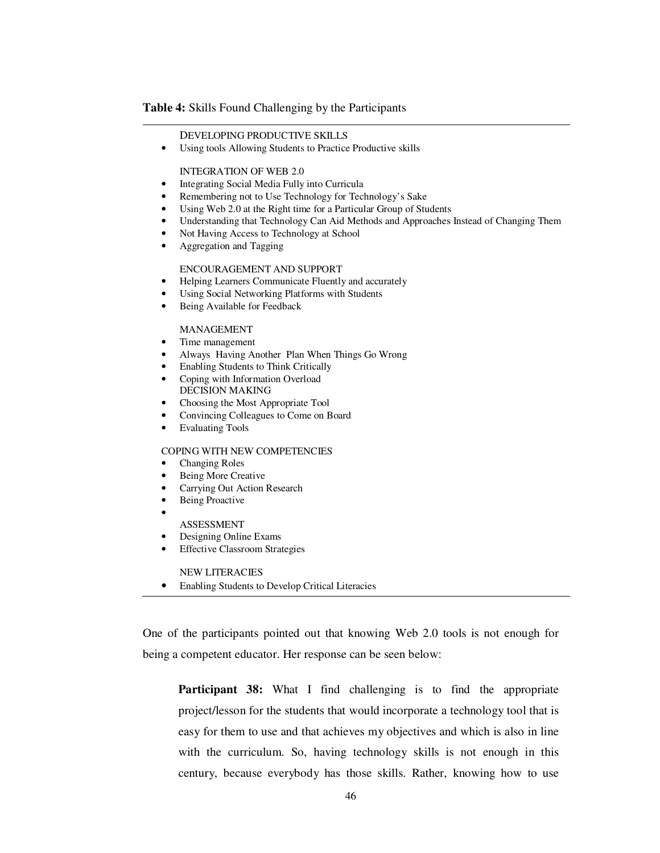#### **Table 4:** Skills Found Challenging by the Participants

#### DEVELOPING PRODUCTIVE SKILLS

• Using tools Allowing Students to Practice Productive skills

#### INTEGRATION OF WEB 2.0

- Integrating Social Media Fully into Curricula
- Remembering not to Use Technology for Technology's Sake
- Using Web 2.0 at the Right time for a Particular Group of Students
- Understanding that Technology Can Aid Methods and Approaches Instead of Changing Them
- Not Having Access to Technology at School
- Aggregation and Tagging

#### ENCOURAGEMENT AND SUPPORT

- Helping Learners Communicate Fluently and accurately
- Using Social Networking Platforms with Students
- Being Available for Feedback

#### MANAGEMENT

- Time management
- Always Having Another Plan When Things Go Wrong
- Enabling Students to Think Critically
- Coping with Information Overload DECISION MAKING
- Choosing the Most Appropriate Tool
- Convincing Colleagues to Come on Board
- Evaluating Tools

#### COPING WITH NEW COMPETENCIES

- Changing Roles
- Being More Creative
- Carrying Out Action Research
- Being Proactive •

I

- ASSESSMENT
- Designing Online Exams
- **Effective Classroom Strategies**

NEW LITERACIES

• Enabling Students to Develop Critical Literacies

One of the participants pointed out that knowing Web 2.0 tools is not enough for being a competent educator. Her response can be seen below:

**Participant 38:** What I find challenging is to find the appropriate project/lesson for the students that would incorporate a technology tool that is easy for them to use and that achieves my objectives and which is also in line with the curriculum. So, having technology skills is not enough in this century, because everybody has those skills. Rather, knowing how to use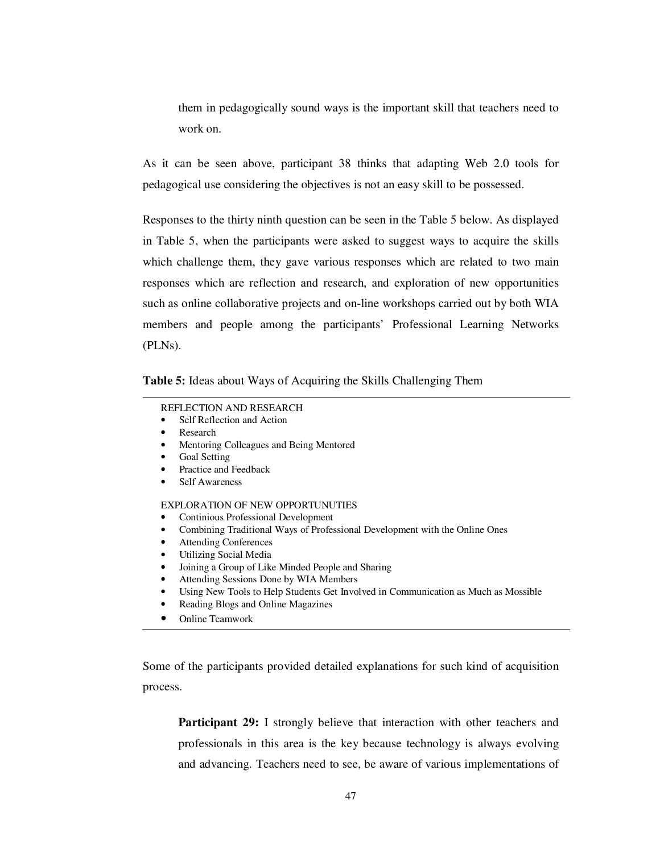them in pedagogically sound ways is the important skill that teachers need to work on.

As it can be seen above, participant 38 thinks that adapting Web 2.0 tools for pedagogical use considering the objectives is not an easy skill to be possessed.

Responses to the thirty ninth question can be seen in the Table 5 below. As displayed in Table 5, when the participants were asked to suggest ways to acquire the skills which challenge them, they gave various responses which are related to two main responses which are reflection and research, and exploration of new opportunities such as online collaborative projects and on-line workshops carried out by both WIA members and people among the participants' Professional Learning Networks (PLNs).

**Table 5:** Ideas about Ways of Acquiring the Skills Challenging Them

#### REFLECTION AND RESEARCH

- Self Reflection and Action
- **Research**
- Mentoring Colleagues and Being Mentored
- Goal Setting
- Practice and Feedback
- Self Awareness

## EXPLORATION OF NEW OPPORTUNUTIES

- Continious Professional Development
- Combining Traditional Ways of Professional Development with the Online Ones
- Attending Conferences
- Utilizing Social Media
- Joining a Group of Like Minded People and Sharing
- Attending Sessions Done by WIA Members
- Using New Tools to Help Students Get Involved in Communication as Much as Mossible
- Reading Blogs and Online Magazines
- Online Teamwork

Some of the participants provided detailed explanations for such kind of acquisition process.

**Participant 29:** I strongly believe that interaction with other teachers and professionals in this area is the key because technology is always evolving and advancing. Teachers need to see, be aware of various implementations of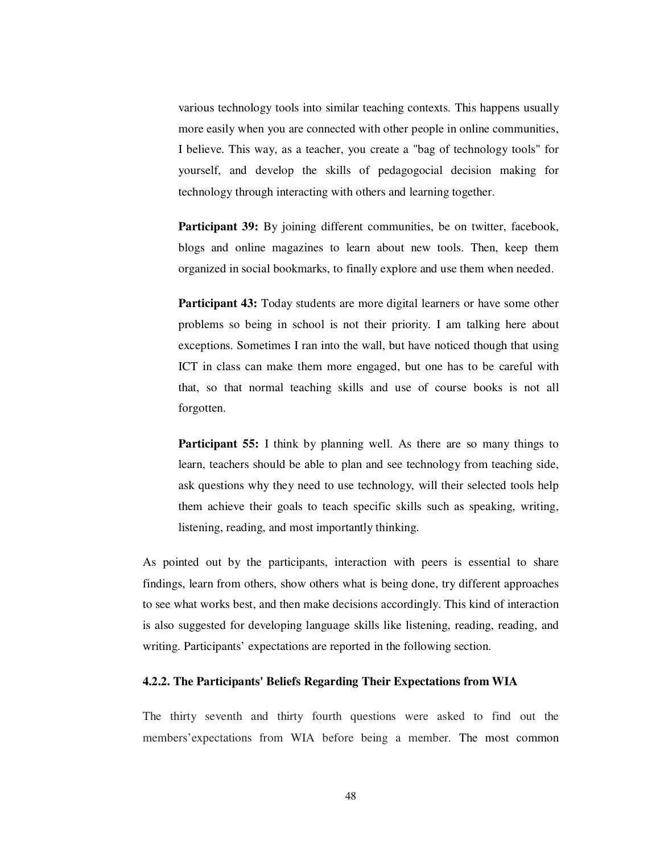various technology tools into similar teaching contexts. This happens usually more easily when you are connected with other people in online communities, I believe. This way, as a teacher, you create a "bag of technology tools" for yourself, and develop the skills of pedagogocial decision making for technology through interacting with others and learning together.

**Participant 39:** By joining different communities, be on twitter, facebook, blogs and online magazines to learn about new tools. Then, keep them organized in social bookmarks, to finally explore and use them when needed.

**Participant 43:** Today students are more digital learners or have some other problems so being in school is not their priority. I am talking here about exceptions. Sometimes I ran into the wall, but have noticed though that using ICT in class can make them more engaged, but one has to be careful with that, so that normal teaching skills and use of course books is not all forgotten.

**Participant 55:** I think by planning well. As there are so many things to learn, teachers should be able to plan and see technology from teaching side, ask questions why they need to use technology, will their selected tools help them achieve their goals to teach specific skills such as speaking, writing, listening, reading, and most importantly thinking.

As pointed out by the participants, interaction with peers is essential to share findings, learn from others, show others what is being done, try different approaches to see what works best, and then make decisions accordingly. This kind of interaction is also suggested for developing language skills like listening, reading, reading, and writing. Participants' expectations are reported in the following section.

#### **4.2.2. The Participants' Beliefs Regarding Their Expectations from WIA**

The thirty seventh and thirty fourth questions were asked to find out the members'expectations from WIA before being a member. The most common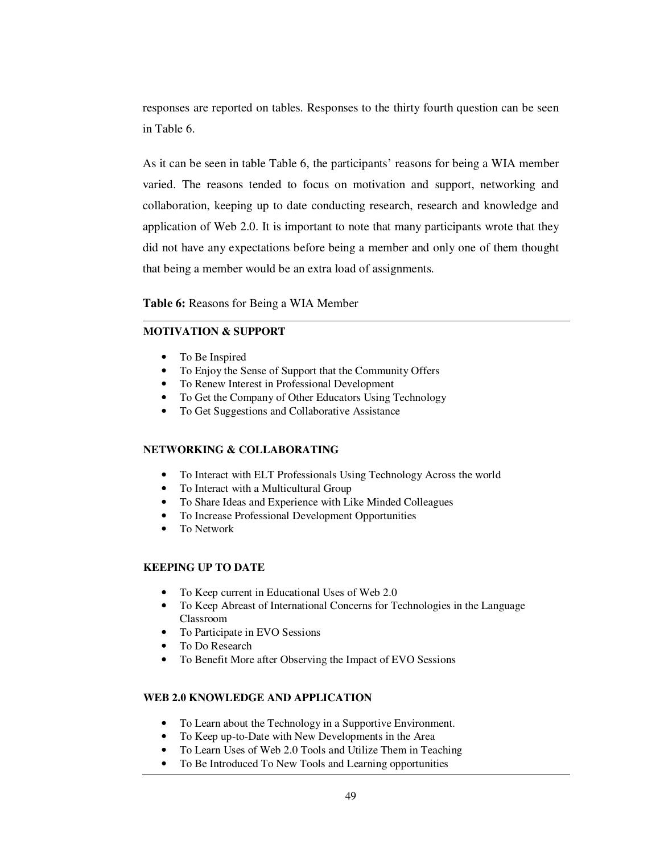responses are reported on tables. Responses to the thirty fourth question can be seen in Table 6.

As it can be seen in table Table 6, the participants' reasons for being a WIA member varied. The reasons tended to focus on motivation and support, networking and collaboration, keeping up to date conducting research, research and knowledge and application of Web 2.0. It is important to note that many participants wrote that they did not have any expectations before being a member and only one of them thought that being a member would be an extra load of assignments.

**Table 6:** Reasons for Being a WIA Member

## **MOTIVATION & SUPPORT**

- To Be Inspired
- To Enjoy the Sense of Support that the Community Offers
- To Renew Interest in Professional Development
- To Get the Company of Other Educators Using Technology
- To Get Suggestions and Collaborative Assistance

## **NETWORKING & COLLABORATING**

- To Interact with ELT Professionals Using Technology Across the world
- To Interact with a Multicultural Group
- To Share Ideas and Experience with Like Minded Colleagues
- To Increase Professional Development Opportunities
- To Network

## **KEEPING UP TO DATE**

- To Keep current in Educational Uses of Web 2.0
- To Keep Abreast of International Concerns for Technologies in the Language Classroom
- To Participate in EVO Sessions
- To Do Research
- To Benefit More after Observing the Impact of EVO Sessions

## **WEB 2.0 KNOWLEDGE AND APPLICATION**

- To Learn about the Technology in a Supportive Environment.
- To Keep up-to-Date with New Developments in the Area
- To Learn Uses of Web 2.0 Tools and Utilize Them in Teaching
- To Be Introduced To New Tools and Learning opportunities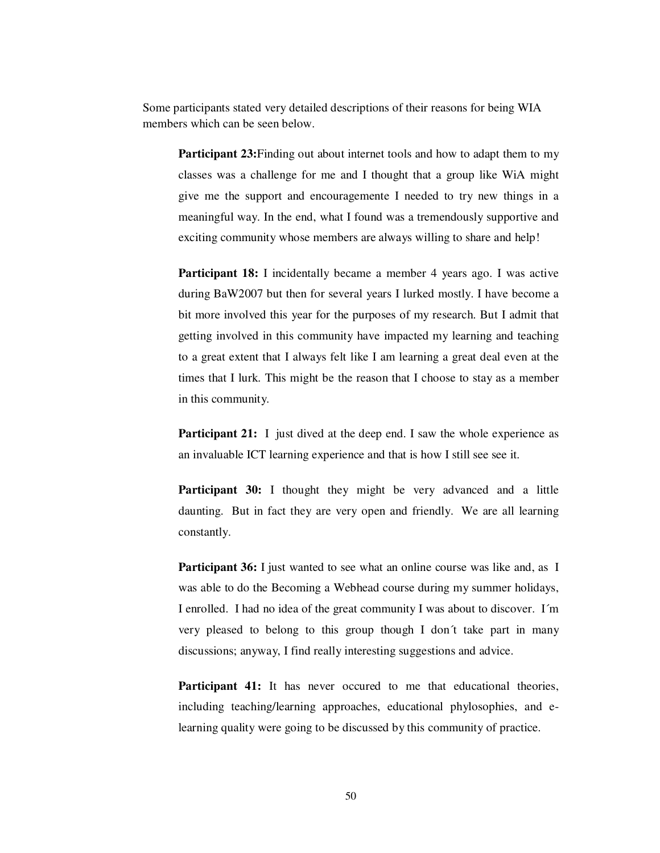Some participants stated very detailed descriptions of their reasons for being WIA members which can be seen below.

**Participant 23:**Finding out about internet tools and how to adapt them to my classes was a challenge for me and I thought that a group like WiA might give me the support and encouragemente I needed to try new things in a meaningful way. In the end, what I found was a tremendously supportive and exciting community whose members are always willing to share and help!

**Participant 18:** I incidentally became a member 4 years ago. I was active during BaW2007 but then for several years I lurked mostly. I have become a bit more involved this year for the purposes of my research. But I admit that getting involved in this community have impacted my learning and teaching to a great extent that I always felt like I am learning a great deal even at the times that I lurk. This might be the reason that I choose to stay as a member in this community.

**Participant 21:** I just dived at the deep end. I saw the whole experience as an invaluable ICT learning experience and that is how I still see see it.

**Participant 30:** I thought they might be very advanced and a little daunting. But in fact they are very open and friendly. We are all learning constantly.

**Participant 36:** I just wanted to see what an online course was like and, as I was able to do the Becoming a Webhead course during my summer holidays, I enrolled. I had no idea of the great community I was about to discover. I´m very pleased to belong to this group though I don´t take part in many discussions; anyway, I find really interesting suggestions and advice.

Participant 41: It has never occured to me that educational theories, including teaching/learning approaches, educational phylosophies, and elearning quality were going to be discussed by this community of practice.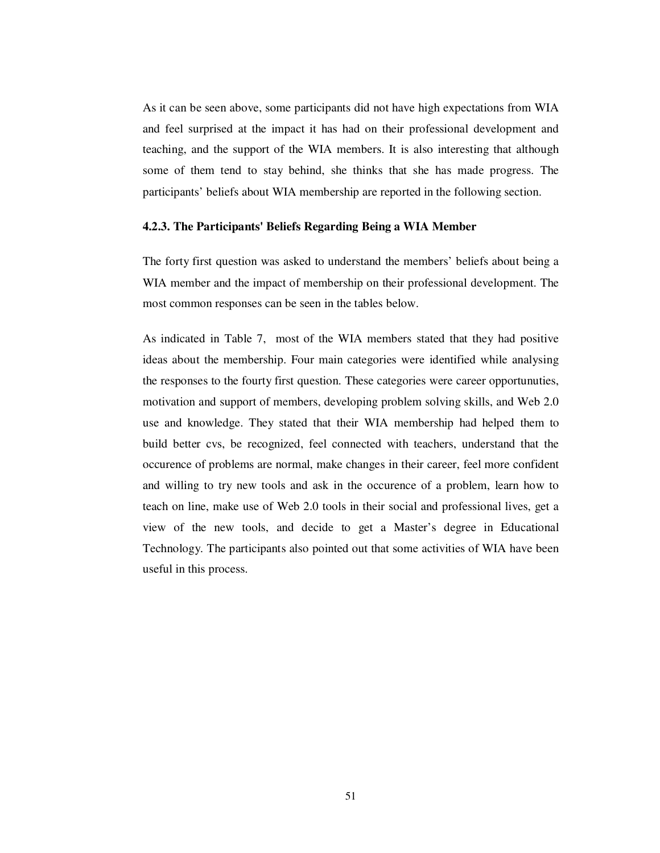As it can be seen above, some participants did not have high expectations from WIA and feel surprised at the impact it has had on their professional development and teaching, and the support of the WIA members. It is also interesting that although some of them tend to stay behind, she thinks that she has made progress. The participants' beliefs about WIA membership are reported in the following section.

#### **4.2.3. The Participants' Beliefs Regarding Being a WIA Member**

The forty first question was asked to understand the members' beliefs about being a WIA member and the impact of membership on their professional development. The most common responses can be seen in the tables below.

As indicated in Table 7, most of the WIA members stated that they had positive ideas about the membership. Four main categories were identified while analysing the responses to the fourty first question. These categories were career opportunuties, motivation and support of members, developing problem solving skills, and Web 2.0 use and knowledge. They stated that their WIA membership had helped them to build better cvs, be recognized, feel connected with teachers, understand that the occurence of problems are normal, make changes in their career, feel more confident and willing to try new tools and ask in the occurence of a problem, learn how to teach on line, make use of Web 2.0 tools in their social and professional lives, get a view of the new tools, and decide to get a Master's degree in Educational Technology. The participants also pointed out that some activities of WIA have been useful in this process.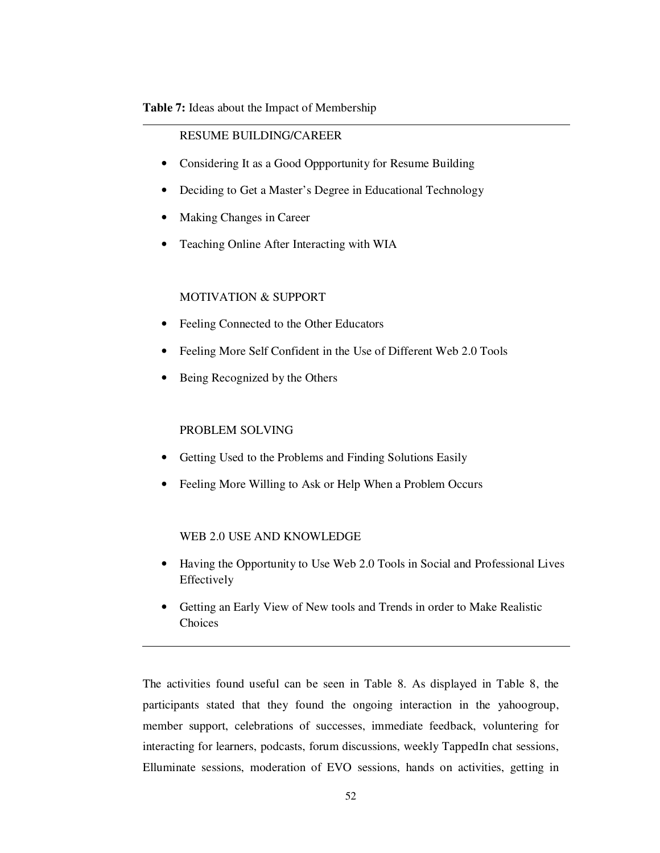## **Table 7:** Ideas about the Impact of Membership

## RESUME BUILDING/CAREER

- Considering It as a Good Oppportunity for Resume Building
- Deciding to Get a Master's Degree in Educational Technology
- Making Changes in Career
- Teaching Online After Interacting with WIA

## MOTIVATION & SUPPORT

- Feeling Connected to the Other Educators
- Feeling More Self Confident in the Use of Different Web 2.0 Tools
- Being Recognized by the Others

## PROBLEM SOLVING

- Getting Used to the Problems and Finding Solutions Easily
- Feeling More Willing to Ask or Help When a Problem Occurs

## WEB 2.0 USE AND KNOWLEDGE

- Having the Opportunity to Use Web 2.0 Tools in Social and Professional Lives Effectively
- Getting an Early View of New tools and Trends in order to Make Realistic Choices

The activities found useful can be seen in Table 8. As displayed in Table 8, the participants stated that they found the ongoing interaction in the yahoogroup, member support, celebrations of successes, immediate feedback, voluntering for interacting for learners, podcasts, forum discussions, weekly TappedIn chat sessions, Elluminate sessions, moderation of EVO sessions, hands on activities, getting in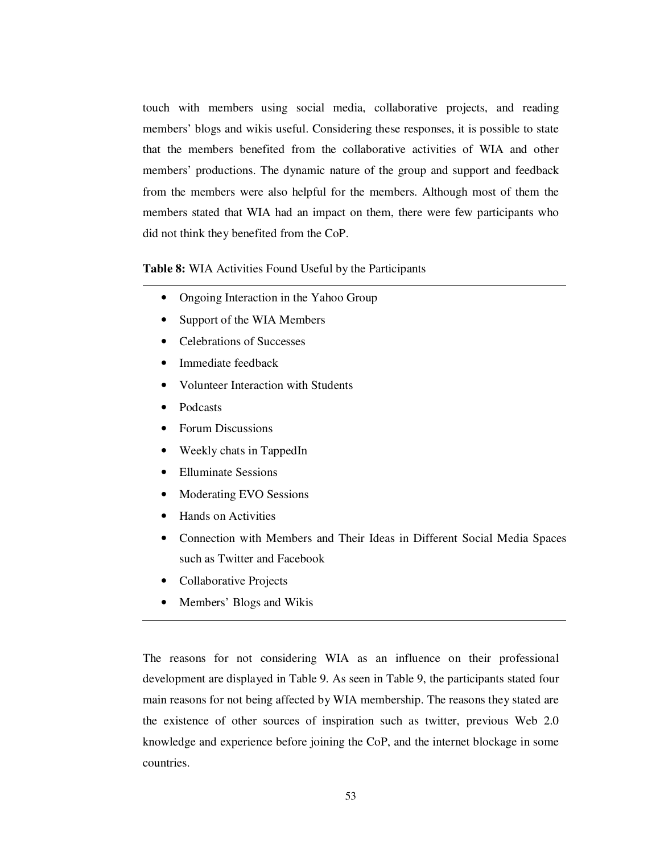touch with members using social media, collaborative projects, and reading members' blogs and wikis useful. Considering these responses, it is possible to state that the members benefited from the collaborative activities of WIA and other members' productions. The dynamic nature of the group and support and feedback from the members were also helpful for the members. Although most of them the members stated that WIA had an impact on them, there were few participants who did not think they benefited from the CoP.

## **Table 8:** WIA Activities Found Useful by the Participants

- Ongoing Interaction in the Yahoo Group
- Support of the WIA Members
- Celebrations of Successes
- Immediate feedback
- Volunteer Interaction with Students
- Podcasts
- Forum Discussions
- Weekly chats in TappedIn
- Elluminate Sessions
- Moderating EVO Sessions
- Hands on Activities
- Connection with Members and Their Ideas in Different Social Media Spaces such as Twitter and Facebook
- Collaborative Projects
- Members' Blogs and Wikis

The reasons for not considering WIA as an influence on their professional development are displayed in Table 9. As seen in Table 9, the participants stated four main reasons for not being affected by WIA membership. The reasons they stated are the existence of other sources of inspiration such as twitter, previous Web 2.0 knowledge and experience before joining the CoP, and the internet blockage in some countries.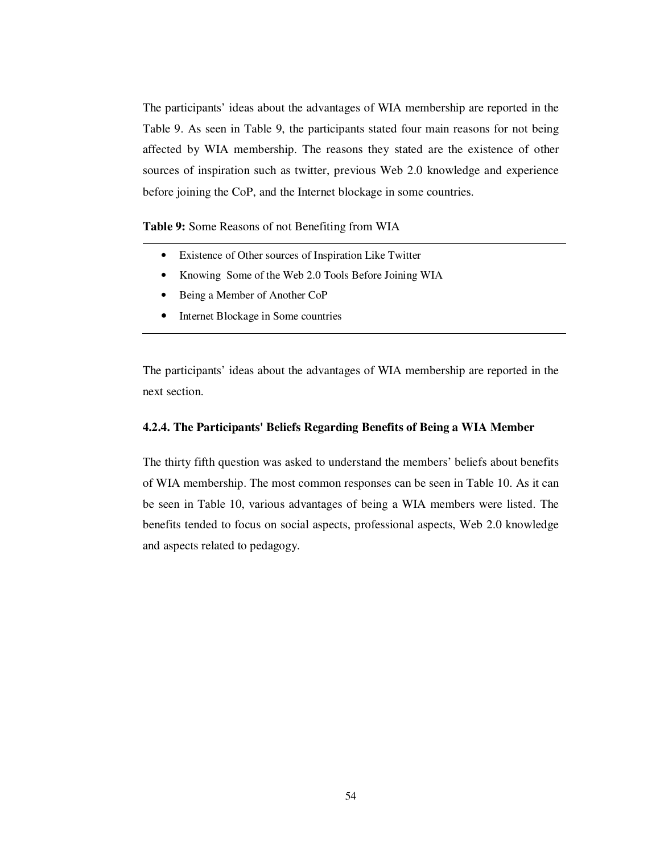The participants' ideas about the advantages of WIA membership are reported in the Table 9. As seen in Table 9, the participants stated four main reasons for not being affected by WIA membership. The reasons they stated are the existence of other sources of inspiration such as twitter, previous Web 2.0 knowledge and experience before joining the CoP, and the Internet blockage in some countries.

**Table 9:** Some Reasons of not Benefiting from WIA

- Existence of Other sources of Inspiration Like Twitter
- Knowing Some of the Web 2.0 Tools Before Joining WIA
- Being a Member of Another CoP
- Internet Blockage in Some countries

The participants' ideas about the advantages of WIA membership are reported in the next section.

## **4.2.4. The Participants' Beliefs Regarding Benefits of Being a WIA Member**

The thirty fifth question was asked to understand the members' beliefs about benefits of WIA membership. The most common responses can be seen in Table 10. As it can be seen in Table 10, various advantages of being a WIA members were listed. The benefits tended to focus on social aspects, professional aspects, Web 2.0 knowledge and aspects related to pedagogy.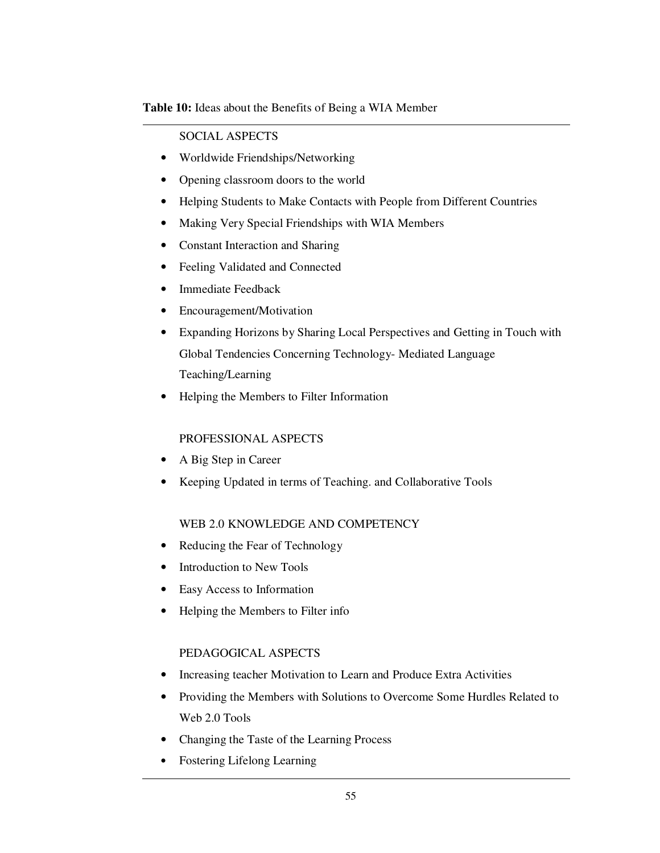**Table 10:** Ideas about the Benefits of Being a WIA Member

## SOCIAL ASPECTS

- Worldwide Friendships/Networking
- Opening classroom doors to the world
- Helping Students to Make Contacts with People from Different Countries
- Making Very Special Friendships with WIA Members
- Constant Interaction and Sharing
- Feeling Validated and Connected
- Immediate Feedback
- Encouragement/Motivation
- Expanding Horizons by Sharing Local Perspectives and Getting in Touch with Global Tendencies Concerning Technology- Mediated Language Teaching/Learning
- Helping the Members to Filter Information

# PROFESSIONAL ASPECTS

- A Big Step in Career
- Keeping Updated in terms of Teaching. and Collaborative Tools

# WEB 2.0 KNOWLEDGE AND COMPETENCY

- Reducing the Fear of Technology
- Introduction to New Tools
- Easy Access to Information
- Helping the Members to Filter info

## PEDAGOGICAL ASPECTS

- Increasing teacher Motivation to Learn and Produce Extra Activities
- Providing the Members with Solutions to Overcome Some Hurdles Related to Web 2.0 Tools
- Changing the Taste of the Learning Process
- Fostering Lifelong Learning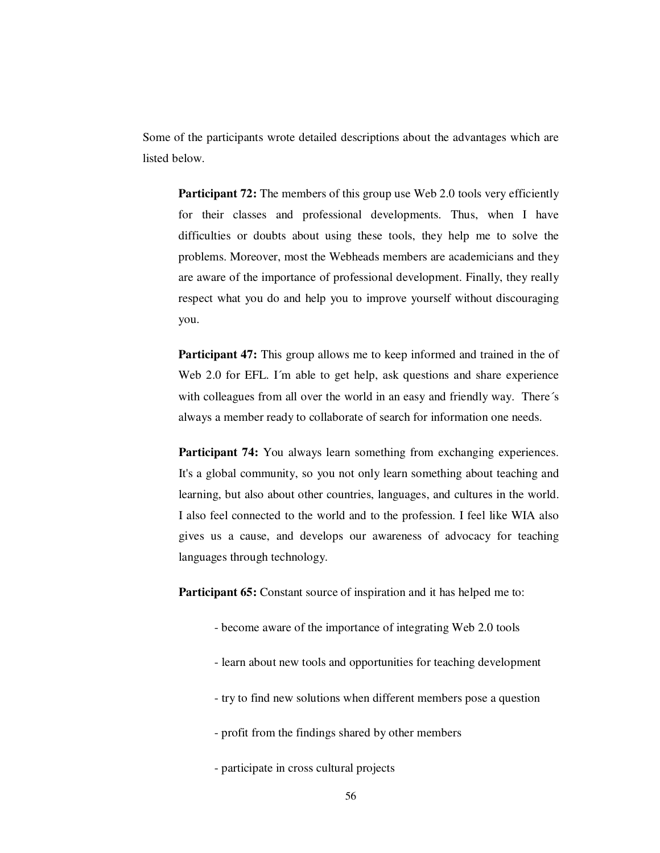Some of the participants wrote detailed descriptions about the advantages which are listed below.

**Participant 72:** The members of this group use Web 2.0 tools very efficiently for their classes and professional developments. Thus, when I have difficulties or doubts about using these tools, they help me to solve the problems. Moreover, most the Webheads members are academicians and they are aware of the importance of professional development. Finally, they really respect what you do and help you to improve yourself without discouraging you.

**Participant 47:** This group allows me to keep informed and trained in the of Web 2.0 for EFL. I'm able to get help, ask questions and share experience with colleagues from all over the world in an easy and friendly way. There's always a member ready to collaborate of search for information one needs.

**Participant 74:** You always learn something from exchanging experiences. It's a global community, so you not only learn something about teaching and learning, but also about other countries, languages, and cultures in the world. I also feel connected to the world and to the profession. I feel like WIA also gives us a cause, and develops our awareness of advocacy for teaching languages through technology.

**Participant 65:** Constant source of inspiration and it has helped me to:

- become aware of the importance of integrating Web 2.0 tools
- learn about new tools and opportunities for teaching development
- try to find new solutions when different members pose a question
- profit from the findings shared by other members
- participate in cross cultural projects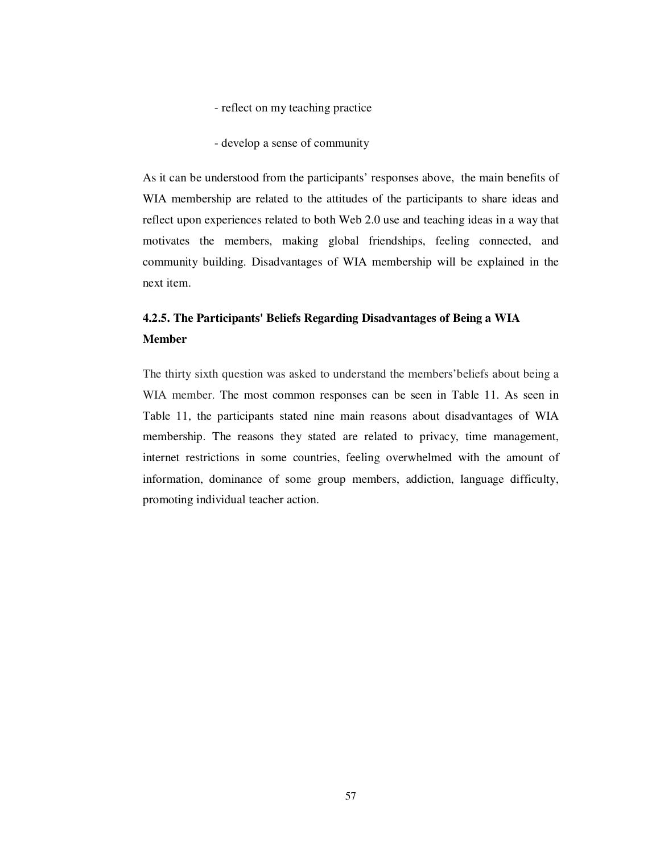- reflect on my teaching practice
- develop a sense of community

As it can be understood from the participants' responses above, the main benefits of WIA membership are related to the attitudes of the participants to share ideas and reflect upon experiences related to both Web 2.0 use and teaching ideas in a way that motivates the members, making global friendships, feeling connected, and community building. Disadvantages of WIA membership will be explained in the next item.

# **4.2.5. The Participants' Beliefs Regarding Disadvantages of Being a WIA Member**

The thirty sixth question was asked to understand the members'beliefs about being a WIA member. The most common responses can be seen in Table 11. As seen in Table 11, the participants stated nine main reasons about disadvantages of WIA membership. The reasons they stated are related to privacy, time management, internet restrictions in some countries, feeling overwhelmed with the amount of information, dominance of some group members, addiction, language difficulty, promoting individual teacher action.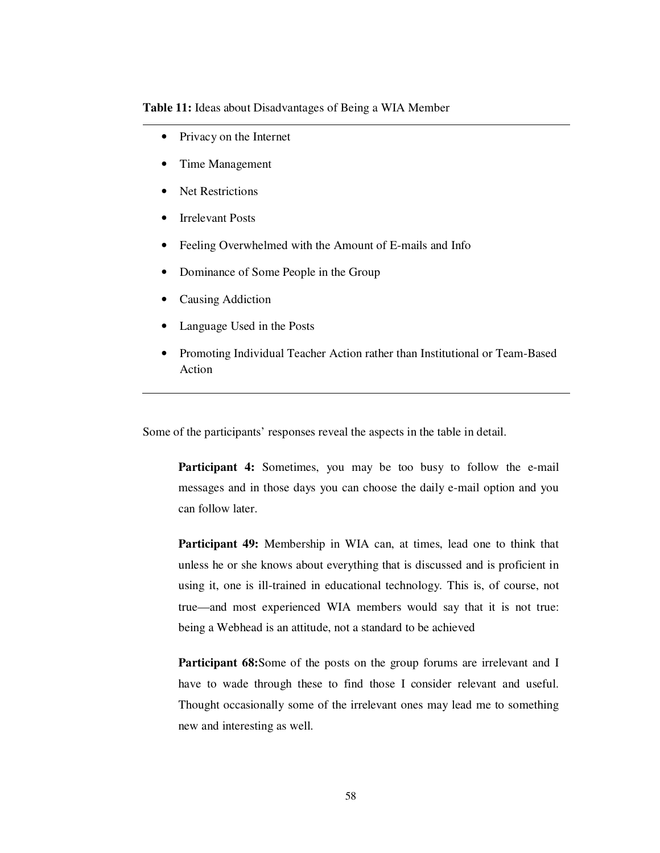**Table 11:** Ideas about Disadvantages of Being a WIA Member

- Privacy on the Internet
- Time Management
- Net Restrictions
- **Irrelevant Posts**
- Feeling Overwhelmed with the Amount of E-mails and Info
- Dominance of Some People in the Group
- Causing Addiction
- Language Used in the Posts
- Promoting Individual Teacher Action rather than Institutional or Team-Based Action

Some of the participants' responses reveal the aspects in the table in detail.

**Participant 4:** Sometimes, you may be too busy to follow the e-mail messages and in those days you can choose the daily e-mail option and you can follow later.

**Participant 49:** Membership in WIA can, at times, lead one to think that unless he or she knows about everything that is discussed and is proficient in using it, one is ill-trained in educational technology. This is, of course, not true—and most experienced WIA members would say that it is not true: being a Webhead is an attitude, not a standard to be achieved

**Participant 68:**Some of the posts on the group forums are irrelevant and I have to wade through these to find those I consider relevant and useful. Thought occasionally some of the irrelevant ones may lead me to something new and interesting as well.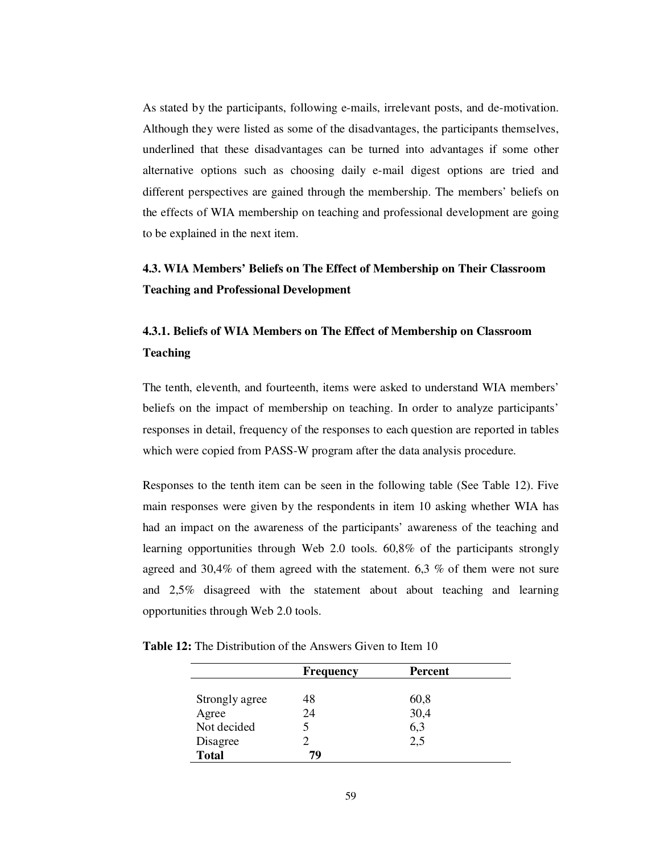As stated by the participants, following e-mails, irrelevant posts, and de-motivation. Although they were listed as some of the disadvantages, the participants themselves, underlined that these disadvantages can be turned into advantages if some other alternative options such as choosing daily e-mail digest options are tried and different perspectives are gained through the membership. The members' beliefs on the effects of WIA membership on teaching and professional development are going to be explained in the next item.

# **4.3. WIA Members' Beliefs on The Effect of Membership on Their Classroom Teaching and Professional Development**

# **4.3.1. Beliefs of WIA Members on The Effect of Membership on Classroom Teaching**

The tenth, eleventh, and fourteenth, items were asked to understand WIA members' beliefs on the impact of membership on teaching. In order to analyze participants' responses in detail, frequency of the responses to each question are reported in tables which were copied from PASS-W program after the data analysis procedure.

Responses to the tenth item can be seen in the following table (See Table 12). Five main responses were given by the respondents in item 10 asking whether WIA has had an impact on the awareness of the participants' awareness of the teaching and learning opportunities through Web 2.0 tools. 60,8% of the participants strongly agreed and 30,4% of them agreed with the statement. 6,3 % of them were not sure and 2,5% disagreed with the statement about about teaching and learning opportunities through Web 2.0 tools.

| <b>Table 12:</b> The Distribution of the Answers Given to Item 10 |
|-------------------------------------------------------------------|
|-------------------------------------------------------------------|

|                | <b>Frequency</b> | Percent |  |
|----------------|------------------|---------|--|
| Strongly agree | 48               | 60,8    |  |
| Agree          | 24               | 30,4    |  |
| Not decided    |                  | 6,3     |  |
| Disagree       |                  | 2,5     |  |
| <b>Total</b>   | 79               |         |  |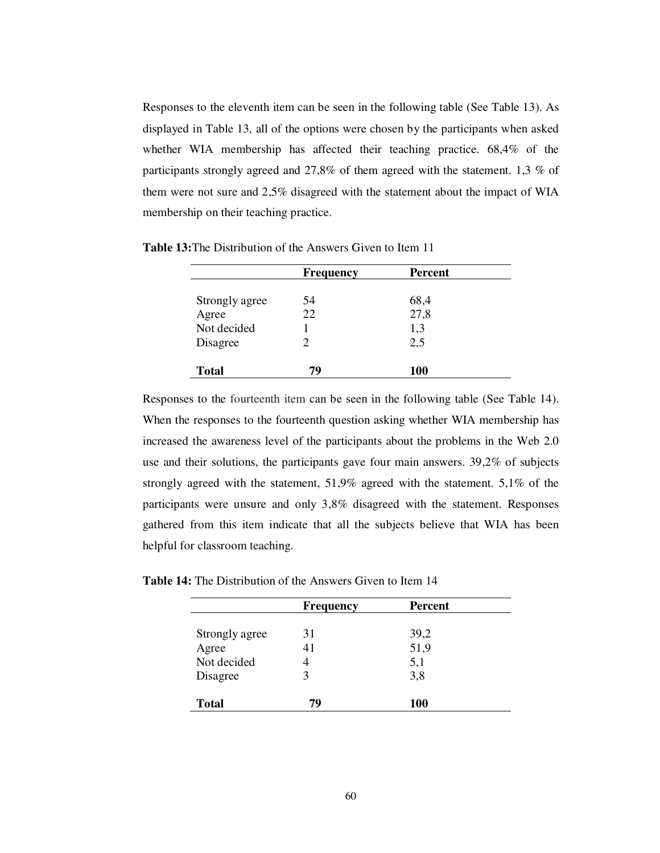Responses to the eleventh item can be seen in the following table (See Table 13). As displayed in Table 13, all of the options were chosen by the participants when asked whether WIA membership has affected their teaching practice. 68,4% of the participants strongly agreed and 27,8% of them agreed with the statement. 1,3 % of them were not sure and 2,5% disagreed with the statement about the impact of WIA membership on their teaching practice.

|                | <b>Frequency</b> | <b>Percent</b> |  |
|----------------|------------------|----------------|--|
|                |                  |                |  |
| Strongly agree | 54               | 68,4           |  |
| Agree          | 22               | 27,8           |  |
| Not decided    |                  | 1,3            |  |
| Disagree       |                  | 2,5            |  |
| <b>Total</b>   | 79               | 100            |  |

**Table 13:**The Distribution of the Answers Given to Item 11

Responses to the fourteenth item can be seen in the following table (See Table 14). When the responses to the fourteenth question asking whether WIA membership has increased the awareness level of the participants about the problems in the Web 2.0 use and their solutions, the participants gave four main answers. 39,2% of subjects strongly agreed with the statement, 51,9% agreed with the statement. 5,1% of the participants were unsure and only 3,8% disagreed with the statement. Responses gathered from this item indicate that all the subjects believe that WIA has been helpful for classroom teaching.

|                | <b>Frequency</b> | <b>Percent</b> |
|----------------|------------------|----------------|
|                |                  |                |
| Strongly agree | 31               | 39,2           |
| Agree          |                  | 51,9           |
| Not decided    |                  | 5,1            |
| Disagree       |                  | 3,8            |

**Total 79 100** 

**Table 14:** The Distribution of the Answers Given to Item 14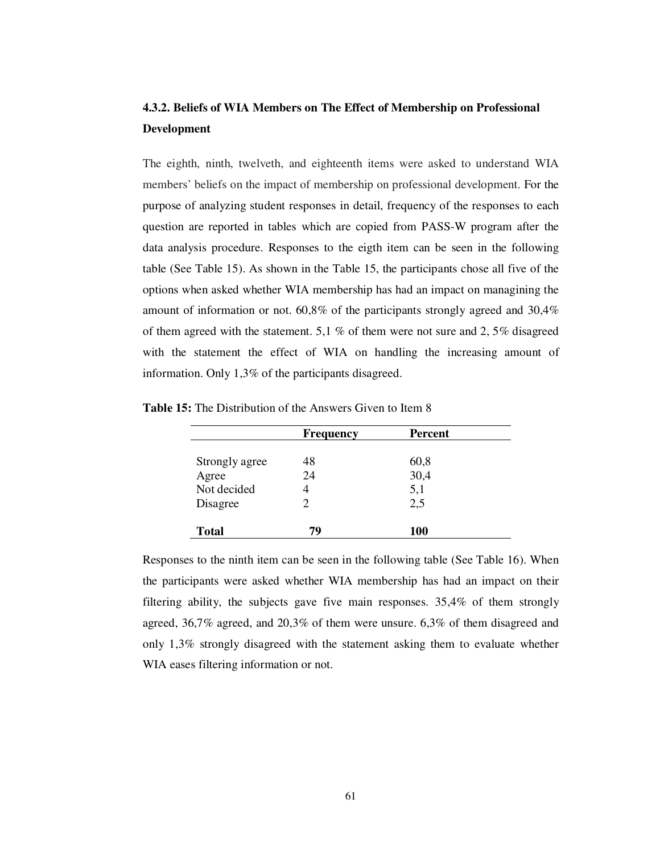# **4.3.2. Beliefs of WIA Members on The Effect of Membership on Professional Development**

The eighth, ninth, twelveth, and eighteenth items were asked to understand WIA members' beliefs on the impact of membership on professional development. For the purpose of analyzing student responses in detail, frequency of the responses to each question are reported in tables which are copied from PASS-W program after the data analysis procedure. Responses to the eigth item can be seen in the following table (See Table 15). As shown in the Table 15, the participants chose all five of the options when asked whether WIA membership has had an impact on managining the amount of information or not. 60,8% of the participants strongly agreed and 30,4% of them agreed with the statement. 5,1 % of them were not sure and 2, 5% disagreed with the statement the effect of WIA on handling the increasing amount of information. Only 1,3% of the participants disagreed.

|                | <b>Frequency</b> | <b>Percent</b> |  |
|----------------|------------------|----------------|--|
| Strongly agree | 48               | 60,8           |  |
| Agree          | 24               | 30,4           |  |
| Not decided    |                  | 5,1            |  |
| Disagree       |                  | 2,5            |  |
| <b>Total</b>   | 79               | <b>100</b>     |  |

**Table 15:** The Distribution of the Answers Given to Item 8

Responses to the ninth item can be seen in the following table (See Table 16). When the participants were asked whether WIA membership has had an impact on their filtering ability, the subjects gave five main responses. 35,4% of them strongly agreed, 36,7% agreed, and 20,3% of them were unsure. 6,3% of them disagreed and only 1,3% strongly disagreed with the statement asking them to evaluate whether WIA eases filtering information or not.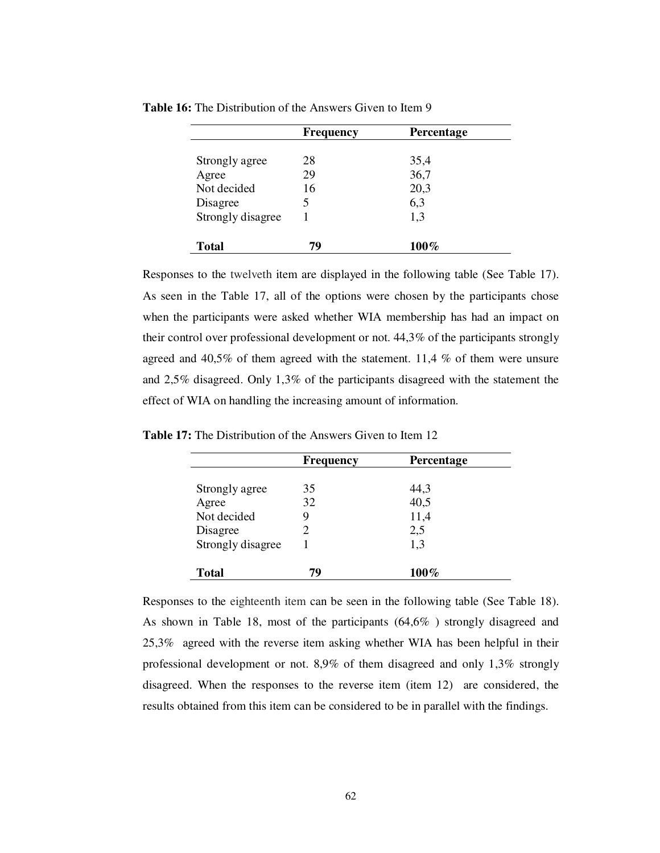|                   | <b>Frequency</b> | <b>Percentage</b> |
|-------------------|------------------|-------------------|
|                   |                  |                   |
| Strongly agree    | 28               | 35,4              |
| Agree             | 29               | 36,7              |
| Not decided       | 16               | 20,3              |
| Disagree          | 5                | 6,3               |
| Strongly disagree |                  | 1,3               |
|                   |                  |                   |
| <b>Total</b>      | 79               | 100%              |

**Table 16:** The Distribution of the Answers Given to Item 9

Responses to the twelveth item are displayed in the following table (See Table 17). As seen in the Table 17, all of the options were chosen by the participants chose when the participants were asked whether WIA membership has had an impact on their control over professional development or not. 44,3% of the participants strongly agreed and 40,5% of them agreed with the statement. 11,4 % of them were unsure and 2,5% disagreed. Only 1,3% of the participants disagreed with the statement the effect of WIA on handling the increasing amount of information.

|                   | <b>Frequency</b> | <b>Percentage</b> |
|-------------------|------------------|-------------------|
| Strongly agree    | 35               | 44,3              |
| Agree             | 32               | 40,5              |
| Not decided       | 9                | 11,4              |
| Disagree          |                  | 2,5               |
| Strongly disagree |                  | 1,3               |
| <b>Total</b>      | 79               | $100\%$           |

**Table 17:** The Distribution of the Answers Given to Item 12

Responses to the eighteenth item can be seen in the following table (See Table 18). As shown in Table 18, most of the participants (64,6% ) strongly disagreed and 25,3% agreed with the reverse item asking whether WIA has been helpful in their professional development or not. 8,9% of them disagreed and only 1,3% strongly disagreed. When the responses to the reverse item (item 12) are considered, the results obtained from this item can be considered to be in parallel with the findings.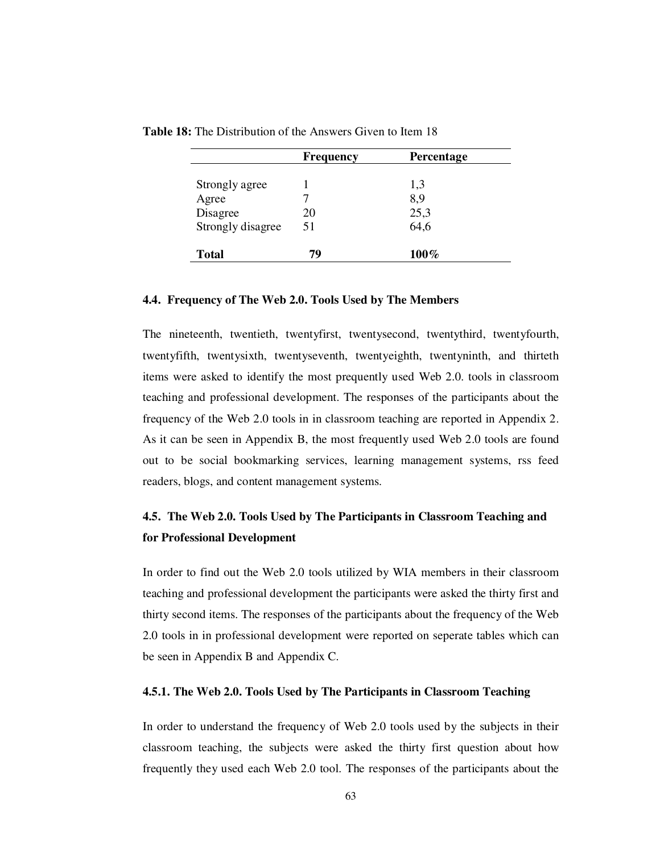|                   | <b>Frequency</b> | <b>Percentage</b> |
|-------------------|------------------|-------------------|
| Strongly agree    |                  | 1,3               |
| Agree             |                  | 8,9               |
| Disagree          | 20               | 25,3              |
| Strongly disagree | 51               | 64,6              |
| <b>Total</b>      | 79               | 100%              |

**Table 18:** The Distribution of the Answers Given to Item 18

#### **4.4. Frequency of The Web 2.0. Tools Used by The Members**

The nineteenth, twentieth, twentyfirst, twentysecond, twentythird, twentyfourth, twentyfifth, twentysixth, twentyseventh, twentyeighth, twentyninth, and thirteth items were asked to identify the most prequently used Web 2.0. tools in classroom teaching and professional development. The responses of the participants about the frequency of the Web 2.0 tools in in classroom teaching are reported in Appendix 2. As it can be seen in Appendix B, the most frequently used Web 2.0 tools are found out to be social bookmarking services, learning management systems, rss feed readers, blogs, and content management systems.

# **4.5. The Web 2.0. Tools Used by The Participants in Classroom Teaching and for Professional Development**

In order to find out the Web 2.0 tools utilized by WIA members in their classroom teaching and professional development the participants were asked the thirty first and thirty second items. The responses of the participants about the frequency of the Web 2.0 tools in in professional development were reported on seperate tables which can be seen in Appendix B and Appendix C.

#### **4.5.1. The Web 2.0. Tools Used by The Participants in Classroom Teaching**

In order to understand the frequency of Web 2.0 tools used by the subjects in their classroom teaching, the subjects were asked the thirty first question about how frequently they used each Web 2.0 tool. The responses of the participants about the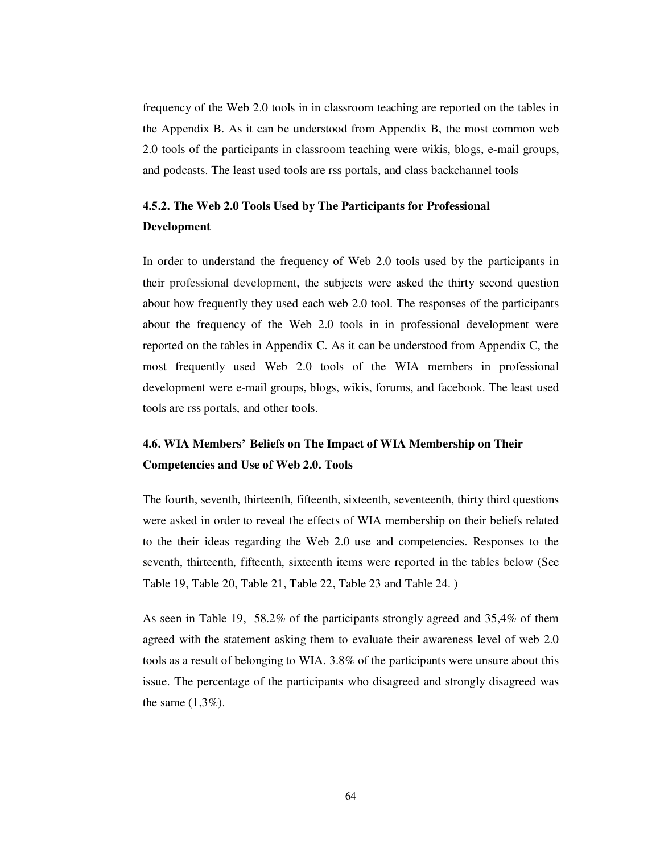frequency of the Web 2.0 tools in in classroom teaching are reported on the tables in the Appendix B. As it can be understood from Appendix B, the most common web 2.0 tools of the participants in classroom teaching were wikis, blogs, e-mail groups, and podcasts. The least used tools are rss portals, and class backchannel tools

# **4.5.2. The Web 2.0 Tools Used by The Participants for Professional Development**

In order to understand the frequency of Web 2.0 tools used by the participants in their professional development, the subjects were asked the thirty second question about how frequently they used each web 2.0 tool. The responses of the participants about the frequency of the Web 2.0 tools in in professional development were reported on the tables in Appendix C. As it can be understood from Appendix C, the most frequently used Web 2.0 tools of the WIA members in professional development were e-mail groups, blogs, wikis, forums, and facebook. The least used tools are rss portals, and other tools.

# **4.6. WIA Members' Beliefs on The Impact of WIA Membership on Their Competencies and Use of Web 2.0. Tools**

The fourth, seventh, thirteenth, fifteenth, sixteenth, seventeenth, thirty third questions were asked in order to reveal the effects of WIA membership on their beliefs related to the their ideas regarding the Web 2.0 use and competencies. Responses to the seventh, thirteenth, fifteenth, sixteenth items were reported in the tables below (See Table 19, Table 20, Table 21, Table 22, Table 23 and Table 24. )

As seen in Table 19, 58.2% of the participants strongly agreed and 35,4% of them agreed with the statement asking them to evaluate their awareness level of web 2.0 tools as a result of belonging to WIA. 3.8% of the participants were unsure about this issue. The percentage of the participants who disagreed and strongly disagreed was the same  $(1,3\%)$ .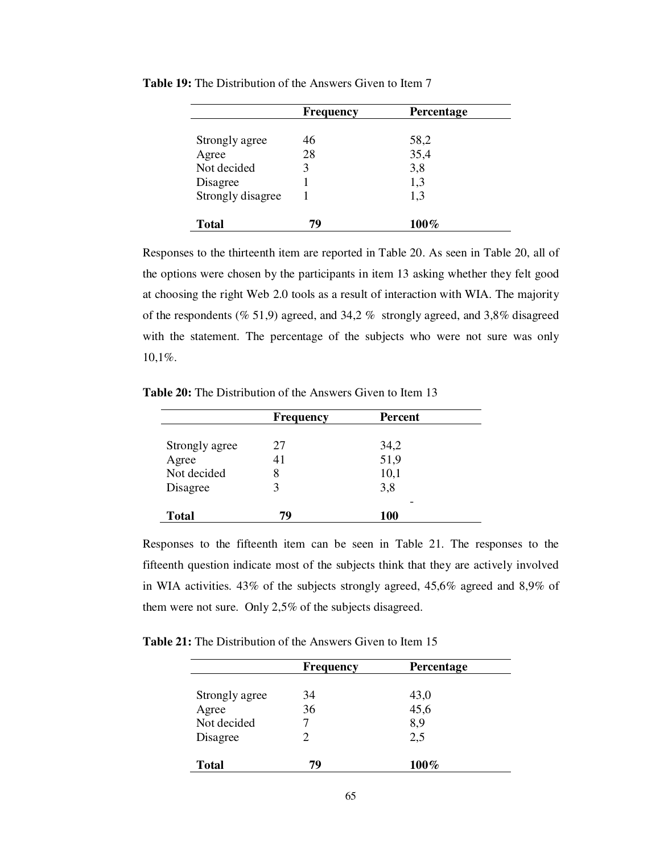|                   | <b>Frequency</b> | Percentage |
|-------------------|------------------|------------|
| Strongly agree    | 46               | 58,2       |
| Agree             | 28               | 35,4       |
| Not decided       | 3                | 3,8        |
| Disagree          |                  | 1,3        |
| Strongly disagree |                  | 1,3        |
| <b>Total</b>      | 79               | $100\%$    |

**Table 19:** The Distribution of the Answers Given to Item 7

Responses to the thirteenth item are reported in Table 20. As seen in Table 20, all of the options were chosen by the participants in item 13 asking whether they felt good at choosing the right Web 2.0 tools as a result of interaction with WIA. The majority of the respondents (% 51,9) agreed, and 34,2 % strongly agreed, and 3,8% disagreed with the statement. The percentage of the subjects who were not sure was only 10,1%.

**Table 20:** The Distribution of the Answers Given to Item 13

|                | <b>Frequency</b> | <b>Percent</b> |  |
|----------------|------------------|----------------|--|
|                |                  |                |  |
| Strongly agree | 27               | 34,2           |  |
| Agree          | 41               | 51,9           |  |
| Not decided    | 8                | 10,1           |  |
| Disagree       |                  | 3,8            |  |
|                |                  |                |  |
| <b>Total</b>   | 79               | 100            |  |

Responses to the fifteenth item can be seen in Table 21. The responses to the fifteenth question indicate most of the subjects think that they are actively involved in WIA activities. 43% of the subjects strongly agreed, 45,6% agreed and 8,9% of them were not sure. Only 2,5% of the subjects disagreed.

**Table 21:** The Distribution of the Answers Given to Item 15

|                | <b>Frequency</b> | Percentage |
|----------------|------------------|------------|
| Strongly agree | 34               | 43,0       |
| Agree          | 36               | 45,6       |
| Not decided    |                  | 8,9        |
| Disagree       | 2                | 2,5        |
| <b>Total</b>   | 79               | 100%       |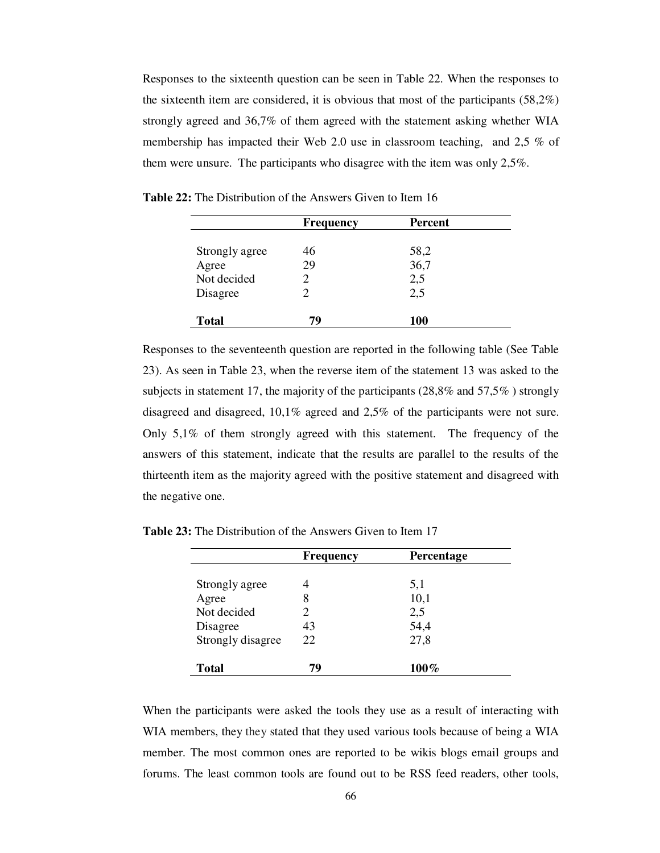Responses to the sixteenth question can be seen in Table 22. When the responses to the sixteenth item are considered, it is obvious that most of the participants (58,2%) strongly agreed and 36,7% of them agreed with the statement asking whether WIA membership has impacted their Web 2.0 use in classroom teaching, and 2,5 % of them were unsure. The participants who disagree with the item was only 2,5%.

|                | <b>Frequency</b> | <b>Percent</b> |  |
|----------------|------------------|----------------|--|
|                |                  |                |  |
| Strongly agree | 46               | 58,2           |  |
| Agree          | 29               | 36,7           |  |
| Not decided    |                  | 2,5            |  |
| Disagree       |                  | 2,5            |  |
| <b>Total</b>   | 79               | 100            |  |

**Table 22:** The Distribution of the Answers Given to Item 16

Responses to the seventeenth question are reported in the following table (See Table 23). As seen in Table 23, when the reverse item of the statement 13 was asked to the subjects in statement 17, the majority of the participants (28,8% and 57,5% ) strongly disagreed and disagreed, 10,1% agreed and 2,5% of the participants were not sure. Only 5,1% of them strongly agreed with this statement. The frequency of the answers of this statement, indicate that the results are parallel to the results of the thirteenth item as the majority agreed with the positive statement and disagreed with the negative one.

|                   | <b>Frequency</b> | Percentage |  |
|-------------------|------------------|------------|--|
|                   |                  |            |  |
| Strongly agree    |                  | 5,1        |  |
| Agree             | 8                | 10,1       |  |
| Not decided       |                  | 2,5        |  |
| Disagree          | 43               | 54,4       |  |
| Strongly disagree | 22               | 27,8       |  |
|                   |                  |            |  |
| <b>Total</b>      | 79               | $100\%$    |  |

**Table 23:** The Distribution of the Answers Given to Item 17

When the participants were asked the tools they use as a result of interacting with WIA members, they they stated that they used various tools because of being a WIA member. The most common ones are reported to be wikis blogs email groups and forums. The least common tools are found out to be RSS feed readers, other tools,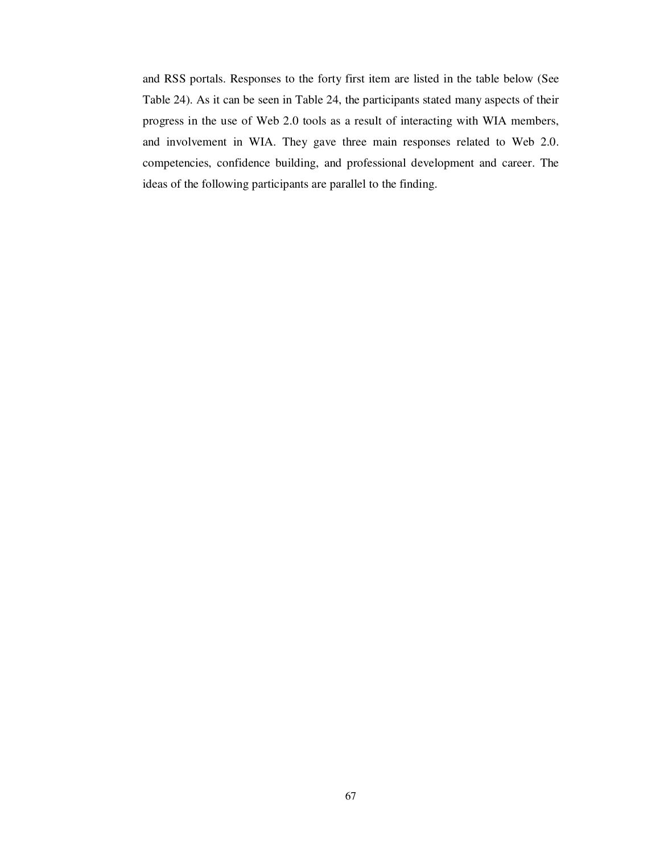and RSS portals. Responses to the forty first item are listed in the table below (See Table 24). As it can be seen in Table 24, the participants stated many aspects of their progress in the use of Web 2.0 tools as a result of interacting with WIA members, and involvement in WIA. They gave three main responses related to Web 2.0. competencies, confidence building, and professional development and career. The ideas of the following participants are parallel to the finding.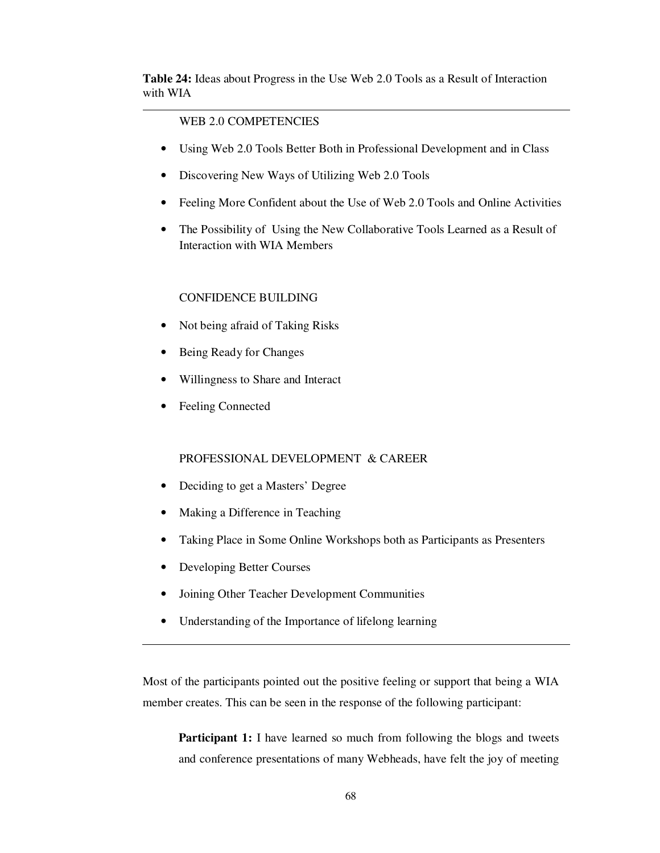**Table 24:** Ideas about Progress in the Use Web 2.0 Tools as a Result of Interaction with WIA

### WEB 2.0 COMPETENCIES

- Using Web 2.0 Tools Better Both in Professional Development and in Class
- Discovering New Ways of Utilizing Web 2.0 Tools
- Feeling More Confident about the Use of Web 2.0 Tools and Online Activities
- The Possibility of Using the New Collaborative Tools Learned as a Result of Interaction with WIA Members

#### CONFIDENCE BUILDING

- Not being afraid of Taking Risks
- Being Ready for Changes
- Willingness to Share and Interact
- Feeling Connected

### PROFESSIONAL DEVELOPMENT & CAREER

- Deciding to get a Masters' Degree
- Making a Difference in Teaching
- Taking Place in Some Online Workshops both as Participants as Presenters
- Developing Better Courses

I

- Joining Other Teacher Development Communities
- Understanding of the Importance of lifelong learning

Most of the participants pointed out the positive feeling or support that being a WIA member creates. This can be seen in the response of the following participant:

**Participant 1:** I have learned so much from following the blogs and tweets and conference presentations of many Webheads, have felt the joy of meeting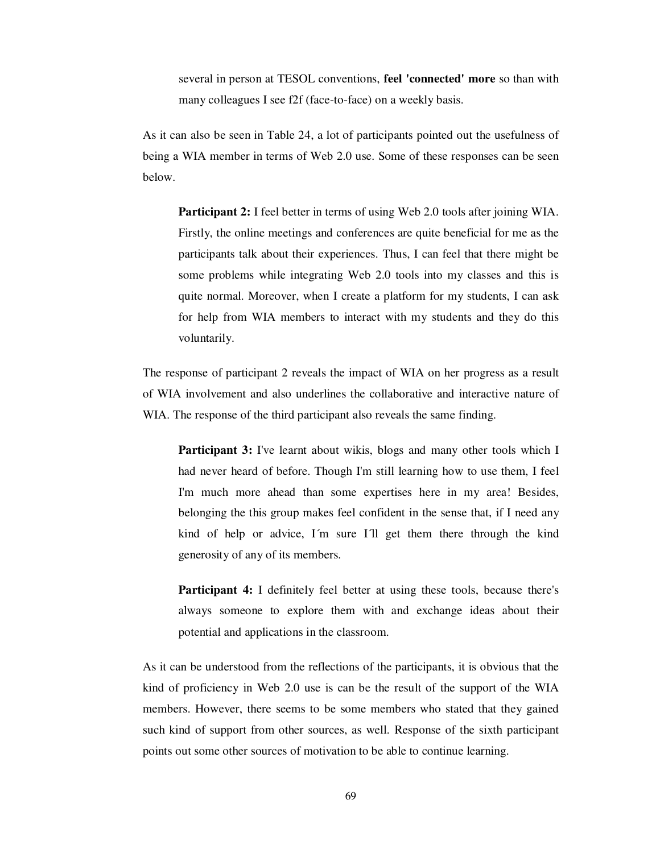several in person at TESOL conventions, **feel 'connected' more** so than with many colleagues I see f2f (face-to-face) on a weekly basis.

As it can also be seen in Table 24, a lot of participants pointed out the usefulness of being a WIA member in terms of Web 2.0 use. Some of these responses can be seen below.

**Participant 2:** I feel better in terms of using Web 2.0 tools after joining WIA. Firstly, the online meetings and conferences are quite beneficial for me as the participants talk about their experiences. Thus, I can feel that there might be some problems while integrating Web 2.0 tools into my classes and this is quite normal. Moreover, when I create a platform for my students, I can ask for help from WIA members to interact with my students and they do this voluntarily.

The response of participant 2 reveals the impact of WIA on her progress as a result of WIA involvement and also underlines the collaborative and interactive nature of WIA. The response of the third participant also reveals the same finding.

**Participant 3:** I've learnt about wikis, blogs and many other tools which I had never heard of before. Though I'm still learning how to use them, I feel I'm much more ahead than some expertises here in my area! Besides, belonging the this group makes feel confident in the sense that, if I need any kind of help or advice, I´m sure I´ll get them there through the kind generosity of any of its members.

**Participant 4:** I definitely feel better at using these tools, because there's always someone to explore them with and exchange ideas about their potential and applications in the classroom.

As it can be understood from the reflections of the participants, it is obvious that the kind of proficiency in Web 2.0 use is can be the result of the support of the WIA members. However, there seems to be some members who stated that they gained such kind of support from other sources, as well. Response of the sixth participant points out some other sources of motivation to be able to continue learning.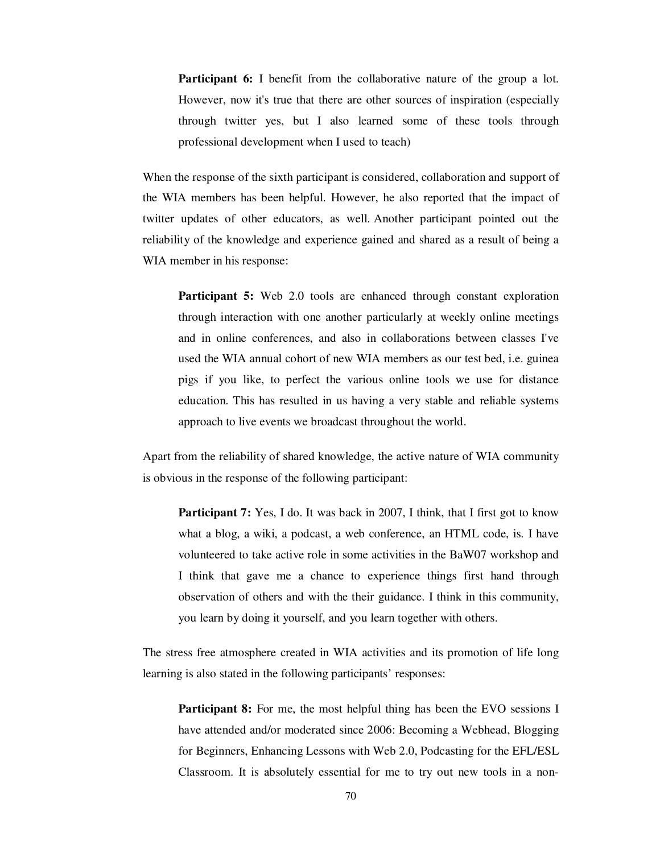**Participant 6:** I benefit from the collaborative nature of the group a lot. However, now it's true that there are other sources of inspiration (especially through twitter yes, but I also learned some of these tools through professional development when I used to teach)

When the response of the sixth participant is considered, collaboration and support of the WIA members has been helpful. However, he also reported that the impact of twitter updates of other educators, as well. Another participant pointed out the reliability of the knowledge and experience gained and shared as a result of being a WIA member in his response:

**Participant 5:** Web 2.0 tools are enhanced through constant exploration through interaction with one another particularly at weekly online meetings and in online conferences, and also in collaborations between classes I've used the WIA annual cohort of new WIA members as our test bed, i.e. guinea pigs if you like, to perfect the various online tools we use for distance education. This has resulted in us having a very stable and reliable systems approach to live events we broadcast throughout the world.

Apart from the reliability of shared knowledge, the active nature of WIA community is obvious in the response of the following participant:

**Participant 7:** Yes, I do. It was back in 2007, I think, that I first got to know what a blog, a wiki, a podcast, a web conference, an HTML code, is. I have volunteered to take active role in some activities in the BaW07 workshop and I think that gave me a chance to experience things first hand through observation of others and with the their guidance. I think in this community, you learn by doing it yourself, and you learn together with others.

The stress free atmosphere created in WIA activities and its promotion of life long learning is also stated in the following participants' responses:

**Participant 8:** For me, the most helpful thing has been the EVO sessions I have attended and/or moderated since 2006: Becoming a Webhead, Blogging for Beginners, Enhancing Lessons with Web 2.0, Podcasting for the EFL/ESL Classroom. It is absolutely essential for me to try out new tools in a non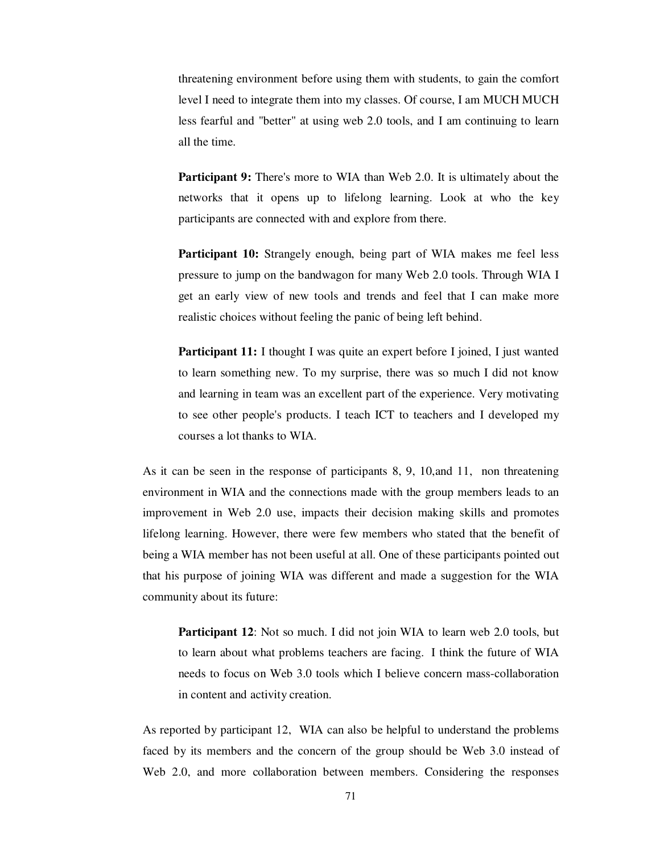threatening environment before using them with students, to gain the comfort level I need to integrate them into my classes. Of course, I am MUCH MUCH less fearful and "better" at using web 2.0 tools, and I am continuing to learn all the time.

**Participant 9:** There's more to WIA than Web 2.0. It is ultimately about the networks that it opens up to lifelong learning. Look at who the key participants are connected with and explore from there.

**Participant 10:** Strangely enough, being part of WIA makes me feel less pressure to jump on the bandwagon for many Web 2.0 tools. Through WIA I get an early view of new tools and trends and feel that I can make more realistic choices without feeling the panic of being left behind.

**Participant 11:** I thought I was quite an expert before I joined, I just wanted to learn something new. To my surprise, there was so much I did not know and learning in team was an excellent part of the experience. Very motivating to see other people's products. I teach ICT to teachers and I developed my courses a lot thanks to WIA.

As it can be seen in the response of participants 8, 9, 10,and 11, non threatening environment in WIA and the connections made with the group members leads to an improvement in Web 2.0 use, impacts their decision making skills and promotes lifelong learning. However, there were few members who stated that the benefit of being a WIA member has not been useful at all. One of these participants pointed out that his purpose of joining WIA was different and made a suggestion for the WIA community about its future:

**Participant 12:** Not so much. I did not join WIA to learn web 2.0 tools, but to learn about what problems teachers are facing. I think the future of WIA needs to focus on Web 3.0 tools which I believe concern mass-collaboration in content and activity creation.

As reported by participant 12, WIA can also be helpful to understand the problems faced by its members and the concern of the group should be Web 3.0 instead of Web 2.0, and more collaboration between members. Considering the responses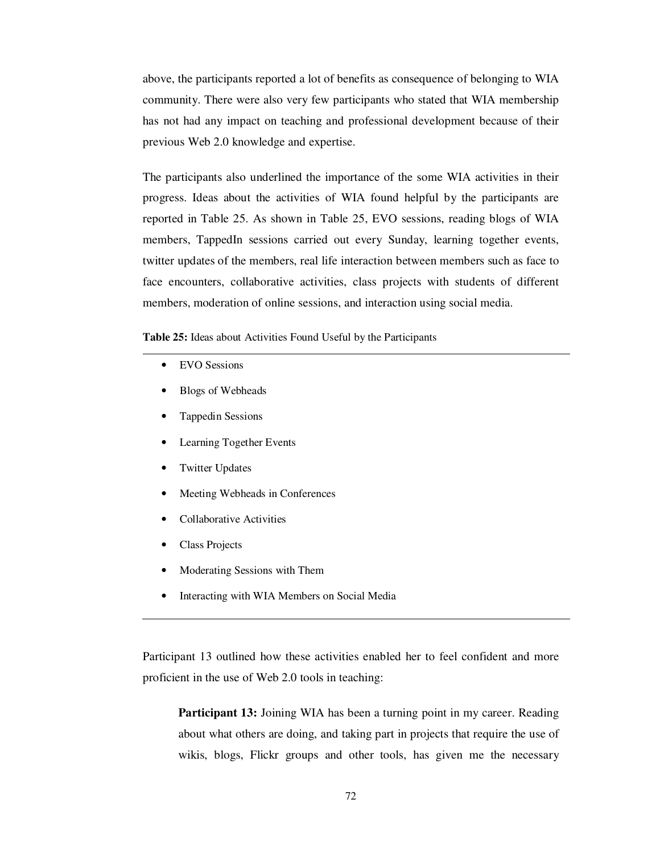above, the participants reported a lot of benefits as consequence of belonging to WIA community. There were also very few participants who stated that WIA membership has not had any impact on teaching and professional development because of their previous Web 2.0 knowledge and expertise.

The participants also underlined the importance of the some WIA activities in their progress. Ideas about the activities of WIA found helpful by the participants are reported in Table 25. As shown in Table 25, EVO sessions, reading blogs of WIA members, TappedIn sessions carried out every Sunday, learning together events, twitter updates of the members, real life interaction between members such as face to face encounters, collaborative activities, class projects with students of different members, moderation of online sessions, and interaction using social media.

**Table 25:** Ideas about Activities Found Useful by the Participants

- EVO Sessions
- Blogs of Webheads
- Tappedin Sessions
- Learning Together Events
- **Twitter Updates**
- Meeting Webheads in Conferences
- Collaborative Activities
- Class Projects
- Moderating Sessions with Them
- Interacting with WIA Members on Social Media

Participant 13 outlined how these activities enabled her to feel confident and more proficient in the use of Web 2.0 tools in teaching:

**Participant 13:** Joining WIA has been a turning point in my career. Reading about what others are doing, and taking part in projects that require the use of wikis, blogs, Flickr groups and other tools, has given me the necessary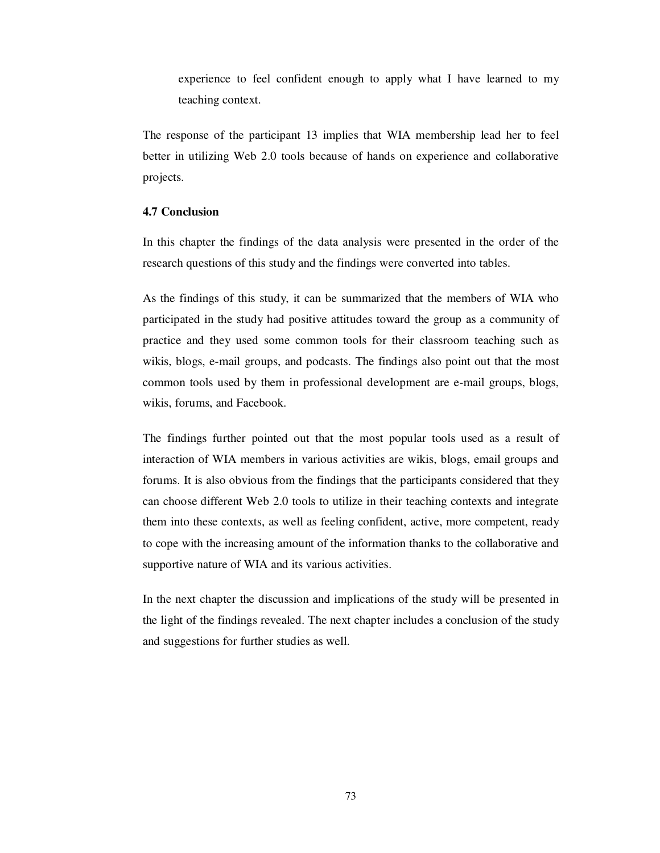experience to feel confident enough to apply what I have learned to my teaching context.

The response of the participant 13 implies that WIA membership lead her to feel better in utilizing Web 2.0 tools because of hands on experience and collaborative projects.

### **4.7 Conclusion**

In this chapter the findings of the data analysis were presented in the order of the research questions of this study and the findings were converted into tables.

As the findings of this study, it can be summarized that the members of WIA who participated in the study had positive attitudes toward the group as a community of practice and they used some common tools for their classroom teaching such as wikis, blogs, e-mail groups, and podcasts. The findings also point out that the most common tools used by them in professional development are e-mail groups, blogs, wikis, forums, and Facebook.

The findings further pointed out that the most popular tools used as a result of interaction of WIA members in various activities are wikis, blogs, email groups and forums. It is also obvious from the findings that the participants considered that they can choose different Web 2.0 tools to utilize in their teaching contexts and integrate them into these contexts, as well as feeling confident, active, more competent, ready to cope with the increasing amount of the information thanks to the collaborative and supportive nature of WIA and its various activities.

In the next chapter the discussion and implications of the study will be presented in the light of the findings revealed. The next chapter includes a conclusion of the study and suggestions for further studies as well.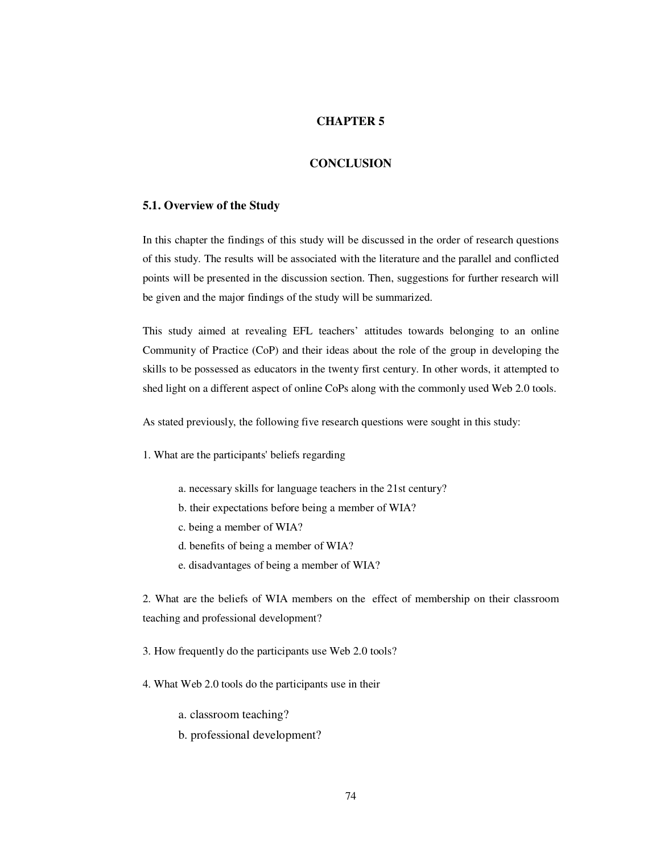### **CHAPTER 5**

### **CONCLUSION**

#### **5.1. Overview of the Study**

In this chapter the findings of this study will be discussed in the order of research questions of this study. The results will be associated with the literature and the parallel and conflicted points will be presented in the discussion section. Then, suggestions for further research will be given and the major findings of the study will be summarized.

This study aimed at revealing EFL teachers' attitudes towards belonging to an online Community of Practice (CoP) and their ideas about the role of the group in developing the skills to be possessed as educators in the twenty first century. In other words, it attempted to shed light on a different aspect of online CoPs along with the commonly used Web 2.0 tools.

As stated previously, the following five research questions were sought in this study:

1. What are the participants' beliefs regarding

- a. necessary skills for language teachers in the 21st century?
- b. their expectations before being a member of WIA?
- c. being a member of WIA?
- d. benefits of being a member of WIA?
- e. disadvantages of being a member of WIA?

2. What are the beliefs of WIA members on the effect of membership on their classroom teaching and professional development?

- 3. How frequently do the participants use Web 2.0 tools?
- 4. What Web 2.0 tools do the participants use in their

a. classroom teaching?

b. professional development?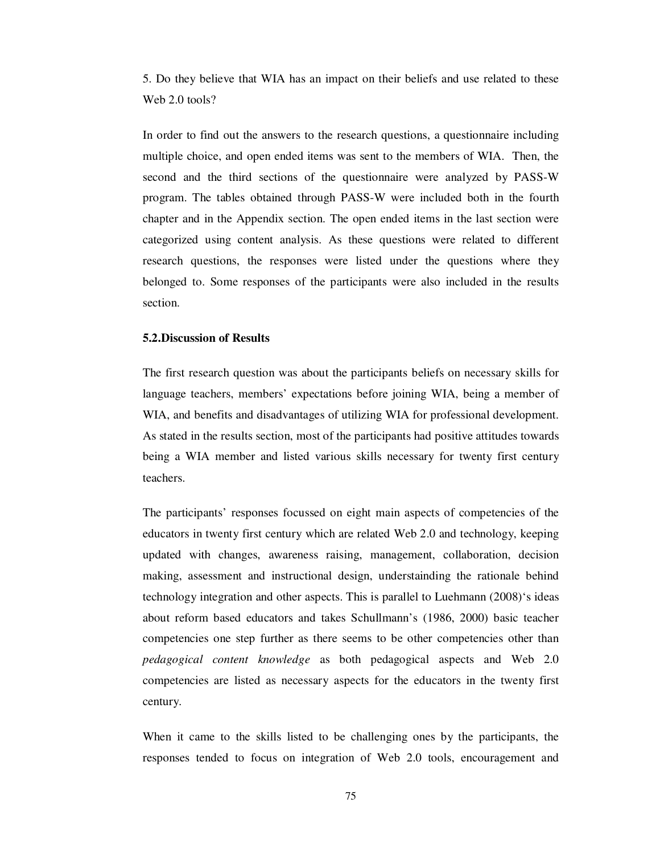5. Do they believe that WIA has an impact on their beliefs and use related to these Web 2.0 tools?

In order to find out the answers to the research questions, a questionnaire including multiple choice, and open ended items was sent to the members of WIA. Then, the second and the third sections of the questionnaire were analyzed by PASS-W program. The tables obtained through PASS-W were included both in the fourth chapter and in the Appendix section. The open ended items in the last section were categorized using content analysis. As these questions were related to different research questions, the responses were listed under the questions where they belonged to. Some responses of the participants were also included in the results section.

#### **5.2.Discussion of Results**

The first research question was about the participants beliefs on necessary skills for language teachers, members' expectations before joining WIA, being a member of WIA, and benefits and disadvantages of utilizing WIA for professional development. As stated in the results section, most of the participants had positive attitudes towards being a WIA member and listed various skills necessary for twenty first century teachers.

The participants' responses focussed on eight main aspects of competencies of the educators in twenty first century which are related Web 2.0 and technology, keeping updated with changes, awareness raising, management, collaboration, decision making, assessment and instructional design, understainding the rationale behind technology integration and other aspects. This is parallel to Luehmann (2008)'s ideas about reform based educators and takes Schullmann's (1986, 2000) basic teacher competencies one step further as there seems to be other competencies other than *pedagogical content knowledge* as both pedagogical aspects and Web 2.0 competencies are listed as necessary aspects for the educators in the twenty first century.

When it came to the skills listed to be challenging ones by the participants, the responses tended to focus on integration of Web 2.0 tools, encouragement and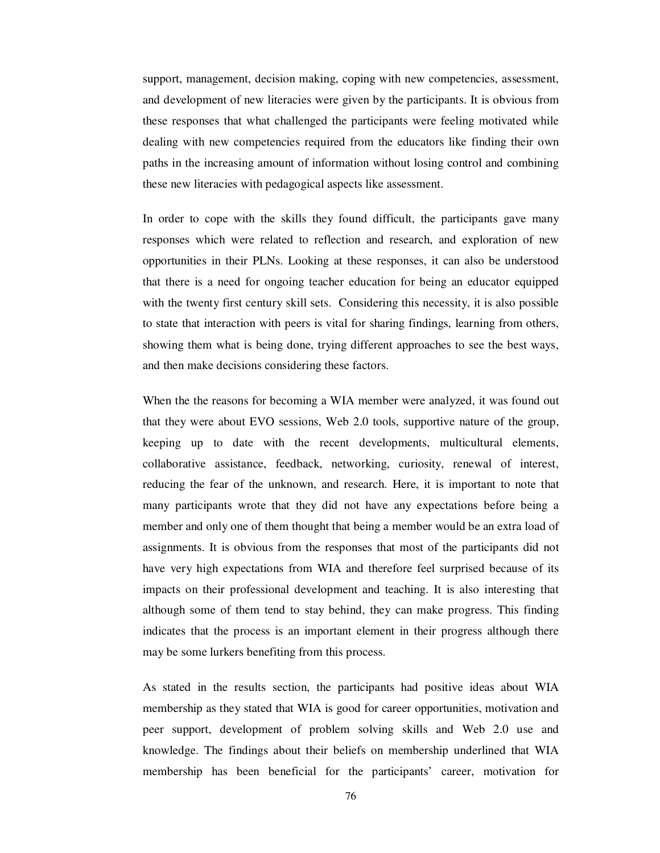support, management, decision making, coping with new competencies, assessment, and development of new literacies were given by the participants. It is obvious from these responses that what challenged the participants were feeling motivated while dealing with new competencies required from the educators like finding their own paths in the increasing amount of information without losing control and combining these new literacies with pedagogical aspects like assessment.

In order to cope with the skills they found difficult, the participants gave many responses which were related to reflection and research, and exploration of new opportunities in their PLNs. Looking at these responses, it can also be understood that there is a need for ongoing teacher education for being an educator equipped with the twenty first century skill sets. Considering this necessity, it is also possible to state that interaction with peers is vital for sharing findings, learning from others, showing them what is being done, trying different approaches to see the best ways, and then make decisions considering these factors.

When the the reasons for becoming a WIA member were analyzed, it was found out that they were about EVO sessions, Web 2.0 tools, supportive nature of the group, keeping up to date with the recent developments, multicultural elements, collaborative assistance, feedback, networking, curiosity, renewal of interest, reducing the fear of the unknown, and research. Here, it is important to note that many participants wrote that they did not have any expectations before being a member and only one of them thought that being a member would be an extra load of assignments. It is obvious from the responses that most of the participants did not have very high expectations from WIA and therefore feel surprised because of its impacts on their professional development and teaching. It is also interesting that although some of them tend to stay behind, they can make progress. This finding indicates that the process is an important element in their progress although there may be some lurkers benefiting from this process.

As stated in the results section, the participants had positive ideas about WIA membership as they stated that WIA is good for career opportunities, motivation and peer support, development of problem solving skills and Web 2.0 use and knowledge. The findings about their beliefs on membership underlined that WIA membership has been beneficial for the participants' career, motivation for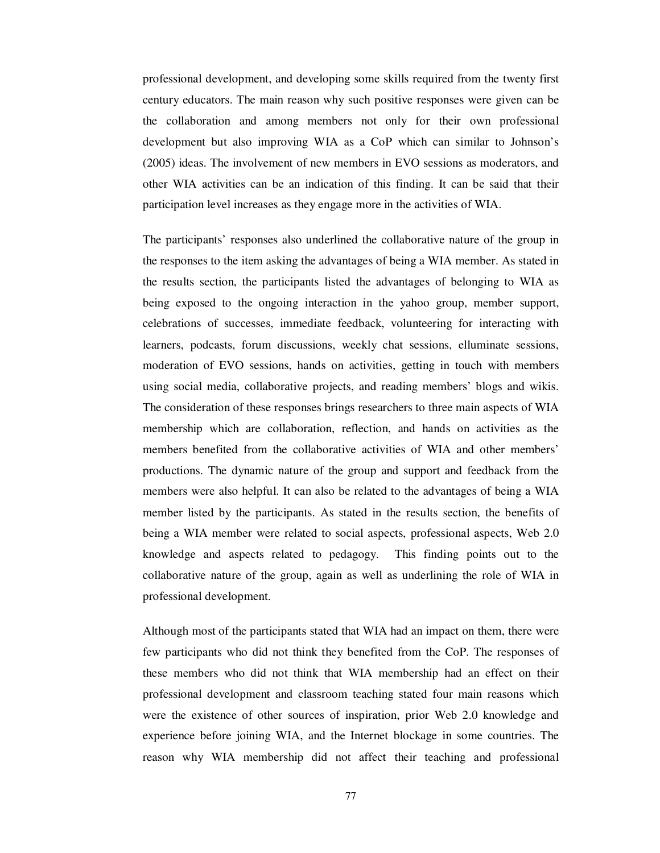professional development, and developing some skills required from the twenty first century educators. The main reason why such positive responses were given can be the collaboration and among members not only for their own professional development but also improving WIA as a CoP which can similar to Johnson's (2005) ideas. The involvement of new members in EVO sessions as moderators, and other WIA activities can be an indication of this finding. It can be said that their participation level increases as they engage more in the activities of WIA.

The participants' responses also underlined the collaborative nature of the group in the responses to the item asking the advantages of being a WIA member. As stated in the results section, the participants listed the advantages of belonging to WIA as being exposed to the ongoing interaction in the yahoo group, member support, celebrations of successes, immediate feedback, volunteering for interacting with learners, podcasts, forum discussions, weekly chat sessions, elluminate sessions, moderation of EVO sessions, hands on activities, getting in touch with members using social media, collaborative projects, and reading members' blogs and wikis. The consideration of these responses brings researchers to three main aspects of WIA membership which are collaboration, reflection, and hands on activities as the members benefited from the collaborative activities of WIA and other members' productions. The dynamic nature of the group and support and feedback from the members were also helpful. It can also be related to the advantages of being a WIA member listed by the participants. As stated in the results section, the benefits of being a WIA member were related to social aspects, professional aspects, Web 2.0 knowledge and aspects related to pedagogy. This finding points out to the collaborative nature of the group, again as well as underlining the role of WIA in professional development.

Although most of the participants stated that WIA had an impact on them, there were few participants who did not think they benefited from the CoP. The responses of these members who did not think that WIA membership had an effect on their professional development and classroom teaching stated four main reasons which were the existence of other sources of inspiration, prior Web 2.0 knowledge and experience before joining WIA, and the Internet blockage in some countries. The reason why WIA membership did not affect their teaching and professional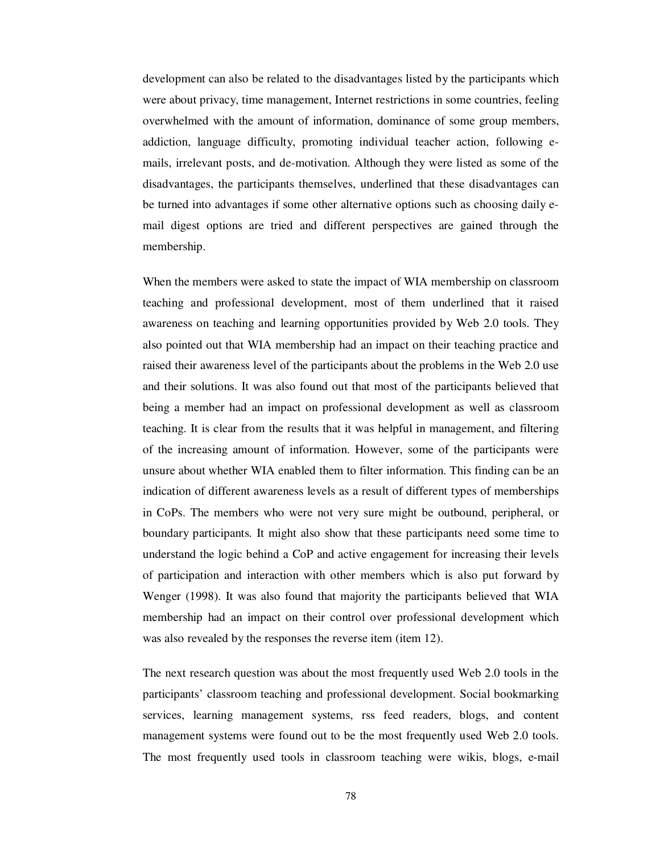development can also be related to the disadvantages listed by the participants which were about privacy, time management, Internet restrictions in some countries, feeling overwhelmed with the amount of information, dominance of some group members, addiction, language difficulty, promoting individual teacher action, following emails, irrelevant posts, and de-motivation. Although they were listed as some of the disadvantages, the participants themselves, underlined that these disadvantages can be turned into advantages if some other alternative options such as choosing daily email digest options are tried and different perspectives are gained through the membership.

When the members were asked to state the impact of WIA membership on classroom teaching and professional development, most of them underlined that it raised awareness on teaching and learning opportunities provided by Web 2.0 tools. They also pointed out that WIA membership had an impact on their teaching practice and raised their awareness level of the participants about the problems in the Web 2.0 use and their solutions. It was also found out that most of the participants believed that being a member had an impact on professional development as well as classroom teaching. It is clear from the results that it was helpful in management, and filtering of the increasing amount of information. However, some of the participants were unsure about whether WIA enabled them to filter information. This finding can be an indication of different awareness levels as a result of different types of memberships in CoPs. The members who were not very sure might be outbound, peripheral, or boundary participants. It might also show that these participants need some time to understand the logic behind a CoP and active engagement for increasing their levels of participation and interaction with other members which is also put forward by Wenger (1998). It was also found that majority the participants believed that WIA membership had an impact on their control over professional development which was also revealed by the responses the reverse item (item 12).

The next research question was about the most frequently used Web 2.0 tools in the participants' classroom teaching and professional development. Social bookmarking services, learning management systems, rss feed readers, blogs, and content management systems were found out to be the most frequently used Web 2.0 tools. The most frequently used tools in classroom teaching were wikis, blogs, e-mail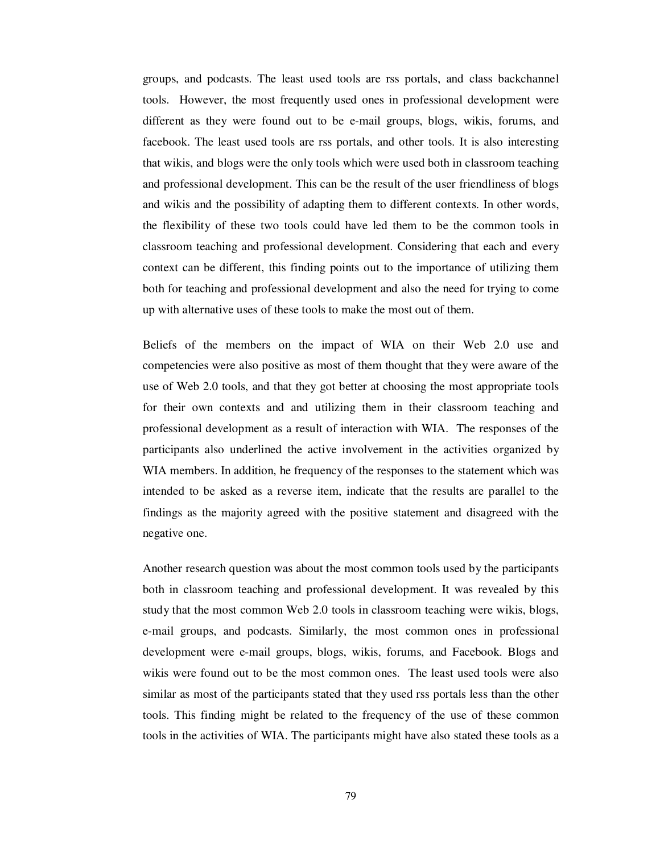groups, and podcasts. The least used tools are rss portals, and class backchannel tools. However, the most frequently used ones in professional development were different as they were found out to be e-mail groups, blogs, wikis, forums, and facebook. The least used tools are rss portals, and other tools. It is also interesting that wikis, and blogs were the only tools which were used both in classroom teaching and professional development. This can be the result of the user friendliness of blogs and wikis and the possibility of adapting them to different contexts. In other words, the flexibility of these two tools could have led them to be the common tools in classroom teaching and professional development. Considering that each and every context can be different, this finding points out to the importance of utilizing them both for teaching and professional development and also the need for trying to come up with alternative uses of these tools to make the most out of them.

Beliefs of the members on the impact of WIA on their Web 2.0 use and competencies were also positive as most of them thought that they were aware of the use of Web 2.0 tools, and that they got better at choosing the most appropriate tools for their own contexts and and utilizing them in their classroom teaching and professional development as a result of interaction with WIA. The responses of the participants also underlined the active involvement in the activities organized by WIA members. In addition, he frequency of the responses to the statement which was intended to be asked as a reverse item, indicate that the results are parallel to the findings as the majority agreed with the positive statement and disagreed with the negative one.

Another research question was about the most common tools used by the participants both in classroom teaching and professional development. It was revealed by this study that the most common Web 2.0 tools in classroom teaching were wikis, blogs, e-mail groups, and podcasts. Similarly, the most common ones in professional development were e-mail groups, blogs, wikis, forums, and Facebook. Blogs and wikis were found out to be the most common ones. The least used tools were also similar as most of the participants stated that they used rss portals less than the other tools. This finding might be related to the frequency of the use of these common tools in the activities of WIA. The participants might have also stated these tools as a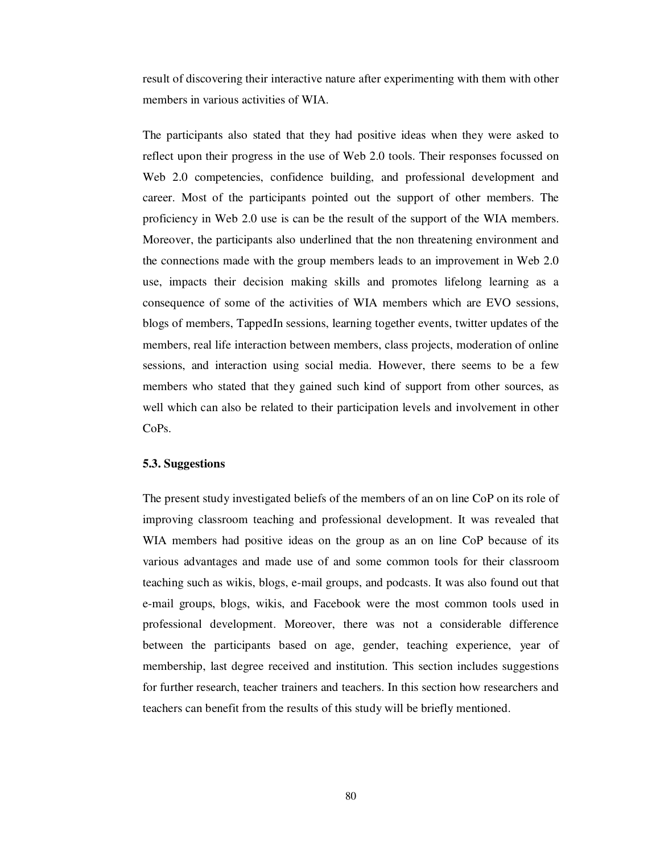result of discovering their interactive nature after experimenting with them with other members in various activities of WIA.

The participants also stated that they had positive ideas when they were asked to reflect upon their progress in the use of Web 2.0 tools. Their responses focussed on Web 2.0 competencies, confidence building, and professional development and career. Most of the participants pointed out the support of other members. The proficiency in Web 2.0 use is can be the result of the support of the WIA members. Moreover, the participants also underlined that the non threatening environment and the connections made with the group members leads to an improvement in Web 2.0 use, impacts their decision making skills and promotes lifelong learning as a consequence of some of the activities of WIA members which are EVO sessions, blogs of members, TappedIn sessions, learning together events, twitter updates of the members, real life interaction between members, class projects, moderation of online sessions, and interaction using social media. However, there seems to be a few members who stated that they gained such kind of support from other sources, as well which can also be related to their participation levels and involvement in other CoPs.

#### **5.3. Suggestions**

The present study investigated beliefs of the members of an on line CoP on its role of improving classroom teaching and professional development. It was revealed that WIA members had positive ideas on the group as an on line CoP because of its various advantages and made use of and some common tools for their classroom teaching such as wikis, blogs, e-mail groups, and podcasts. It was also found out that e-mail groups, blogs, wikis, and Facebook were the most common tools used in professional development. Moreover, there was not a considerable difference between the participants based on age, gender, teaching experience, year of membership, last degree received and institution. This section includes suggestions for further research, teacher trainers and teachers. In this section how researchers and teachers can benefit from the results of this study will be briefly mentioned.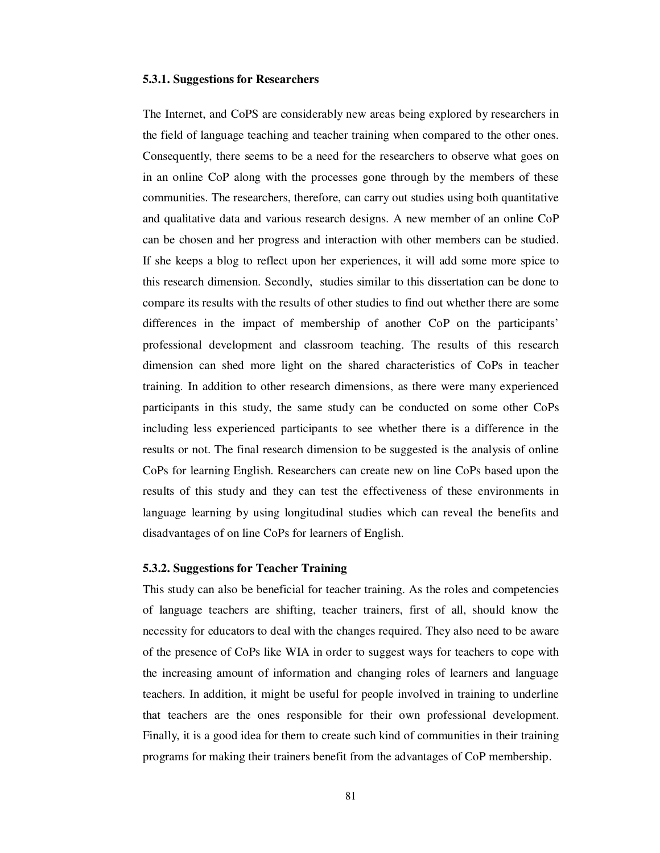#### **5.3.1. Suggestions for Researchers**

The Internet, and CoPS are considerably new areas being explored by researchers in the field of language teaching and teacher training when compared to the other ones. Consequently, there seems to be a need for the researchers to observe what goes on in an online CoP along with the processes gone through by the members of these communities. The researchers, therefore, can carry out studies using both quantitative and qualitative data and various research designs. A new member of an online CoP can be chosen and her progress and interaction with other members can be studied. If she keeps a blog to reflect upon her experiences, it will add some more spice to this research dimension. Secondly, studies similar to this dissertation can be done to compare its results with the results of other studies to find out whether there are some differences in the impact of membership of another CoP on the participants' professional development and classroom teaching. The results of this research dimension can shed more light on the shared characteristics of CoPs in teacher training. In addition to other research dimensions, as there were many experienced participants in this study, the same study can be conducted on some other CoPs including less experienced participants to see whether there is a difference in the results or not. The final research dimension to be suggested is the analysis of online CoPs for learning English. Researchers can create new on line CoPs based upon the results of this study and they can test the effectiveness of these environments in language learning by using longitudinal studies which can reveal the benefits and disadvantages of on line CoPs for learners of English.

#### **5.3.2. Suggestions for Teacher Training**

This study can also be beneficial for teacher training. As the roles and competencies of language teachers are shifting, teacher trainers, first of all, should know the necessity for educators to deal with the changes required. They also need to be aware of the presence of CoPs like WIA in order to suggest ways for teachers to cope with the increasing amount of information and changing roles of learners and language teachers. In addition, it might be useful for people involved in training to underline that teachers are the ones responsible for their own professional development. Finally, it is a good idea for them to create such kind of communities in their training programs for making their trainers benefit from the advantages of CoP membership.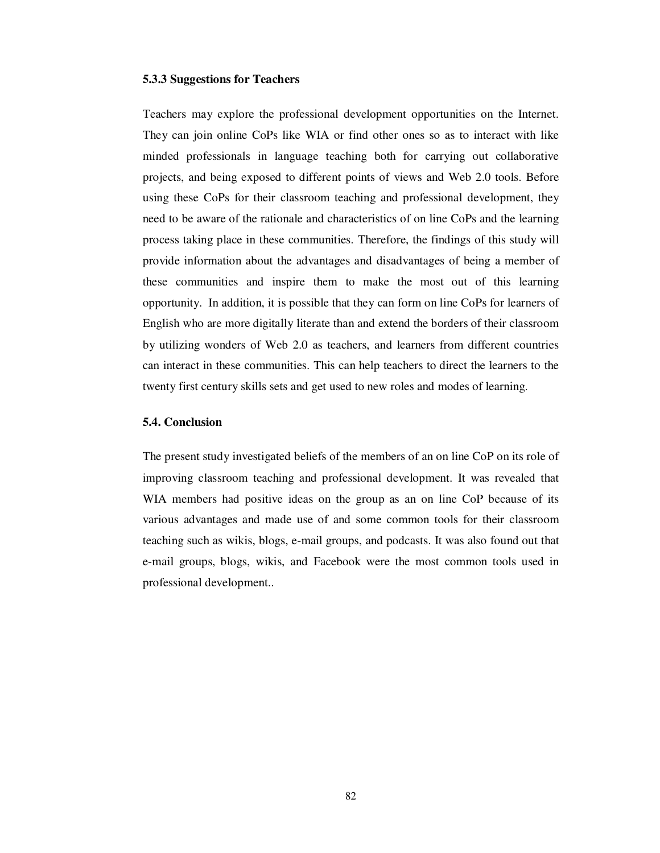#### **5.3.3 Suggestions for Teachers**

Teachers may explore the professional development opportunities on the Internet. They can join online CoPs like WIA or find other ones so as to interact with like minded professionals in language teaching both for carrying out collaborative projects, and being exposed to different points of views and Web 2.0 tools. Before using these CoPs for their classroom teaching and professional development, they need to be aware of the rationale and characteristics of on line CoPs and the learning process taking place in these communities. Therefore, the findings of this study will provide information about the advantages and disadvantages of being a member of these communities and inspire them to make the most out of this learning opportunity. In addition, it is possible that they can form on line CoPs for learners of English who are more digitally literate than and extend the borders of their classroom by utilizing wonders of Web 2.0 as teachers, and learners from different countries can interact in these communities. This can help teachers to direct the learners to the twenty first century skills sets and get used to new roles and modes of learning.

#### **5.4. Conclusion**

The present study investigated beliefs of the members of an on line CoP on its role of improving classroom teaching and professional development. It was revealed that WIA members had positive ideas on the group as an on line CoP because of its various advantages and made use of and some common tools for their classroom teaching such as wikis, blogs, e-mail groups, and podcasts. It was also found out that e-mail groups, blogs, wikis, and Facebook were the most common tools used in professional development..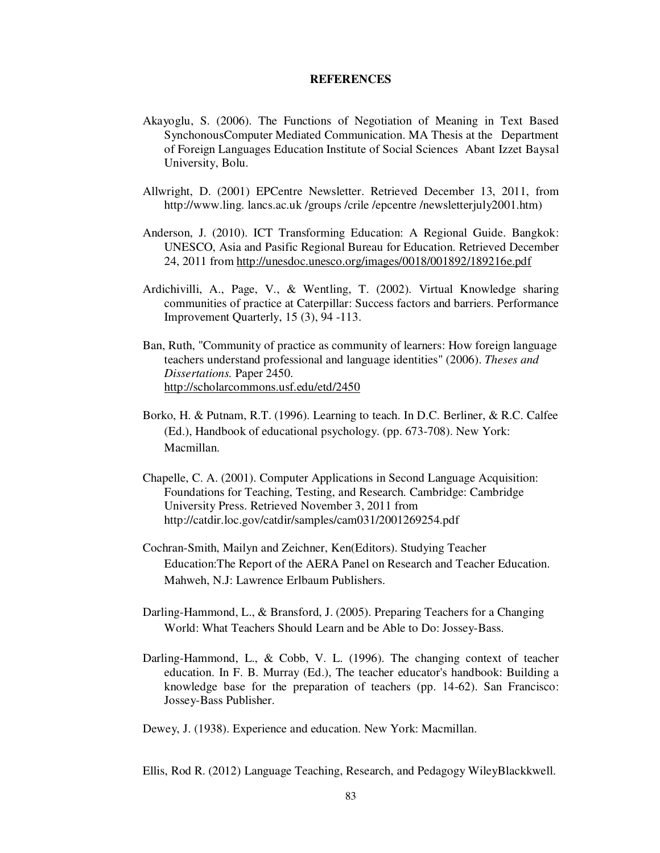#### **REFERENCES**

- Akayoglu, S. (2006). The Functions of Negotiation of Meaning in Text Based SynchonousComputer Mediated Communication. MA Thesis at the Department of Foreign Languages Education Institute of Social Sciences Abant Izzet Baysal University, Bolu.
- Allwright, D. (2001) EPCentre Newsletter. Retrieved December 13, 2011, from http://www.ling. lancs.ac.uk /groups /crile /epcentre /newsletterjuly2001.htm)
- Anderson, J. (2010). ICT Transforming Education: A Regional Guide. Bangkok: UNESCO, Asia and Pasific Regional Bureau for Education. Retrieved December 24, 2011 from http://unesdoc.unesco.org/images/0018/001892/189216e.pdf
- Ardichivilli, A., Page, V., & Wentling, T. (2002). Virtual Knowledge sharing communities of practice at Caterpillar: Success factors and barriers. Performance Improvement Quarterly, 15 (3), 94 -113.
- Ban, Ruth, "Community of practice as community of learners: How foreign language teachers understand professional and language identities" (2006). *Theses and Dissertations.* Paper 2450. http://scholarcommons.usf.edu/etd/2450
- Borko, H. & Putnam, R.T. (1996). Learning to teach. In D.C. Berliner, & R.C. Calfee (Ed.), Handbook of educational psychology. (pp. 673-708). New York: Macmillan.
- Chapelle, C. A. (2001). Computer Applications in Second Language Acquisition: Foundations for Teaching, Testing, and Research. Cambridge: Cambridge University Press. Retrieved November 3, 2011 from http://catdir.loc.gov/catdir/samples/cam031/2001269254.pdf
- Cochran-Smith, Mailyn and Zeichner, Ken(Editors). Studying Teacher Education:The Report of the AERA Panel on Research and Teacher Education. Mahweh, N.J: Lawrence Erlbaum Publishers.
- Darling-Hammond, L., & Bransford, J. (2005). Preparing Teachers for a Changing World: What Teachers Should Learn and be Able to Do: Jossey-Bass.
- Darling-Hammond, L., & Cobb, V. L. (1996). The changing context of teacher education. In F. B. Murray (Ed.), The teacher educator's handbook: Building a knowledge base for the preparation of teachers (pp. 14-62). San Francisco: Jossey-Bass Publisher.

Dewey, J. (1938). Experience and education. New York: Macmillan.

Ellis, Rod R. (2012) Language Teaching, Research, and Pedagogy WileyBlackkwell.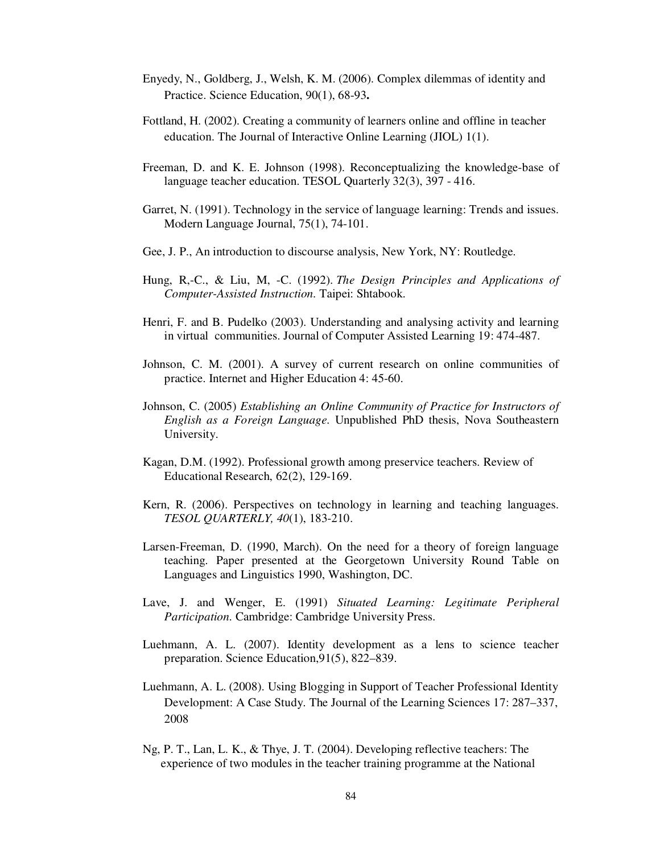- Enyedy, N., Goldberg, J., Welsh, K. M. (2006). Complex dilemmas of identity and Practice. Science Education, 90(1), 68-93**.**
- Fottland, H. (2002). Creating a community of learners online and offline in teacher education. The Journal of Interactive Online Learning (JIOL) 1(1).
- Freeman, D. and K. E. Johnson (1998). Reconceptualizing the knowledge-base of language teacher education. TESOL Quarterly 32(3), 397 - 416.
- Garret, N. (1991). Technology in the service of language learning: Trends and issues. Modern Language Journal, 75(1), 74-101.
- Gee, J. P., An introduction to discourse analysis, New York, NY: Routledge.
- Hung, R,-C., & Liu, M, -C. (1992). *The Design Principles and Applications of Computer-Assisted Instruction.* Taipei: Shtabook.
- Henri, F. and B. Pudelko (2003). Understanding and analysing activity and learning in virtual communities. Journal of Computer Assisted Learning 19: 474-487.
- Johnson, C. M. (2001). A survey of current research on online communities of practice. Internet and Higher Education 4: 45-60.
- Johnson, C. (2005) *Establishing an Online Community of Practice for Instructors of English as a Foreign Language*. Unpublished PhD thesis, Nova Southeastern University.
- Kagan, D.M. (1992). Professional growth among preservice teachers. Review of Educational Research, 62(2), 129-169.
- Kern, R. (2006). Perspectives on technology in learning and teaching languages. *TESOL QUARTERLY, 40*(1), 183-210.
- Larsen-Freeman, D. (1990, March). On the need for a theory of foreign language teaching. Paper presented at the Georgetown University Round Table on Languages and Linguistics 1990, Washington, DC.
- Lave, J. and Wenger, E. (1991) *Situated Learning: Legitimate Peripheral Participation*. Cambridge: Cambridge University Press.
- Luehmann, A. L. (2007). Identity development as a lens to science teacher preparation. Science Education,91(5), 822–839.
- Luehmann, A. L. (2008). Using Blogging in Support of Teacher Professional Identity Development: A Case Study. The Journal of the Learning Sciences 17: 287–337, 2008
- Ng, P. T., Lan, L. K., & Thye, J. T. (2004). Developing reflective teachers: The experience of two modules in the teacher training programme at the National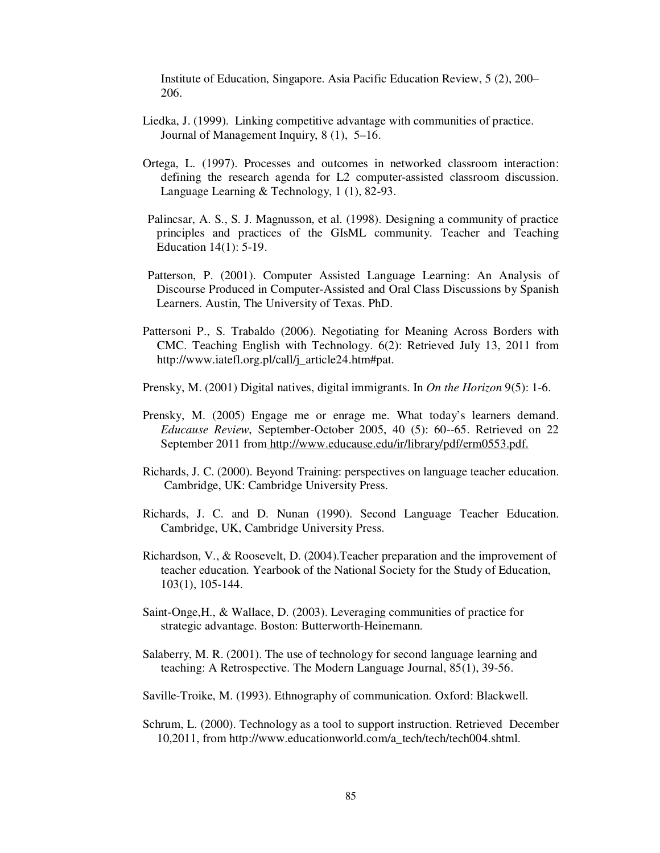Institute of Education, Singapore. Asia Pacific Education Review, 5 (2), 200– 206.

- Liedka, J. (1999). Linking competitive advantage with communities of practice. Journal of Management Inquiry, 8 (1), 5–16.
- Ortega, L. (1997). Processes and outcomes in networked classroom interaction: defining the research agenda for L2 computer-assisted classroom discussion. Language Learning & Technology, 1 (1), 82-93.
- Palincsar, A. S., S. J. Magnusson, et al. (1998). Designing a community of practice principles and practices of the GIsML community. Teacher and Teaching Education 14(1): 5-19.
- Patterson, P. (2001). Computer Assisted Language Learning: An Analysis of Discourse Produced in Computer-Assisted and Oral Class Discussions by Spanish Learners. Austin, The University of Texas. PhD.
- Pattersoni P., S. Trabaldo (2006). Negotiating for Meaning Across Borders with CMC. Teaching English with Technology. 6(2): Retrieved July 13, 2011 from http://www.iatefl.org.pl/call/j\_article24.htm#pat.
- Prensky, M. (2001) Digital natives, digital immigrants. In *On the Horizon* 9(5): 1-6.
- Prensky, M. (2005) Engage me or enrage me. What today's learners demand. *Educause Review*, September-October 2005, 40 (5): 60--65. Retrieved on 22 September 2011 from http://www.educause.edu/ir/library/pdf/erm0553.pdf.
- Richards, J. C. (2000). Beyond Training: perspectives on language teacher education. Cambridge, UK: Cambridge University Press.
- Richards, J. C. and D. Nunan (1990). Second Language Teacher Education. Cambridge, UK, Cambridge University Press.
- Richardson, V., & Roosevelt, D. (2004).Teacher preparation and the improvement of teacher education. Yearbook of the National Society for the Study of Education, 103(1), 105-144.
- Saint-Onge,H., & Wallace, D. (2003). Leveraging communities of practice for strategic advantage. Boston: Butterworth-Heinemann.
- Salaberry, M. R. (2001). The use of technology for second language learning and teaching: A Retrospective. The Modern Language Journal, 85(1), 39-56.
- Saville-Troike, M. (1993). Ethnography of communication. Oxford: Blackwell.
- Schrum, L. (2000). Technology as a tool to support instruction. Retrieved December 10,2011, from http://www.educationworld.com/a\_tech/tech/tech004.shtml.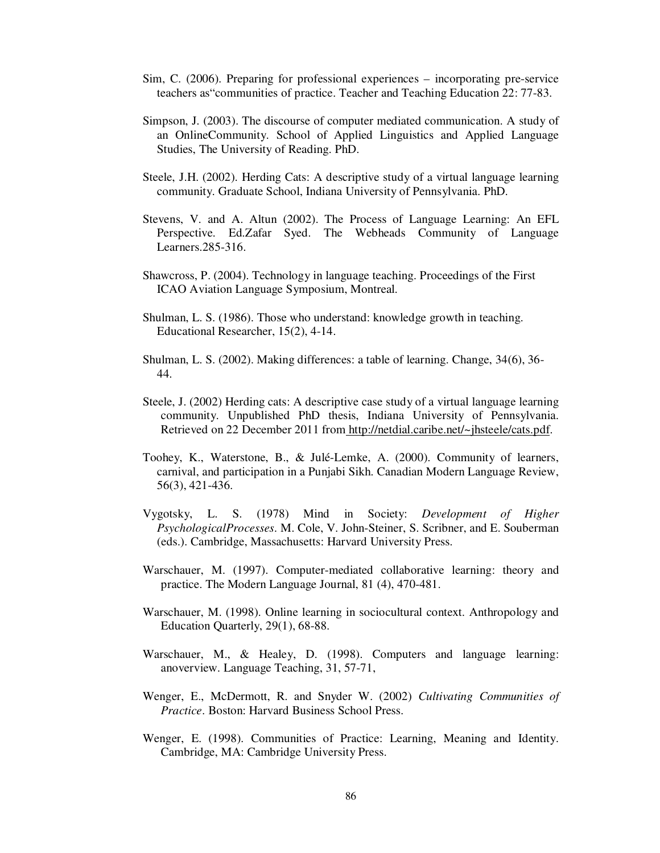- Sim, C. (2006). Preparing for professional experiences incorporating pre-service teachers as"communities of practice. Teacher and Teaching Education 22: 77-83.
- Simpson, J. (2003). The discourse of computer mediated communication. A study of an OnlineCommunity. School of Applied Linguistics and Applied Language Studies, The University of Reading. PhD.
- Steele, J.H. (2002). Herding Cats: A descriptive study of a virtual language learning community. Graduate School, Indiana University of Pennsylvania. PhD.
- Stevens, V. and A. Altun (2002). The Process of Language Learning: An EFL Perspective. Ed.Zafar Syed. The Webheads Community of Language Learners.285-316.
- Shawcross, P. (2004). Technology in language teaching. Proceedings of the First ICAO Aviation Language Symposium, Montreal.
- Shulman, L. S. (1986). Those who understand: knowledge growth in teaching. Educational Researcher, 15(2), 4-14.
- Shulman, L. S. (2002). Making differences: a table of learning. Change, 34(6), 36- 44.
- Steele, J. (2002) Herding cats: A descriptive case study of a virtual language learning community. Unpublished PhD thesis, Indiana University of Pennsylvania. Retrieved on 22 December 2011 from http://netdial.caribe.net/~jhsteele/cats.pdf.
- Toohey, K., Waterstone, B., & Julé-Lemke, A. (2000). Community of learners, carnival, and participation in a Punjabi Sikh. Canadian Modern Language Review, 56(3), 421-436.
- Vygotsky, L. S. (1978) Mind in Society: *Development of Higher PsychologicalProcesses*. M. Cole, V. John-Steiner, S. Scribner, and E. Souberman (eds.). Cambridge, Massachusetts: Harvard University Press.
- Warschauer, M. (1997). Computer-mediated collaborative learning: theory and practice. The Modern Language Journal, 81 (4), 470-481.
- Warschauer, M. (1998). Online learning in sociocultural context. Anthropology and Education Quarterly, 29(1), 68-88.
- Warschauer, M., & Healey, D. (1998). Computers and language learning: anoverview. Language Teaching, 31, 57-71,
- Wenger, E., McDermott, R. and Snyder W. (2002) *Cultivating Communities of Practice*. Boston: Harvard Business School Press.
- Wenger, E. (1998). Communities of Practice: Learning, Meaning and Identity. Cambridge, MA: Cambridge University Press.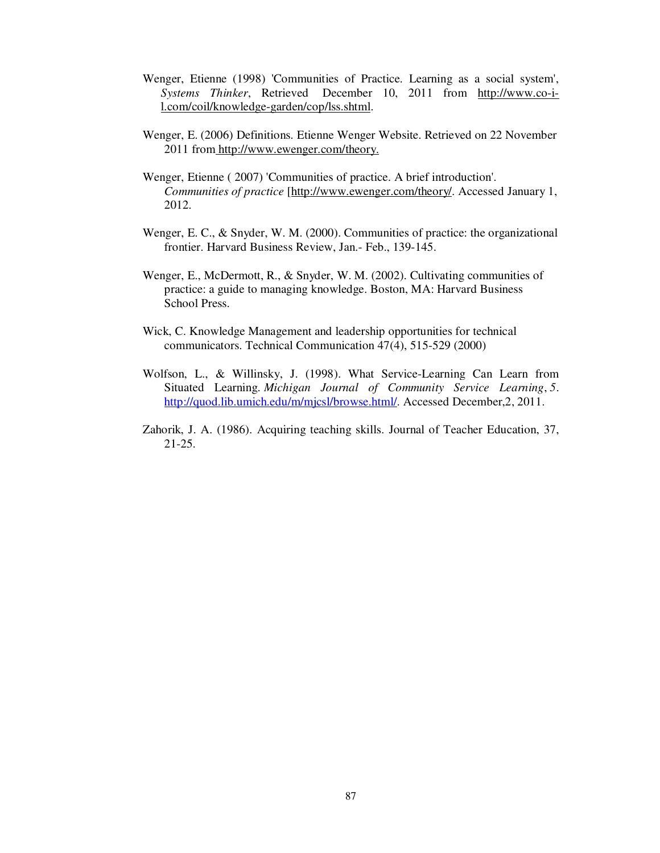- Wenger, Etienne (1998) 'Communities of Practice. Learning as a social system', *Systems Thinker*, Retrieved December 10, 2011 from http://www.co-il.com/coil/knowledge-garden/cop/lss.shtml.
- Wenger, E. (2006) Definitions. Etienne Wenger Website. Retrieved on 22 November 2011 from http://www.ewenger.com/theory.
- Wenger, Etienne ( 2007) 'Communities of practice. A brief introduction'. *Communities of practice* [http://www.ewenger.com/theory/. Accessed January 1, 2012.
- Wenger, E. C., & Snyder, W. M. (2000). Communities of practice: the organizational frontier. Harvard Business Review, Jan.- Feb., 139-145.
- Wenger, E., McDermott, R., & Snyder, W. M. (2002). Cultivating communities of practice: a guide to managing knowledge. Boston, MA: Harvard Business School Press.
- Wick, C. Knowledge Management and leadership opportunities for technical communicators. Technical Communication 47(4), 515-529 (2000)
- Wolfson, L., & Willinsky, J. (1998). What Service-Learning Can Learn from Situated Learning. *Michigan Journal of Community Service Learning*, *5*. http://quod.lib.umich.edu/m/mjcsl/browse.html/. Accessed December, 2, 2011.
- Zahorik, J. A. (1986). Acquiring teaching skills. Journal of Teacher Education, 37, 21-25.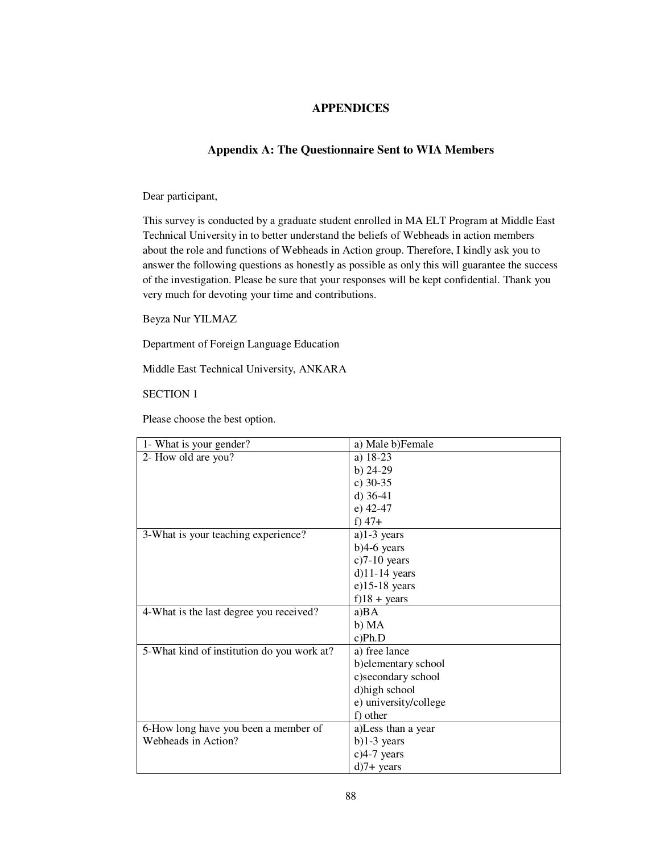### **APPENDICES**

#### **Appendix A: The Questionnaire Sent to WIA Members**

Dear participant,

This survey is conducted by a graduate student enrolled in MA ELT Program at Middle East Technical University in to better understand the beliefs of Webheads in action members about the role and functions of Webheads in Action group. Therefore, I kindly ask you to answer the following questions as honestly as possible as only this will guarantee the success of the investigation. Please be sure that your responses will be kept confidential. Thank you very much for devoting your time and contributions.

Beyza Nur YILMAZ

Department of Foreign Language Education

Middle East Technical University, ANKARA

SECTION 1

Please choose the best option.

| 1- What is your gender?                    | a) Male b)Female      |
|--------------------------------------------|-----------------------|
| 2- How old are you?                        | a) 18-23              |
|                                            | b) $24-29$            |
|                                            | c) $30-35$            |
|                                            | d) $36-41$            |
|                                            | $e)$ 42-47            |
|                                            | f) $47+$              |
| 3-What is your teaching experience?        | a) $1-3$ years        |
|                                            | $b)4-6$ years         |
|                                            | $c$ ) $7-10$ years    |
|                                            | $d$ )11-14 years      |
|                                            | $e$ )15-18 years      |
|                                            | $f$ )18 + years       |
| 4-What is the last degree you received?    | a)BA                  |
|                                            | b) MA                 |
|                                            | c) Ph.D               |
| 5-What kind of institution do you work at? | a) free lance         |
|                                            | b) elementary school  |
|                                            | c)secondary school    |
|                                            | d) high school        |
|                                            | e) university/college |
|                                            | f) other              |
| 6-How long have you been a member of       | a)Less than a year    |
| Webheads in Action?                        | $b)1-3$ years         |
|                                            | $c$ )4-7 years        |
|                                            | $d$ )7+ years         |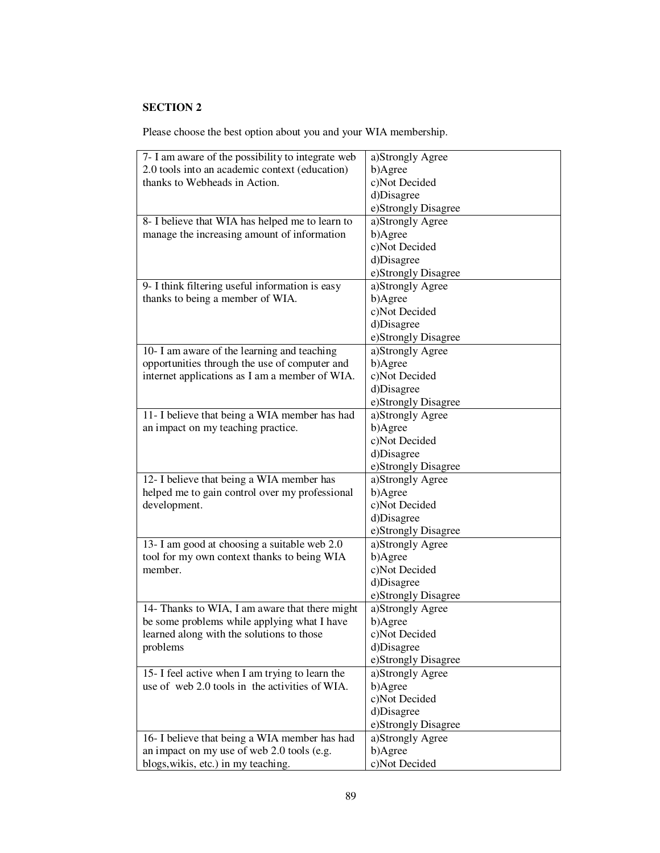Please choose the best option about you and your WIA membership.

| 7- I am aware of the possibility to integrate web | a)Strongly Agree    |
|---------------------------------------------------|---------------------|
| 2.0 tools into an academic context (education)    | b)Agree             |
| thanks to Webheads in Action.                     | c)Not Decided       |
|                                                   | d)Disagree          |
|                                                   | e)Strongly Disagree |
| 8- I believe that WIA has helped me to learn to   | a)Strongly Agree    |
| manage the increasing amount of information       | b)Agree             |
|                                                   | c)Not Decided       |
|                                                   | d)Disagree          |
|                                                   | e)Strongly Disagree |
| 9- I think filtering useful information is easy   | a)Strongly Agree    |
| thanks to being a member of WIA.                  | b)Agree             |
|                                                   | c)Not Decided       |
|                                                   | d)Disagree          |
|                                                   | e)Strongly Disagree |
| 10- I am aware of the learning and teaching       | a)Strongly Agree    |
| opportunities through the use of computer and     | b)Agree             |
| internet applications as I am a member of WIA.    | c)Not Decided       |
|                                                   | d)Disagree          |
|                                                   | e)Strongly Disagree |
| 11- I believe that being a WIA member has had     | a)Strongly Agree    |
| an impact on my teaching practice.                | b)Agree             |
|                                                   | c)Not Decided       |
|                                                   | d)Disagree          |
|                                                   |                     |
|                                                   | e)Strongly Disagree |
| 12- I believe that being a WIA member has         | a)Strongly Agree    |
| helped me to gain control over my professional    | b)Agree             |
| development.                                      | c)Not Decided       |
|                                                   | d)Disagree          |
|                                                   | e)Strongly Disagree |
| 13- I am good at choosing a suitable web 2.0      | a)Strongly Agree    |
| tool for my own context thanks to being WIA       | b)Agree             |
| member.                                           | c)Not Decided       |
|                                                   | d)Disagree          |
|                                                   | e)Strongly Disagree |
| 14- Thanks to WIA, I am aware that there might    | a)Strongly Agree    |
| be some problems while applying what I have       | b)Agree             |
| learned along with the solutions to those         | c)Not Decided       |
| problems                                          | d)Disagree          |
|                                                   | e)Strongly Disagree |
| 15- I feel active when I am trying to learn the   | a)Strongly Agree    |
| use of web 2.0 tools in the activities of WIA.    | b)Agree             |
|                                                   | c)Not Decided       |
|                                                   | d)Disagree          |
|                                                   | e)Strongly Disagree |
| 16- I believe that being a WIA member has had     | a)Strongly Agree    |
| an impact on my use of web 2.0 tools (e.g.        | b)Agree             |
| blogs, wikis, etc.) in my teaching.               | c)Not Decided       |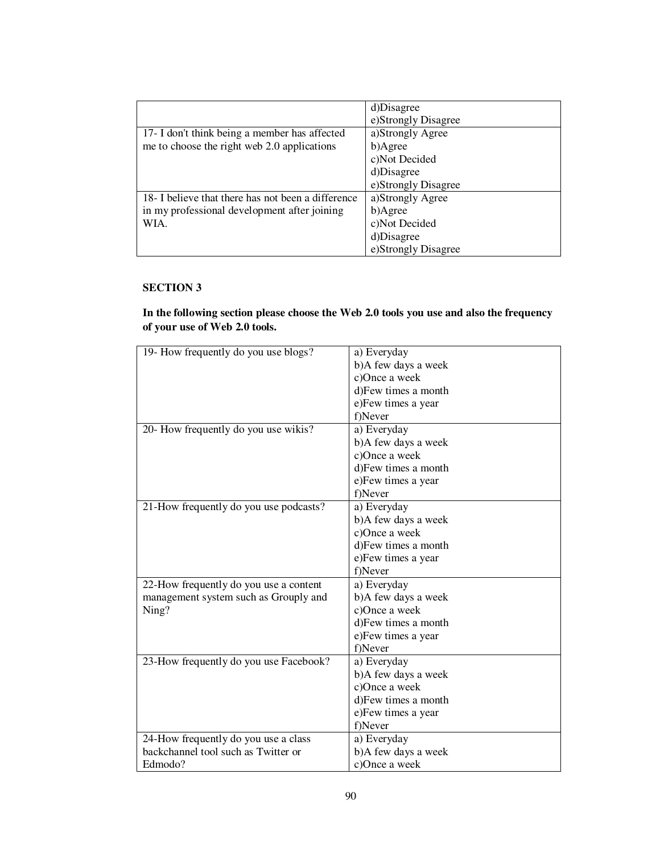|                                                    | d)Disagree          |
|----------------------------------------------------|---------------------|
|                                                    | e)Strongly Disagree |
| 17- I don't think being a member has affected      | a)Strongly Agree    |
| me to choose the right web 2.0 applications        | b)Agree             |
|                                                    | c)Not Decided       |
|                                                    | d)Disagree          |
|                                                    | e)Strongly Disagree |
| 18- I believe that there has not been a difference | a)Strongly Agree    |
| in my professional development after joining       | b)Agree             |
| WIA.                                               | c)Not Decided       |
|                                                    | d)Disagree          |
|                                                    | e)Strongly Disagree |

## **In the following section please choose the Web 2.0 tools you use and also the frequency of your use of Web 2.0 tools.**

| 19- How frequently do you use blogs?   | a) Everyday         |
|----------------------------------------|---------------------|
|                                        | b)A few days a week |
|                                        | c)Once a week       |
|                                        | d)Few times a month |
|                                        | e)Few times a year  |
|                                        | f)Never             |
| 20- How frequently do you use wikis?   | a) Everyday         |
|                                        | b)A few days a week |
|                                        | c)Once a week       |
|                                        | d)Few times a month |
|                                        | e)Few times a year  |
|                                        | f)Never             |
| 21-How frequently do you use podcasts? | a) Everyday         |
|                                        | b)A few days a week |
|                                        | c)Once a week       |
|                                        | d)Few times a month |
|                                        | e) Few times a year |
|                                        | f)Never             |
| 22-How frequently do you use a content | a) Everyday         |
| management system such as Grouply and  | b)A few days a week |
| Ning?                                  | c)Once a week       |
|                                        | d)Few times a month |
|                                        | e) Few times a year |
|                                        | f)Never             |
| 23-How frequently do you use Facebook? | a) Everyday         |
|                                        | b)A few days a week |
|                                        | c)Once a week       |
|                                        | d)Few times a month |
|                                        | e)Few times a year  |
|                                        | f)Never             |
| 24-How frequently do you use a class   | a) Everyday         |
| backchannel tool such as Twitter or    | b)A few days a week |
| Edmodo?                                | c)Once a week       |
|                                        |                     |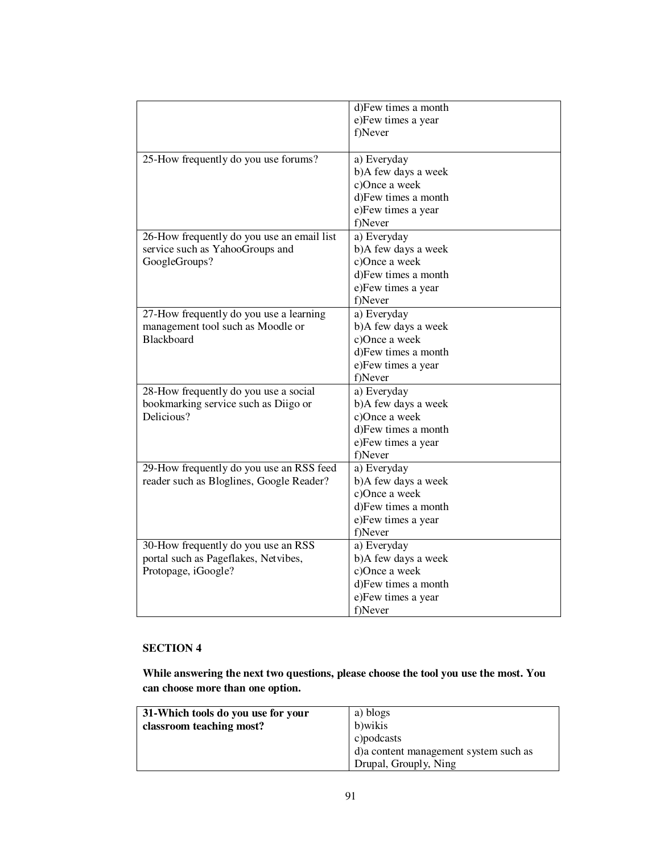|                                                                             | d)Few times a month<br>e)Few times a year |
|-----------------------------------------------------------------------------|-------------------------------------------|
|                                                                             | f)Never                                   |
| 25-How frequently do you use forums?                                        | a) Everyday                               |
|                                                                             | b)A few days a week<br>c)Once a week      |
|                                                                             | d)Few times a month                       |
|                                                                             | e)Few times a year                        |
|                                                                             | f)Never                                   |
| 26-How frequently do you use an email list                                  | a) Everyday                               |
| service such as YahooGroups and                                             | b)A few days a week                       |
| GoogleGroups?                                                               | c)Once a week                             |
|                                                                             | d)Few times a month                       |
|                                                                             | e)Few times a year<br>f)Never             |
| 27-How frequently do you use a learning                                     | a) Everyday                               |
| management tool such as Moodle or                                           | b)A few days a week                       |
| Blackboard                                                                  | c)Once a week                             |
|                                                                             | d)Few times a month                       |
|                                                                             | e)Few times a year                        |
|                                                                             | f)Never                                   |
| 28-How frequently do you use a social                                       | a) Everyday                               |
| bookmarking service such as Diigo or<br>Delicious?                          | b)A few days a week                       |
|                                                                             | c)Once a week<br>d)Few times a month      |
|                                                                             | e)Few times a year                        |
|                                                                             | f)Never                                   |
| 29-How frequently do you use an RSS feed                                    | a) Everyday                               |
| reader such as Bloglines, Google Reader?                                    | b)A few days a week                       |
|                                                                             | c)Once a week                             |
|                                                                             | d)Few times a month                       |
|                                                                             | e)Few times a year                        |
|                                                                             | f)Never                                   |
| 30-How frequently do you use an RSS<br>portal such as Pageflakes, Netvibes, | a) Everyday                               |
| Protopage, iGoogle?                                                         | b)A few days a week<br>c)Once a week      |
|                                                                             | d)Few times a month                       |
|                                                                             | e)Few times a year                        |
|                                                                             | f)Never                                   |

**While answering the next two questions, please choose the tool you use the most. You can choose more than one option.** 

| 31-Which tools do you use for your | a) blogs                               |
|------------------------------------|----------------------------------------|
| classroom teaching most?           | b) wikis                               |
|                                    | $\epsilon$ ) podcasts                  |
|                                    | d) a content management system such as |
|                                    | Drupal, Grouply, Ning                  |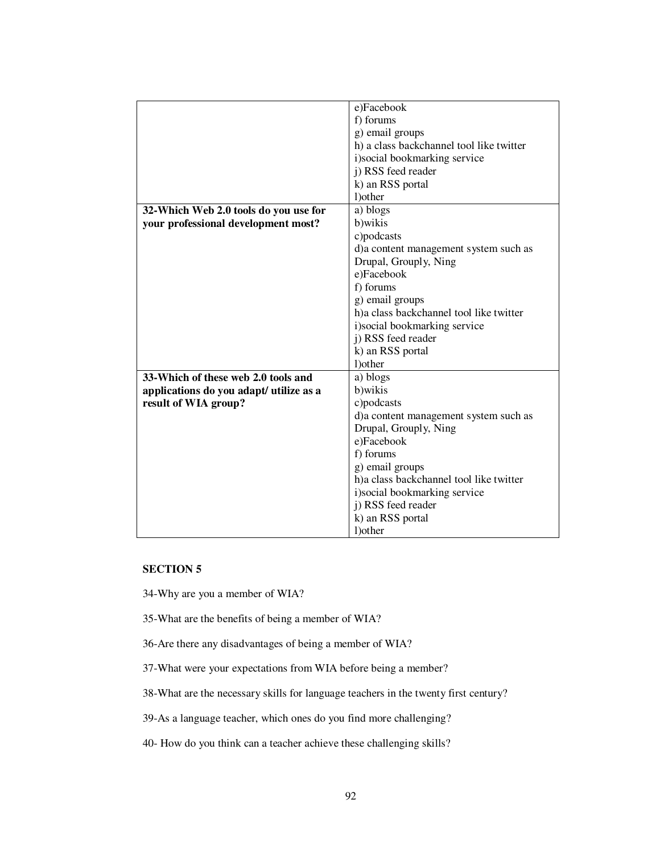|                                         | e)Facebook                               |  |
|-----------------------------------------|------------------------------------------|--|
|                                         | f) forums                                |  |
|                                         | g) email groups                          |  |
|                                         | h) a class backchannel tool like twitter |  |
|                                         | i) social bookmarking service            |  |
|                                         | j) RSS feed reader                       |  |
|                                         | k) an RSS portal                         |  |
|                                         | 1) other                                 |  |
| 32-Which Web 2.0 tools do you use for   | a) blogs                                 |  |
| your professional development most?     | b)wikis                                  |  |
|                                         | c)podcasts                               |  |
|                                         | d)a content management system such as    |  |
|                                         | Drupal, Grouply, Ning                    |  |
|                                         | e)Facebook                               |  |
|                                         | f) forums                                |  |
|                                         | g) email groups                          |  |
|                                         | h) a class backchannel tool like twitter |  |
|                                         | i) social bookmarking service            |  |
|                                         | j) RSS feed reader                       |  |
|                                         | k) an RSS portal                         |  |
|                                         | 1) other                                 |  |
| 33-Which of these web 2.0 tools and     | a) blogs                                 |  |
| applications do you adapt/ utilize as a | b)wikis                                  |  |
| result of WIA group?                    | c)podcasts                               |  |
|                                         | d)a content management system such as    |  |
|                                         | Drupal, Grouply, Ning                    |  |
|                                         | e)Facebook                               |  |
|                                         | f) forums                                |  |
|                                         | g) email groups                          |  |
|                                         | h)a class backchannel tool like twitter  |  |
|                                         | i) social bookmarking service            |  |
|                                         | j) RSS feed reader                       |  |
|                                         | k) an RSS portal                         |  |
|                                         | 1) other                                 |  |

34-Why are you a member of WIA?

35-What are the benefits of being a member of WIA?

36-Are there any disadvantages of being a member of WIA?

37-What were your expectations from WIA before being a member?

38-What are the necessary skills for language teachers in the twenty first century?

39-As a language teacher, which ones do you find more challenging?

40- How do you think can a teacher achieve these challenging skills?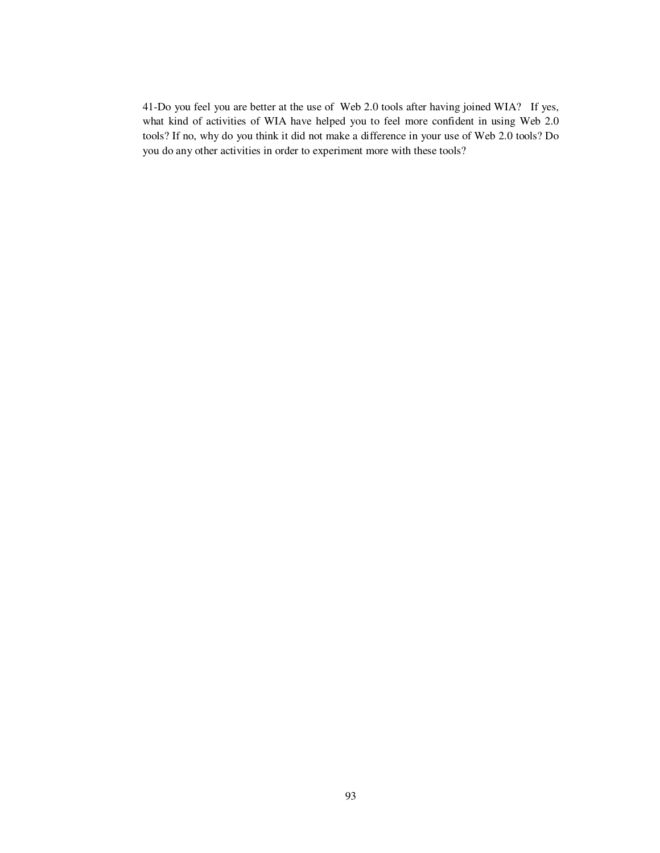41-Do you feel you are better at the use of Web 2.0 tools after having joined WIA? If yes, what kind of activities of WIA have helped you to feel more confident in using Web 2.0 tools? If no, why do you think it did not make a difference in your use of Web 2.0 tools? Do you do any other activities in order to experiment more with these tools?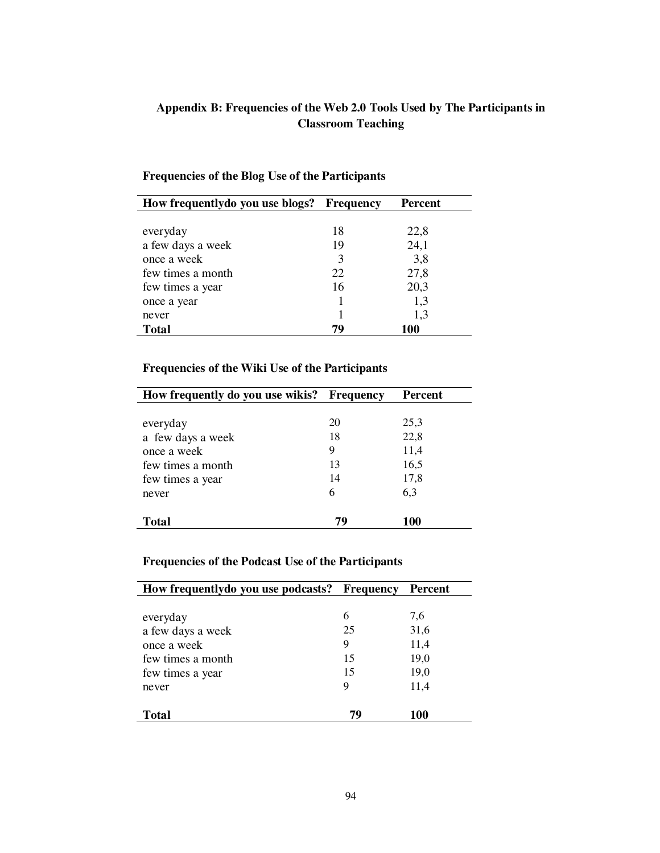# **Appendix B: Frequencies of the Web 2.0 Tools Used by The Participants in Classroom Teaching**

| How frequently do you use blogs? Frequency |    | Percent |
|--------------------------------------------|----|---------|
|                                            |    |         |
| everyday                                   | 18 | 22,8    |
| a few days a week                          | 19 | 24,1    |
| once a week                                | 3  | 3,8     |
| few times a month                          | 22 | 27,8    |
| few times a year                           | 16 | 20,3    |
| once a year                                |    | 1,3     |
| never                                      |    | 1,3     |
| Total                                      | 79 | 100     |

## **Frequencies of the Blog Use of the Participants**

## **Frequencies of the Wiki Use of the Participants**

| How frequently do you use wikis? Frequency |    | <b>Percent</b> |
|--------------------------------------------|----|----------------|
|                                            |    |                |
| everyday                                   | 20 | 25,3           |
| a few days a week                          | 18 | 22,8           |
| once a week                                | 9  | 11,4           |
| few times a month                          | 13 | 16,5           |
| few times a year                           | 14 | 17,8           |
| never                                      | 6  | 6,3            |
| Total                                      | 79 | 100            |

## **Frequencies of the Podcast Use of the Participants**

| How frequently do you use podcasts? Frequency |    | Percent |
|-----------------------------------------------|----|---------|
|                                               |    |         |
| everyday                                      | 6  | 7,6     |
| a few days a week                             | 25 | 31,6    |
| once a week                                   | 9  | 11,4    |
| few times a month                             | 15 | 19,0    |
| few times a year                              | 15 | 19,0    |
| never                                         | 9  | 11,4    |
| Total                                         | 79 | 100     |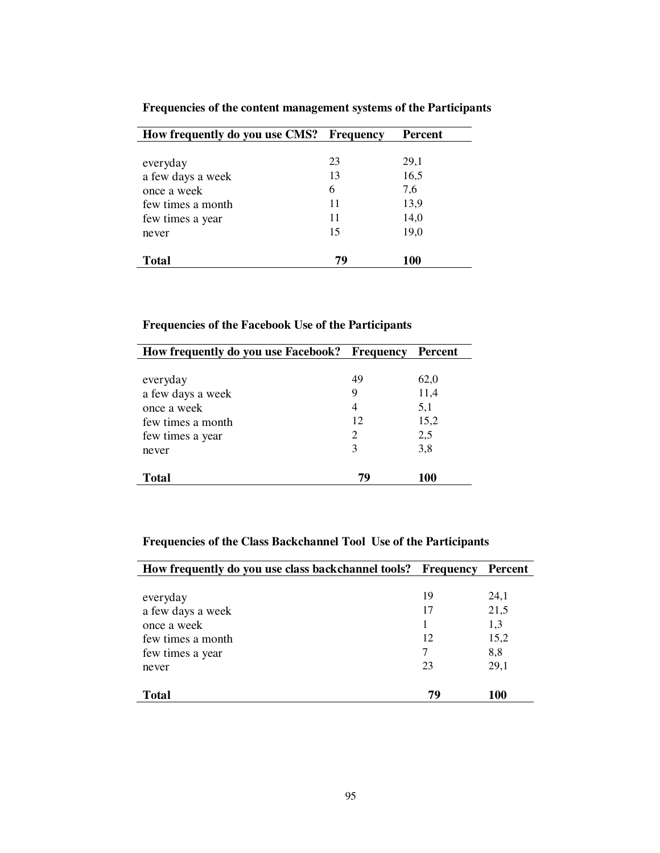| How frequently do you use CMS? Frequency |    | <b>Percent</b> |
|------------------------------------------|----|----------------|
|                                          |    |                |
| everyday                                 | 23 | 29,1           |
| a few days a week                        | 13 | 16,5           |
| once a week                              | 6  | 7,6            |
| few times a month                        | 11 | 13,9           |
| few times a year                         | 11 | 14,0           |
| never                                    | 15 | 19,0           |
|                                          |    |                |
| <b>Total</b>                             | 79 | 100            |

**Frequencies of the content management systems of the Participants**

### **Frequencies of the Facebook Use of the Participants**

| How frequently do you use Facebook? Frequency |    | <b>Percent</b> |
|-----------------------------------------------|----|----------------|
|                                               |    |                |
| everyday                                      | 49 | 62,0           |
| a few days a week                             | 9  | 11,4           |
| once a week                                   | 4  | 5,1            |
| few times a month                             | 12 | 15,2           |
| few times a year                              | 2  | 2,5            |
| never                                         | 3  | 3,8            |
| <b>Total</b>                                  | 79 | 100            |

## **Frequencies of the Class Backchannel Tool Use of the Participants**

| How frequently do you use class backchannel tools? Frequency |    | Percent |
|--------------------------------------------------------------|----|---------|
|                                                              |    |         |
| everyday                                                     | 19 | 24,1    |
| a few days a week                                            | 17 | 21,5    |
| once a week                                                  | 1  | 1,3     |
| few times a month                                            | 12 | 15,2    |
| few times a year                                             | 7  | 8,8     |
| never                                                        | 23 | 29.1    |
|                                                              |    |         |
| Total                                                        | 79 | 100     |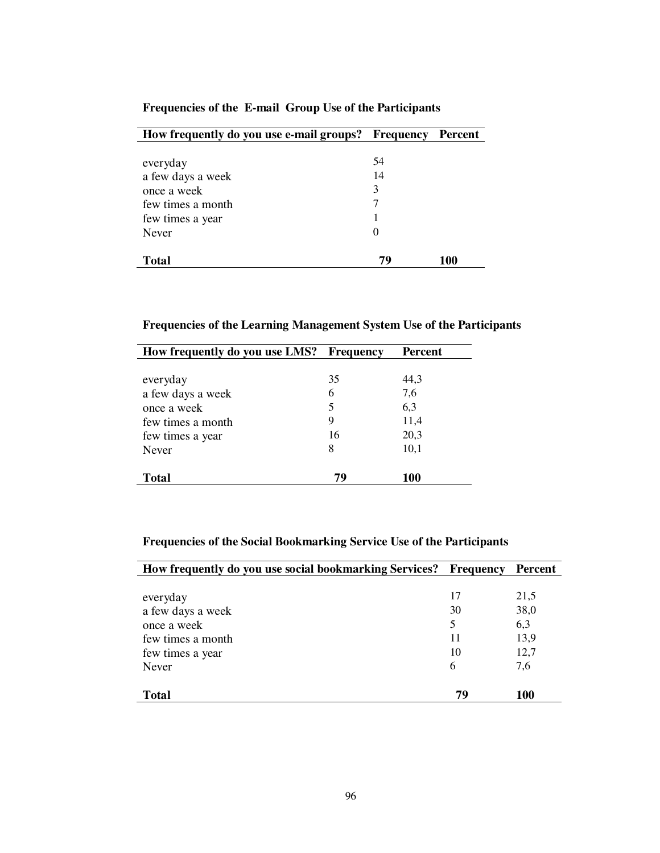| How frequently do you use e-mail groups? Frequency Percent |    |     |
|------------------------------------------------------------|----|-----|
|                                                            |    |     |
| everyday                                                   | 54 |     |
| a few days a week                                          | 14 |     |
| once a week                                                | 3  |     |
| few times a month                                          | 7  |     |
| few times a year                                           |    |     |
| <b>Never</b>                                               | 0  |     |
|                                                            |    |     |
| Total                                                      | 79 | 100 |

### **Frequencies of the E-mail Group Use of the Participants**

**Frequencies of the Learning Management System Use of the Participants** 

| How frequently do you use LMS? Frequency |    | <b>Percent</b> |
|------------------------------------------|----|----------------|
|                                          |    |                |
| everyday                                 | 35 | 44,3           |
| a few days a week                        | 6  | 7,6            |
| once a week                              | 5  | 6,3            |
| few times a month                        | 9  | 11,4           |
| few times a year                         | 16 | 20,3           |
| Never                                    | 8  | 10,1           |
| <b>Total</b>                             | 79 | 100            |

## **Frequencies of the Social Bookmarking Service Use of the Participants**

| How frequently do you use social bookmarking Services? | <b>Frequency</b> | Percent |
|--------------------------------------------------------|------------------|---------|
|                                                        |                  |         |
| everyday                                               | 17               | 21,5    |
| a few days a week                                      | 30               | 38,0    |
| once a week                                            | 5                | 6,3     |
| few times a month                                      | 11               | 13,9    |
| few times a year                                       | 10               | 12,7    |
| <b>Never</b>                                           | 6                | 7,6     |
|                                                        |                  |         |
| <b>Total</b>                                           | 79               | 100     |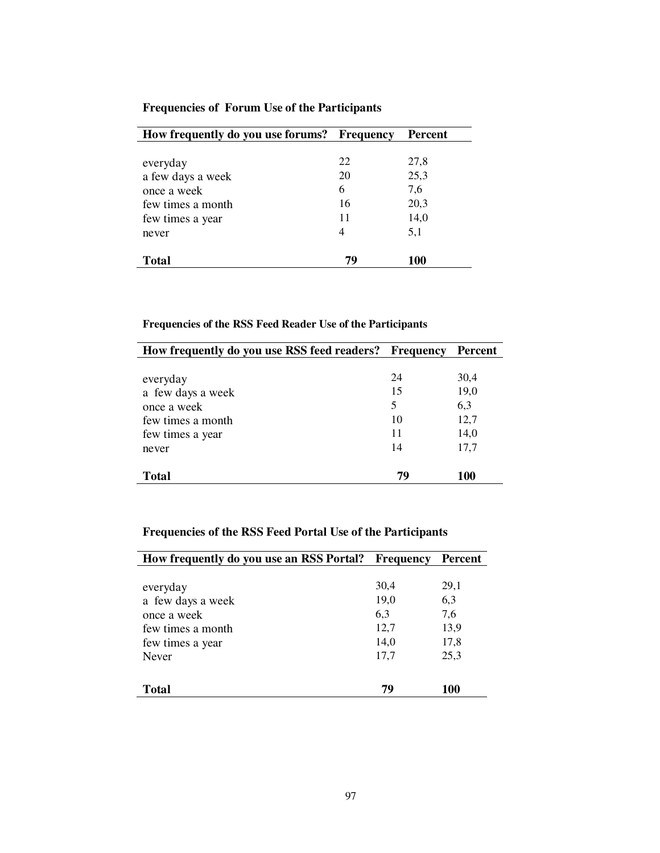| How frequently do you use forums? Frequency |    | <b>Percent</b> |
|---------------------------------------------|----|----------------|
|                                             |    |                |
| everyday                                    | 22 | 27,8           |
| a few days a week                           | 20 | 25,3           |
| once a week                                 | 6  | 7,6            |
| few times a month                           | 16 | 20,3           |
| few times a year                            | 11 | 14,0           |
| never                                       | 4  | 5,1            |
|                                             |    |                |
| Total                                       | 79 | 100            |

### **Frequencies of Forum Use of the Participants**

## **Frequencies of the RSS Feed Reader Use of the Participants**

| How frequently do you use RSS feed readers? Frequency |    | Percent |
|-------------------------------------------------------|----|---------|
|                                                       |    |         |
| everyday                                              | 24 | 30,4    |
| a few days a week                                     | 15 | 19,0    |
| once a week                                           | 5  | 6,3     |
| few times a month                                     | 10 | 12,7    |
| few times a year                                      | 11 | 14,0    |
| never                                                 | 14 | 17,7    |
| Total                                                 | 79 | 100     |

# **Frequencies of the RSS Feed Portal Use of the Participants**

| How frequently do you use an RSS Portal? | <b>Frequency</b> | <b>Percent</b> |
|------------------------------------------|------------------|----------------|
|                                          |                  |                |
| everyday                                 | 30,4             | 29,1           |
| a few days a week                        | 19,0             | 6,3            |
| once a week                              | 6,3              | 7,6            |
| few times a month                        | 12,7             | 13,9           |
| few times a year                         | 14,0             | 17,8           |
| Never                                    | 17,7             | 25,3           |
|                                          |                  |                |
| Total                                    | 79               | 100            |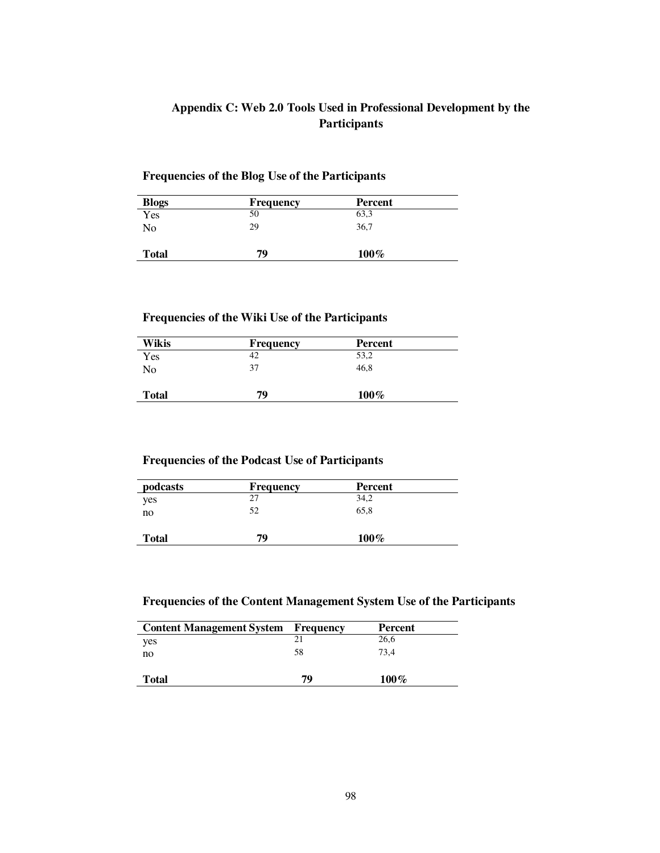### **Appendix C: Web 2.0 Tools Used in Professional Development by the Participants**

### **Frequencies of the Blog Use of the Participants**

| <b>Blogs</b> | <b>Frequency</b> | Percent |  |
|--------------|------------------|---------|--|
| Yes          | 50               | 63,3    |  |
| No           | 29               | 36,7    |  |
| <b>Total</b> | 79               | $100\%$ |  |

### **Frequencies of the Wiki Use of the Participants**

| Wikis        | <b>Frequency</b> | Percent |  |
|--------------|------------------|---------|--|
| Yes          | 42               | 53,2    |  |
| No           | 37               | 46,8    |  |
| <b>Total</b> | 79               | $100\%$ |  |

### **Frequencies of the Podcast Use of Participants**

| podcasts     | <b>Frequency</b> | Percent |  |
|--------------|------------------|---------|--|
| yes          | 27               | 34,2    |  |
| no           | 52               | 65.8    |  |
| <b>Total</b> | 79               | $100\%$ |  |

### **Frequencies of the Content Management System Use of the Participants**

| <b>Content Management System Frequency</b> |    | <b>Percent</b> |
|--------------------------------------------|----|----------------|
| yes                                        |    | 26,6           |
| no                                         | 58 | 73.4           |
| <b>Total</b>                               | 79 | $100\%$        |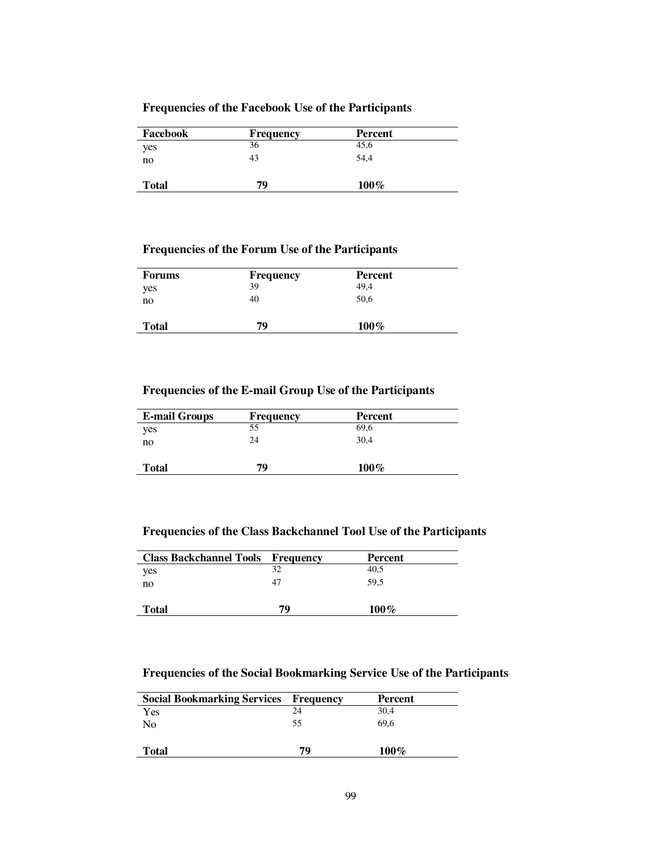### **Frequencies of the Facebook Use of the Participants**

| Facebook     | <b>Frequency</b> | Percent |  |
|--------------|------------------|---------|--|
| yes          | 36               | 45,6    |  |
| no           | 43               | 54.4    |  |
| <b>Total</b> | 79               | $100\%$ |  |

### **Frequencies of the Forum Use of the Participants**

| <b>Forums</b> | <b>Frequency</b> | Percent |  |
|---------------|------------------|---------|--|
| yes           | 39               | 49,4    |  |
| no            | 40               | 50,6    |  |
| <b>Total</b>  | 79               | $100\%$ |  |

### **Frequencies of the E-mail Group Use of the Participants**

| <b>E-mail Groups</b> | <b>Frequency</b> | Percent |  |
|----------------------|------------------|---------|--|
| yes                  | 55               | 69,6    |  |
| no                   | 24               | 30,4    |  |
| <b>Total</b>         | 79               | $100\%$ |  |

**Frequencies of the Class Backchannel Tool Use of the Participants** 

| <b>Class Backchannel Tools Frequency</b> |    | Percent |
|------------------------------------------|----|---------|
| yes                                      | 32 | 40.5    |
| no                                       | 47 | 59.5    |
|                                          |    |         |
| <b>Total</b>                             | 79 | $100\%$ |

**Frequencies of the Social Bookmarking Service Use of the Participants** 

| <b>Social Bookmarking Services Frequency</b> |    | Percent |
|----------------------------------------------|----|---------|
| Yes                                          | 24 | 30,4    |
| No                                           | 55 | 69.6    |
| <b>Total</b>                                 | 79 | $100\%$ |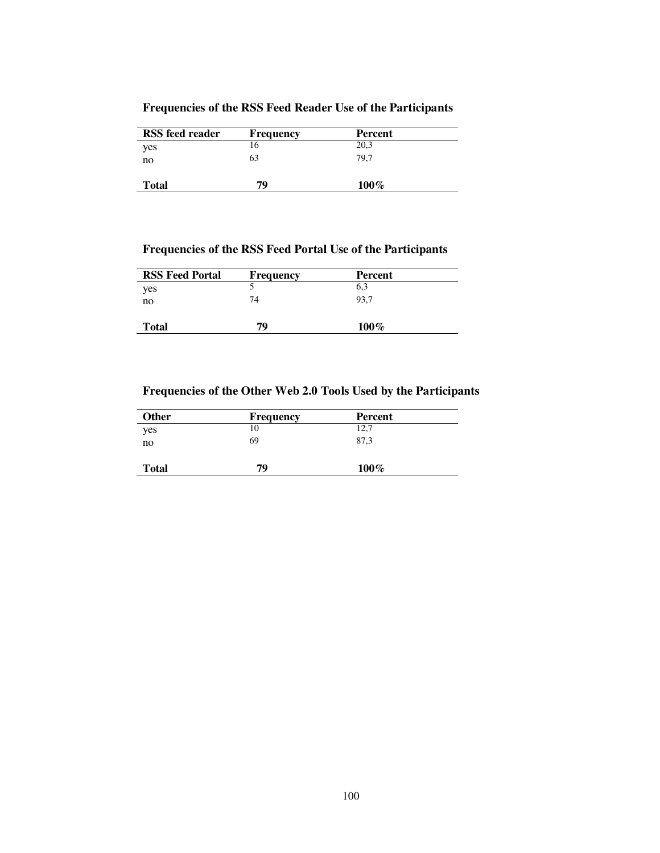|  |  | <b>Frequencies of the RSS Feed Reader Use of the Participants</b> |
|--|--|-------------------------------------------------------------------|
|--|--|-------------------------------------------------------------------|

| <b>RSS</b> feed reader | <b>Frequency</b> | Percent |  |
|------------------------|------------------|---------|--|
| yes                    |                  | 20,3    |  |
| no                     | 63               | 79.7    |  |
| <b>Total</b>           | 79               | $100\%$ |  |

## **Frequencies of the RSS Feed Portal Use of the Participants**

| <b>RSS Feed Portal</b> | <b>Frequency</b> | Percent |  |
|------------------------|------------------|---------|--|
| yes                    |                  | 6,3     |  |
| no                     | 74               | 93.7    |  |
| <b>Total</b>           | 79               | $100\%$ |  |

## **Frequencies of the Other Web 2.0 Tools Used by the Participants**

| <b>Other</b> | <b>Frequency</b> | Percent |  |
|--------------|------------------|---------|--|
| yes          |                  | 12,7    |  |
| no           | 69               | 87,3    |  |
| <b>Total</b> | 79               | $100\%$ |  |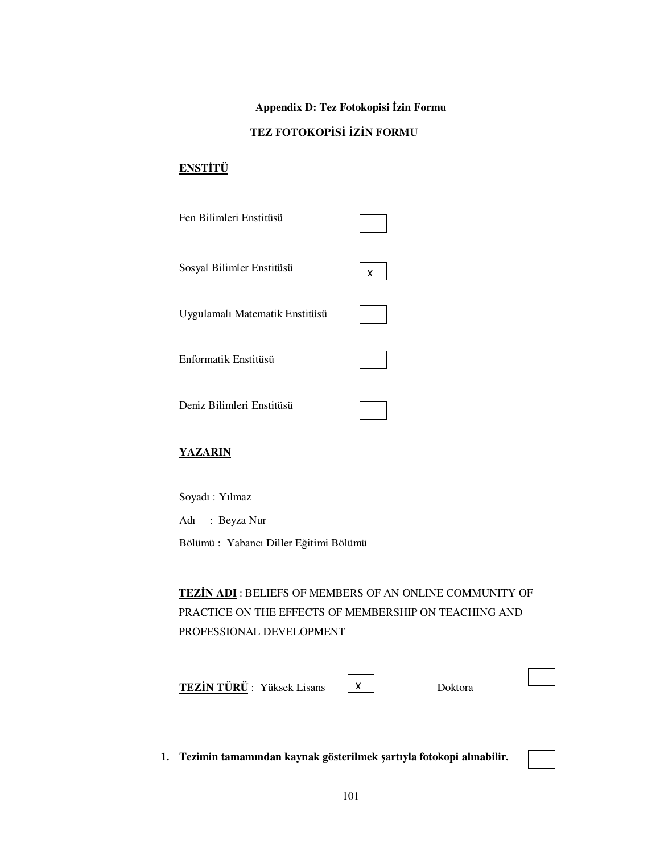## $\Delta$ **Ppendix D: Tez Fotokopisi İzin Formu**

### $TEZ$  **FOTOKOPİSİ İZİN FORMU**

### **ENSTİTÜ**

| Fen Bilimleri Enstitüsü        |   |
|--------------------------------|---|
| Sosyal Bilimler Enstitüsü      | x |
| Uygulamalı Matematik Enstitüsü |   |
| Enformatik Enstitüsü           |   |
| Deniz Bilimleri Enstitüsü      |   |

#### **YAZARIN**

Soyadı : Yılmaz

Adı : Beyza Nur

Bölümü : Yabancı Diller Eğitimi Bölümü

**TEZĐN ADI** : BELIEFS OF MEMBERS OF AN ONLINE COMMUNITY OF PRACTICE ON THE EFFECTS OF MEMBERSHIP ON TEACHING AND PROFESSIONAL DEVELOPMENT

X

**TEZİN TÜRÜ** : Yüksek Lisans  $\begin{bmatrix} x \\ y \end{bmatrix}$  Doktora

**1. Tezimin tamamından kaynak gösterilmek şartıyla fotokopi alınabilir.**